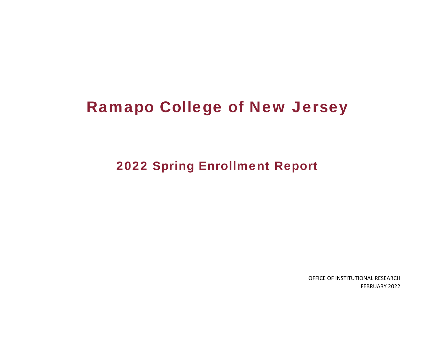# Ramapo College of New Jersey

2022 Spring Enrollment Report

OFFICE OF INSTITUTIONAL RESEARCH FEBRUARY 2022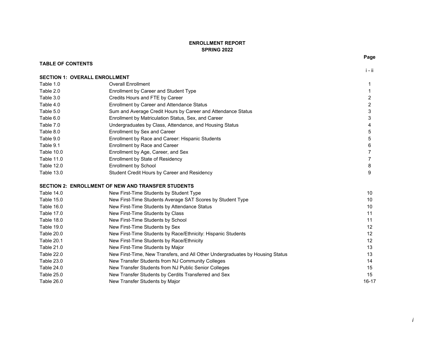### **ENROLLMENT REPORTSPRING 2022**

**TABLE OF CONTENTS**

|                                      |                                                                               | $i - ii$                |
|--------------------------------------|-------------------------------------------------------------------------------|-------------------------|
| <b>SECTION 1: OVERALL ENROLLMENT</b> |                                                                               |                         |
| Table 1.0                            | <b>Overall Enrollment</b>                                                     | 1                       |
| Table 2.0                            | Enrollment by Career and Student Type                                         | 1                       |
| Table 3.0                            | Credits Hours and FTE by Career                                               | $\overline{\mathbf{c}}$ |
| Table 4.0                            | Enrollment by Career and Attendance Status                                    | $\overline{2}$          |
| Table 5.0                            | Sum and Average Credit Hours by Career and Attendance Status                  | 3                       |
| Table 6.0                            | Enrollment by Matriculation Status, Sex, and Career                           | 3                       |
| Table 7.0                            | Undergraduates by Class, Attendance, and Housing Status                       |                         |
| Table 8.0                            | Enrollment by Sex and Career                                                  | 5                       |
| Table 9.0                            | Enrollment by Race and Career: Hispanic Students                              | 5                       |
| Table 9.1                            | Enrollment by Race and Career                                                 | 6                       |
| Table 10.0                           | Enrollment by Age, Career, and Sex                                            | 7                       |
| Table 11.0                           | Enrollment by State of Residency                                              | $\overline{7}$          |
| Table 12.0                           | <b>Enrollment by School</b>                                                   | 8                       |
| Table 13.0                           | Student Credit Hours by Career and Residency                                  | 9                       |
|                                      | SECTION 2: ENROLLMENT OF NEW AND TRANSFER STUDENTS                            |                         |
| Table 14.0                           | New First-Time Students by Student Type                                       | 10                      |
| Table 15.0                           | New First-Time Students Average SAT Scores by Student Type                    | 10                      |
| Table 16.0                           | New First-Time Students by Attendance Status                                  | 10                      |
| Table 17.0                           | New First-Time Students by Class                                              | 11                      |
| Table 18.0                           | New First-Time Students by School                                             | 11                      |
| Table 19.0                           | New First-Time Students by Sex                                                | 12                      |
| Table 20.0                           | New First-Time Students by Race/Ethnicity: Hispanic Students                  | 12                      |
| Table 20.1                           | New First-Time Students by Race/Ethnicity                                     | 12                      |
| Table 21.0                           | New First-Time Students by Major                                              | 13                      |
| Table 22.0                           | New First-Time, New Transfers, and All Other Undergraduates by Housing Status | 13                      |
| Table 23.0                           | New Transfer Students from NJ Community Colleges                              | 14                      |
| Table 24.0                           | New Transfer Students from NJ Public Senior Colleges                          | 15                      |

Table 25.0 New Transfer Students by Cerdits Transferred and Sex 15<br>Table 26.0 New Transfer Students by Major<br>16-17 16-17

New Transfer Students by Major 16-17

**Page**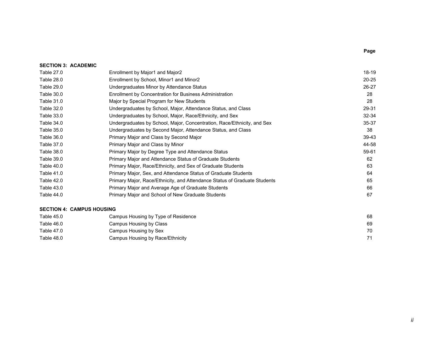| <b>SECTION 3: ACADEMIC</b> |                                                                           |           |
|----------------------------|---------------------------------------------------------------------------|-----------|
| Table 27.0                 | Enrollment by Major1 and Major2                                           | 18-19     |
| Table 28.0                 | Enrollment by School, Minor1 and Minor2                                   | $20 - 25$ |
| Table 29.0                 | Undergraduates Minor by Attendance Status                                 | 26-27     |
| Table 30.0                 | Enrollment by Concentration for Business Administration                   | 28        |
| Table 31.0                 | Major by Special Program for New Students                                 | 28        |
| Table 32.0                 | Undergraduates by School, Major, Attendance Status, and Class             | 29-31     |
| Table 33.0                 | Undergraduates by School, Major, Race/Ethnicity, and Sex                  | 32-34     |
| Table 34.0                 | Undergraduates by School, Major, Concentration, Race/Ethnicity, and Sex   | 35-37     |
| Table 35.0                 | Undergraduates by Second Major, Attendance Status, and Class              | 38        |
| Table 36.0                 | Primary Major and Class by Second Major                                   | 39-43     |
| Table 37.0                 | Primary Major and Class by Minor                                          | 44-58     |
| Table 38.0                 | Primary Major by Degree Type and Attendance Status                        | 59-61     |
| Table 39.0                 | Primary Major and Attendance Status of Graduate Students                  | 62        |
| Table 40.0                 | Primary Major, Race/Ethnicity, and Sex of Graduate Students               | 63        |
| Table 41.0                 | Primary Major, Sex, and Attendance Status of Graduate Students            | 64        |
| Table 42.0                 | Primary Major, Race/Ethnicity, and Attendance Status of Graduate Students | 65        |
| Table 43.0                 | Primary Major and Average Age of Graduate Students                        | 66        |
| Table 44.0                 | Primary Major and School of New Graduate Students                         | 67        |

#### **SECTION 4: CAMPUS HOUSING**

| Table 45.0 | Campus Housing by Type of Residence | 68 |
|------------|-------------------------------------|----|
| Table 46.0 | Campus Housing by Class             | 69 |
| Table 47.0 | Campus Housing by Sex               | 70 |
| Table 48.0 | Campus Housing by Race/Ethnicity    | 71 |

# **Page**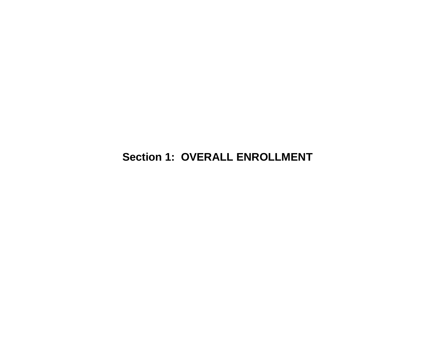# **Section 1: OVERALL ENROLLMENT**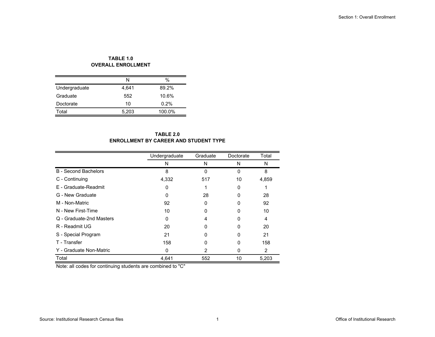#### **TABLE 1.0 OVERALL ENROLLMENT**

|               | N     | $\%$   |
|---------------|-------|--------|
| Undergraduate | 4,641 | 89.2%  |
| Graduate      | 552   | 10.6%  |
| Doctorate     | 10    | 0.2%   |
| Total         | 5,203 | 100.0% |

#### **TABLE 2.0ENROLLMENT BY CAREER AND STUDENT TYPE**

|                             | Undergraduate | Graduate       | Doctorate | Total |
|-----------------------------|---------------|----------------|-----------|-------|
|                             | N             | N              | N         | N     |
| <b>B</b> - Second Bachelors | 8             | 0              | 0         | 8     |
| C - Continuing              | 4,332         | 517            | 10        | 4,859 |
| E - Graduate-Readmit        | 0             |                | 0         |       |
| G - New Graduate            | 0             | 28             | 0         | 28    |
| M - Non-Matric              | 92            | 0              | O         | 92    |
| N - New First-Time          | 10            | 0              | 0         | 10    |
| Q - Graduate-2nd Masters    | O             | 4              |           | 4     |
| R - Readmit UG              | 20            | ი              | O         | 20    |
| S - Special Program         | 21            | ი              | 0         | 21    |
| T - Transfer                | 158           | 0              | 0         | 158   |
| Y - Graduate Non-Matric     | O             | $\overline{2}$ | 0         | 2     |
| Total                       | 4,641         | 552            | 10        | 5,203 |

Note: all codes for continuing students are combined to "C"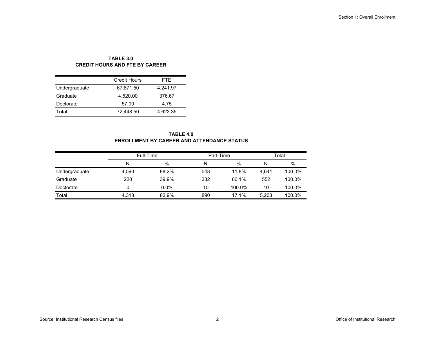# **TABLE 3.0CREDIT HOURS AND FTE BY CAREER**

|               | <b>Credit Hours</b> | FTF.     |
|---------------|---------------------|----------|
| Undergraduate | 67,871.50           | 4,241.97 |
| Graduate      | 4.520.00            | 376.67   |
| Doctorate     | 57.00               | 4.75     |
| Total         | 72,448.50           | 4,623.39 |

#### **TABLE 4.0 ENROLLMENT BY CAREER AND ATTENDANCE STATUS**

|               | Full-Time |         | Part-Time |        | Total |        |  |
|---------------|-----------|---------|-----------|--------|-------|--------|--|
|               | Ν         | %       | N         | $\%$   | N     | %      |  |
| Undergraduate | 4.093     | 88.2%   | 548       | 11.8%  | 4.641 | 100.0% |  |
| Graduate      | 220       | 39.9%   | 332       | 60.1%  | 552   | 100.0% |  |
| Doctorate     |           | $0.0\%$ | 10        | 100.0% | 10    | 100.0% |  |
| Total         | 4.313     | 82.9%   | 890       | 17.1%  | 5.203 | 100.0% |  |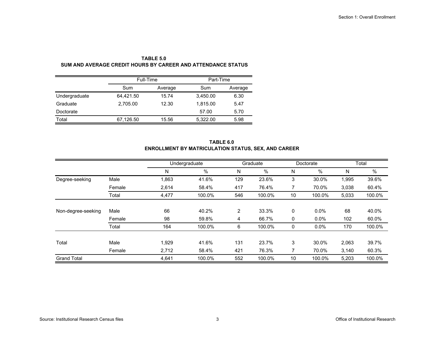|               | Full-Time |         | Part-Time |         |  |  |
|---------------|-----------|---------|-----------|---------|--|--|
|               | Sum       | Average | Sum       | Average |  |  |
| Undergraduate | 64,421.50 | 15.74   | 3,450.00  | 6.30    |  |  |
| Graduate      | 2,705.00  | 12.30   | 1,815.00  | 5.47    |  |  |
| Doctorate     |           |         | 57.00     | 5.70    |  |  |
| Total         | 67,126.50 | 15.56   | 5,322.00  | 5.98    |  |  |

**TABLE 5.0 SUM AND AVERAGE CREDIT HOURS BY CAREER AND ATTENDANCE STATUS**

| TABLE 6.0                                                  |
|------------------------------------------------------------|
| <b>ENROLLMENT BY MATRICULATION STATUS, SEX, AND CAREER</b> |

|                    |        |       | Undergraduate |                | Graduate |    | Doctorate |       | Total  |  |
|--------------------|--------|-------|---------------|----------------|----------|----|-----------|-------|--------|--|
|                    |        | N     | %             | N              | $\%$     | N  | %         | N     | %      |  |
| Degree-seeking     | Male   | 1,863 | 41.6%         | 129            | 23.6%    | 3  | 30.0%     | 1,995 | 39.6%  |  |
|                    | Female | 2,614 | 58.4%         | 417            | 76.4%    |    | 70.0%     | 3,038 | 60.4%  |  |
|                    | Total  | 4,477 | 100.0%        | 546            | 100.0%   | 10 | 100.0%    | 5,033 | 100.0% |  |
|                    |        |       |               |                |          |    |           |       |        |  |
| Non-degree-seeking | Male   | 66    | 40.2%         | $\overline{2}$ | 33.3%    | 0  | $0.0\%$   | 68    | 40.0%  |  |
|                    | Female | 98    | 59.8%         | 4              | 66.7%    | 0  | $0.0\%$   | 102   | 60.0%  |  |
|                    | Total  | 164   | 100.0%        | 6              | 100.0%   | 0  | $0.0\%$   | 170   | 100.0% |  |
|                    |        |       |               |                |          |    |           |       |        |  |
| Total              | Male   | 1,929 | 41.6%         | 131            | 23.7%    | 3  | 30.0%     | 2,063 | 39.7%  |  |
|                    | Female | 2,712 | 58.4%         | 421            | 76.3%    |    | 70.0%     | 3,140 | 60.3%  |  |
| <b>Grand Total</b> |        | 4.641 | 100.0%        | 552            | 100.0%   | 10 | 100.0%    | 5.203 | 100.0% |  |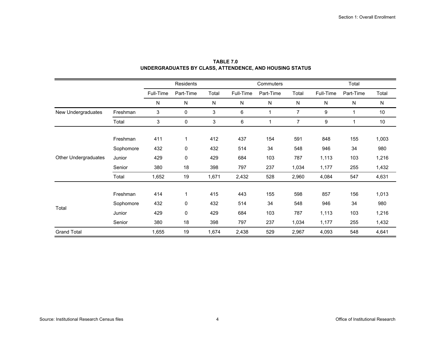|                      |           |           | Residents    |       |           | Commuters |                |           | Total     |           |
|----------------------|-----------|-----------|--------------|-------|-----------|-----------|----------------|-----------|-----------|-----------|
|                      |           | Full-Time | Part-Time    | Total | Full-Time | Part-Time | Total          | Full-Time | Part-Time | Total     |
|                      |           | N         | N            | N     | N         | N         | N              | N         | N         | ${\sf N}$ |
| New Undergraduates   | Freshman  | 3         | $\mathbf 0$  | 3     | 6         | 1         | $\overline{7}$ | 9         | 1         | 10        |
|                      | Total     | 3         | 0            | 3     | 6         | 1         | $\overline{7}$ | 9         |           | 10        |
|                      |           |           |              |       |           |           |                |           |           |           |
|                      | Freshman  | 411       | $\mathbf{1}$ | 412   | 437       | 154       | 591            | 848       | 155       | 1,003     |
|                      | Sophomore | 432       | 0            | 432   | 514       | 34        | 548            | 946       | 34        | 980       |
| Other Undergraduates | Junior    | 429       | 0            | 429   | 684       | 103       | 787            | 1,113     | 103       | 1,216     |
|                      | Senior    | 380       | 18           | 398   | 797       | 237       | 1,034          | 1,177     | 255       | 1,432     |
|                      | Total     | 1,652     | 19           | 1,671 | 2,432     | 528       | 2,960          | 4,084     | 547       | 4,631     |
|                      |           |           |              |       |           |           |                |           |           |           |
|                      | Freshman  | 414       | $\mathbf{1}$ | 415   | 443       | 155       | 598            | 857       | 156       | 1,013     |
| Total                | Sophomore | 432       | 0            | 432   | 514       | 34        | 548            | 946       | 34        | 980       |
|                      | Junior    | 429       | 0            | 429   | 684       | 103       | 787            | 1,113     | 103       | 1,216     |
|                      | Senior    | 380       | 18           | 398   | 797       | 237       | 1,034          | 1,177     | 255       | 1,432     |
| <b>Grand Total</b>   |           | 1,655     | 19           | 1,674 | 2,438     | 529       | 2,967          | 4,093     | 548       | 4,641     |

**TABLE 7.0 UNDERGRADUATES BY CLASS, ATTENDENCE, AND HOUSING STATUS**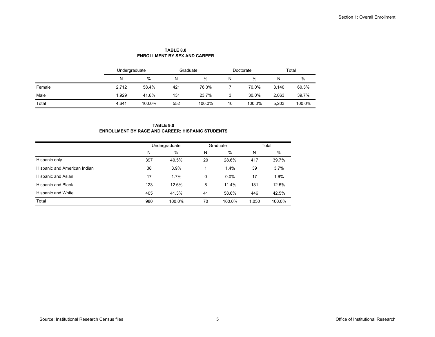|        | Undergraduate |        | Graduate |        |    | Doctorate |       | Total  |  |
|--------|---------------|--------|----------|--------|----|-----------|-------|--------|--|
|        | Ν             | $\%$   | N        | %      | N  | %         | N     | %      |  |
| Female | 2,712         | 58.4%  | 421      | 76.3%  |    | 70.0%     | 3.140 | 60.3%  |  |
| Male   | 1.929         | 41.6%  | 131      | 23.7%  |    | 30.0%     | 2,063 | 39.7%  |  |
| Total  | 4.641         | 100.0% | 552      | 100.0% | 10 | 100.0%    | 5.203 | 100.0% |  |

**TABLE 8.0ENROLLMENT BY SEX AND CAREER**

**TABLE 9.0ENROLLMENT BY RACE AND CAREER: HISPANIC STUDENTS**

|                              | Undergraduate |        |    | Graduate | Total |               |
|------------------------------|---------------|--------|----|----------|-------|---------------|
|                              | N             | %      | N  | $\%$     | Ν     | $\frac{0}{0}$ |
| Hispanic only                | 397           | 40.5%  | 20 | 28.6%    | 417   | 39.7%         |
| Hispanic and American Indian | 38            | 3.9%   |    | 1.4%     | 39    | 3.7%          |
| Hispanic and Asian           | 17            | 1.7%   | 0  | $0.0\%$  | 17    | 1.6%          |
| <b>Hispanic and Black</b>    | 123           | 12.6%  | 8  | 11.4%    | 131   | 12.5%         |
| Hispanic and White           | 405           | 41.3%  | 41 | 58.6%    | 446   | 42.5%         |
| Total                        | 980           | 100.0% | 70 | 100.0%   | 1,050 | 100.0%        |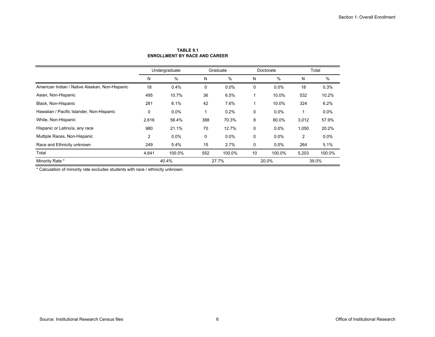|                                                | Undergraduate |         | Graduate |         | Doctorate |        | Total |        |
|------------------------------------------------|---------------|---------|----------|---------|-----------|--------|-------|--------|
|                                                | N             | %       | N        | $\%$    | N         | %      | Ν     | $\%$   |
| American Indian / Native Alaskan, Non-Hispanic | 18            | 0.4%    | 0        | 0.0%    | 0         | 0.0%   | 18    | 0.3%   |
| Asian, Non-Hispanic                            | 495           | 10.7%   | 36       | 6.5%    |           | 10.0%  | 532   | 10.2%  |
| Black, Non-Hispanic                            | 281           | 6.1%    | 42       | 7.6%    |           | 10.0%  | 324   | 6.2%   |
| Hawaiian / Pacific Islander, Non-Hispanic      | 0             | $0.0\%$ |          | 0.2%    | 0         | 0.0%   |       | 0.0%   |
| White, Non-Hispanic                            | 2,616         | 56.4%   | 388      | 70.3%   | 8         | 80.0%  | 3,012 | 57.9%  |
| Hispanic or Latino/a, any race                 | 980           | 21.1%   | 70       | 12.7%   | 0         | 0.0%   | 1,050 | 20.2%  |
| Multiple Races, Non-Hispanic                   | 2             | 0.0%    | $\Omega$ | $0.0\%$ | 0         | 0.0%   | 2     | 0.0%   |
| Race and Ethnicity unknown                     | 249           | 5.4%    | 15       | 2.7%    | 0         | 0.0%   | 264   | 5.1%   |
| Total                                          | 4,641         | 100.0%  | 552      | 100.0%  | 10        | 100.0% | 5,203 | 100.0% |
| Minority Rate *                                |               | 40.4%   |          | 27.7%   |           | 20.0%  |       | 39.0%  |

#### **TABLE 9.1ENROLLMENT BY RACE AND CAREER**

\* Calculation of minority rate excludes students with race / ethnicity unknown.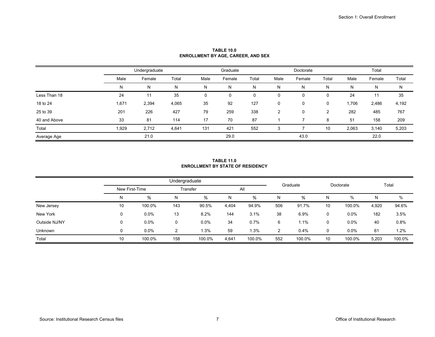|              |       | Undergraduate |       |      | Graduate |       |      | Doctorate |       |       | Total  |       |
|--------------|-------|---------------|-------|------|----------|-------|------|-----------|-------|-------|--------|-------|
|              | Male  | Female        | Total | Male | Female   | Total | Male | Female    | Total | Male  | Female | Total |
|              | N     | N             | N     | N    | Ν        | N     | N    | Ν         | N     | N     | N      | N     |
| Less Than 18 | 24    | 11            | 35    | 0    | 0        |       | 0    |           | 0     | 24    | 11     | 35    |
| 18 to 24     | 1,671 | 2,394         | 4,065 | 35   | 92       | 127   | 0    | 0         | 0     | 1,706 | 2,486  | 4,192 |
| 25 to 39     | 201   | 226           | 427   | 79   | 259      | 338   | 2    | 0         | 2     | 282   | 485    | 767   |
| 40 and Above | 33    | 81            | 114   | 17   | 70       | 87    |      |           | 8     | 51    | 158    | 209   |
| Total        | 1,929 | 2,712         | 4,641 | 131  | 421      | 552   | 3    |           | 10    | 2,063 | 3,140  | 5,203 |
| Average Age  |       | 21.0          |       |      | 29.0     |       |      | 43.0      |       |       | 22.0   |       |

**TABLE 10.0ENROLLMENT BY AGE, CAREER, AND SEX**

#### **TABLE 11.0ENROLLMENT BY STATE OF RESIDENCY**

|               |                |         | Undergraduate |         |       |        | Doctorate      |        |    |         | Total |        |  |
|---------------|----------------|---------|---------------|---------|-------|--------|----------------|--------|----|---------|-------|--------|--|
|               | New First-Time |         | Transfer      |         |       | All    | Graduate       |        |    |         |       |        |  |
|               | N              | %       | N             | %       | N     | %      | N              | %      | N  | %       | N     | %      |  |
| New Jersey    | 10             | 100.0%  | 143           | 90.5%   | 4,404 | 94.9%  | 506            | 91.7%  | 10 | 100.0%  | 4,920 | 94.6%  |  |
| New York      | 0              | 0.0%    | 13            | 8.2%    | 144   | 3.1%   | 38             | 6.9%   | 0  | 0.0%    | 182   | 3.5%   |  |
| Outside NJ/NY | 0              | $0.0\%$ |               | $0.0\%$ | 34    | 0.7%   | 6              | 1.1%   | 0  | $0.0\%$ | 40    | 0.8%   |  |
| Unknown       | 0              | $0.0\%$ | C             | 1.3%    | 59    | 1.3%   | $\overline{2}$ | 0.4%   | 0  | $0.0\%$ | 61    | 1.2%   |  |
| Total         | 10             | 100.0%  | 158           | 100.0%  | 4,641 | 100.0% | 552            | 100.0% | 10 | 100.0%  | 5,203 | 100.0% |  |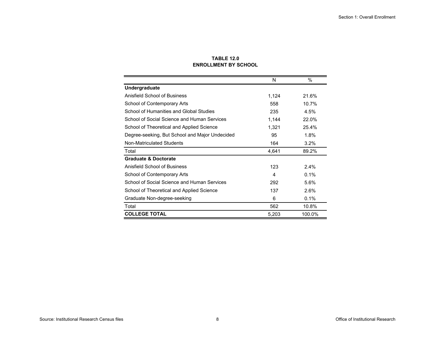|                                                | N     | %       |
|------------------------------------------------|-------|---------|
| <b>Undergraduate</b>                           |       |         |
| <b>Anisfield School of Business</b>            | 1,124 | 21.6%   |
| School of Contemporary Arts                    | 558   | 10.7%   |
| School of Humanities and Global Studies        | 235   | 4.5%    |
| School of Social Science and Human Services    | 1,144 | 22.0%   |
| School of Theoretical and Applied Science      | 1,321 | 25.4%   |
| Degree-seeking, But School and Major Undecided | 95    | 1.8%    |
| Non-Matriculated Students                      | 164   | 3.2%    |
| Total                                          | 4,641 | 89.2%   |
| <b>Graduate &amp; Doctorate</b>                |       |         |
| Anisfield School of Business                   | 123   | $2.4\%$ |
| School of Contemporary Arts                    | 4     | 0.1%    |
| School of Social Science and Human Services    | 292   | 5.6%    |
| School of Theoretical and Applied Science      | 137   | 2.6%    |
| Graduate Non-degree-seeking                    | 6     | 0.1%    |
| Total                                          | 562   | 10.8%   |
| <b>COLLEGE TOTAL</b>                           | 5,203 | 100.0%  |

#### **TABLE 12.0 ENROLLMENT BY SCHOOL**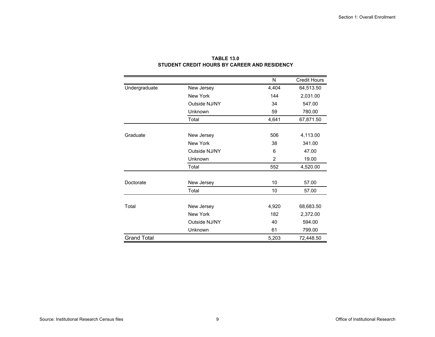|                    |               | N     | <b>Credit Hours</b> |
|--------------------|---------------|-------|---------------------|
| Undergraduate      | New Jersey    | 4,404 | 64,513.50           |
|                    | New York      | 144   | 2,031.00            |
|                    | Outside NJ/NY | 34    | 547.00              |
|                    | Unknown       | 59    | 780.00              |
|                    | Total         | 4,641 | 67,871.50           |
|                    |               |       |                     |
| Graduate           | New Jersey    | 506   | 4,113.00            |
|                    | New York      | 38    | 341.00              |
|                    | Outside NJ/NY | 6     | 47.00               |
|                    | Unknown       | 2     | 19.00               |
|                    | Total         | 552   | 4,520.00            |
|                    |               |       |                     |
| Doctorate          | New Jersey    | 10    | 57.00               |
|                    | Total         | 10    | 57.00               |
|                    |               |       |                     |
| Total              | New Jersey    | 4,920 | 68,683.50           |
|                    | New York      | 182   | 2,372.00            |
|                    | Outside NJ/NY | 40    | 594.00              |
|                    | Unknown       | 61    | 799.00              |
| <b>Grand Total</b> |               | 5,203 | 72,448.50           |

# **TABLE 13.0STUDENT CREDIT HOURS BY CAREER AND RESIDENCY**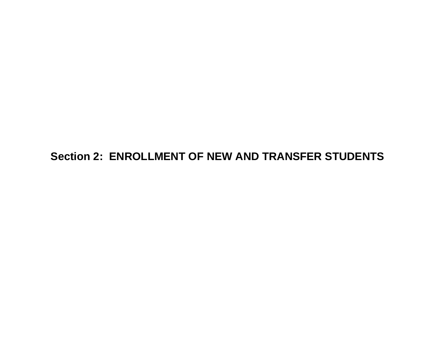# **Section 2: ENROLLMENT OF NEW AND TRANSFER STUDENTS**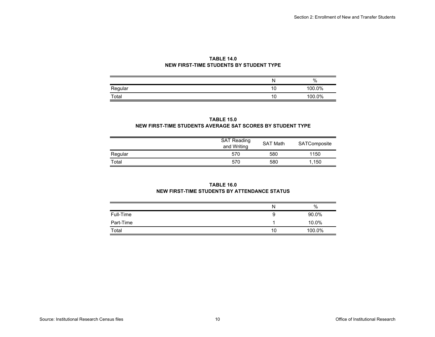#### **TABLE 14.0 NEW FIRST-TIME STUDENTS BY STUDENT TYPE**

|         | 'N. | %      |
|---------|-----|--------|
| Regular | 10  | 100.0% |
| Total   | 10  | 100.0% |

#### **TABLE 15.0 NEW FIRST-TIME STUDENTS AVERAGE SAT SCORES BY STUDENT TYPE**

|         | <b>SAT Reading</b><br>and Writing | <b>SAT Math</b> | SATComposite |
|---------|-----------------------------------|-----------------|--------------|
| Regular | 570                               | 580             | 1150         |
| Total   | 570                               | 580             | 1.150        |

#### **TABLE 16.0NEW FIRST-TIME STUDENTS BY ATTENDANCE STATUS**

|           | Ν  | %      |
|-----------|----|--------|
| Full-Time | 9  | 90.0%  |
| Part-Time |    | 10.0%  |
| Total     | 10 | 100.0% |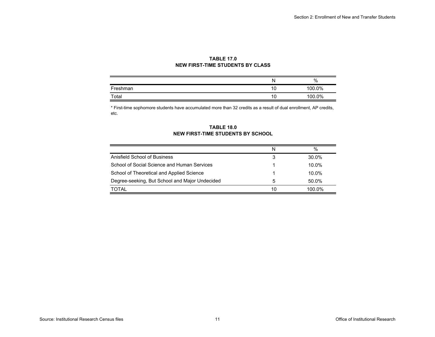#### **TABLE 17.0 NEW FIRST-TIME STUDENTS BY CLASS**

|          | N  | %      |
|----------|----|--------|
| Freshman | 10 | 100.0% |
| Total    | 10 | 100.0% |

\* First-time sophomore students have accumulated more than 32 credits as a result of dual enrollment, AP credits, etc.

#### **TABLE 18.0 NEW FIRST-TIME STUDENTS BY SCHOOL**

|                                                | N  | $\%$      |
|------------------------------------------------|----|-----------|
| Anisfield School of Business                   | 3  | 30.0%     |
| School of Social Science and Human Services    |    | $10.0\%$  |
| School of Theoretical and Applied Science      |    | $10.0\%$  |
| Degree-seeking, But School and Major Undecided | 5  | 50.0%     |
| TOTAL                                          | 10 | $100.0\%$ |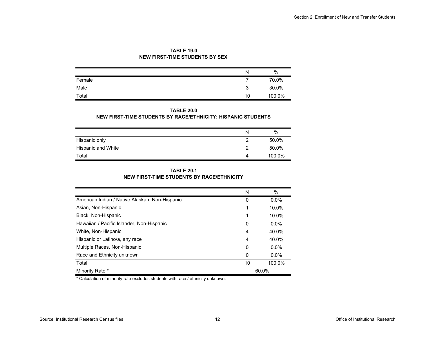| <b>TABLE 19.0</b>                     |
|---------------------------------------|
| <b>NEW FIRST-TIME STUDENTS BY SEX</b> |

|        | N      | %      |
|--------|--------|--------|
| Female |        | 70.0%  |
| Male   | ◠<br>J | 30.0%  |
| Total  | 10     | 100.0% |

#### **TABLE 20.0**

#### **NEW FIRST-TIME STUDENTS BY RACE/ETHNICITY: HISPANIC STUDENTS**

|                    | $\%$   |
|--------------------|--------|
| Hispanic only      | 50.0%  |
| Hispanic and White | 50.0%  |
| Total              | 100.0% |

#### **TABLE 20.1NEW FIRST-TIME STUDENTS BY RACE/ETHNICITY**

|                                                | N  | $\%$    |
|------------------------------------------------|----|---------|
| American Indian / Native Alaskan, Non-Hispanic | 0  | $0.0\%$ |
| Asian, Non-Hispanic                            |    | 10.0%   |
| Black, Non-Hispanic                            | 1  | 10.0%   |
| Hawaiian / Pacific Islander, Non-Hispanic      | 0  | $0.0\%$ |
| White, Non-Hispanic                            | 4  | 40.0%   |
| Hispanic or Latino/a, any race                 | 4  | 40.0%   |
| Multiple Races, Non-Hispanic                   | 0  | $0.0\%$ |
| Race and Ethnicity unknown                     | 0  | $0.0\%$ |
| Total                                          | 10 | 100.0%  |
| Minority Rate *                                |    | 60.0%   |

\* Calculation of minority rate excludes students with race / ethnicity unknown.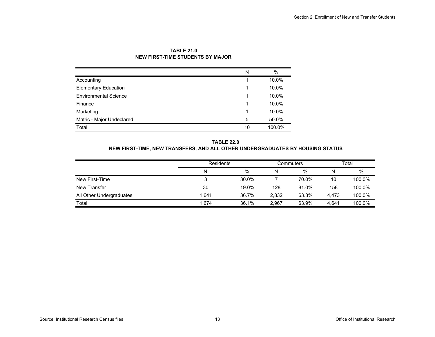|                              | N  | $\%$   |
|------------------------------|----|--------|
| Accounting                   |    | 10.0%  |
| <b>Elementary Education</b>  |    | 10.0%  |
| <b>Environmental Science</b> |    | 10.0%  |
| Finance                      |    | 10.0%  |
| Marketing                    |    | 10.0%  |
| Matric - Major Undeclared    | 5  | 50.0%  |
| Total                        | 10 | 100.0% |

#### **TABLE 21.0NEW FIRST-TIME STUDENTS BY MAJOR**

#### **TABLE 22.0 NEW FIRST-TIME, NEW TRANSFERS, AND ALL OTHER UNDERGRADUATES BY HOUSING STATUS**

|                          | <b>Residents</b> |       | Commuters |       | Total |        |
|--------------------------|------------------|-------|-----------|-------|-------|--------|
|                          | Ν                | %     | N         | $\%$  | N     | %      |
| New First-Time           | 3                | 30.0% |           | 70.0% | 10    | 100.0% |
| New Transfer             | 30               | 19.0% | 128       | 81.0% | 158   | 100.0% |
| All Other Undergraduates | 1.641            | 36.7% | 2.832     | 63.3% | 4.473 | 100.0% |
| Total                    | 1.674            | 36.1% | 2.967     | 63.9% | 4.641 | 100.0% |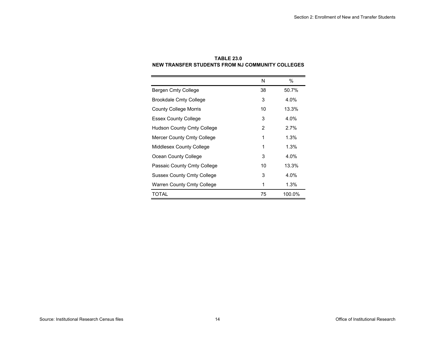|                                   | N  | $\%$   |
|-----------------------------------|----|--------|
| Bergen Cmty College               | 38 | 50.7%  |
| <b>Brookdale Cmty College</b>     | 3  | 4.0%   |
| <b>County College Morris</b>      | 10 | 13.3%  |
| <b>Essex County College</b>       | 3  | 4.0%   |
| <b>Hudson County Cmty College</b> | 2  | 2.7%   |
| Mercer County Cmty College        | 1  | 1.3%   |
| Middlesex County College          | 1  | 1.3%   |
| Ocean County College              | 3  | 4.0%   |
| Passaic County Cmty College       | 10 | 13.3%  |
| <b>Sussex County Cmty College</b> | 3  | 4.0%   |
| Warren County Cmty College        | 1  | 1.3%   |
| TOTAL                             | 75 | 100.0% |

# **TABLE 23.0NEW TRANSFER STUDENTS FROM NJ COMMUNITY COLLEGES**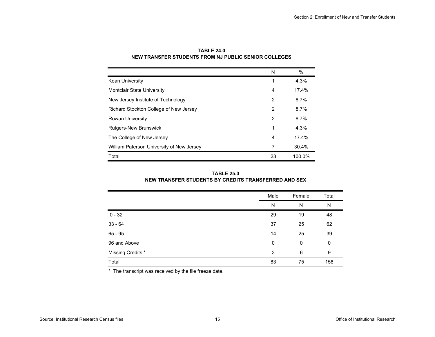|                                           | N  | $\%$   |
|-------------------------------------------|----|--------|
| Kean University                           | 1  | 4.3%   |
| Montclair State University                | 4  | 17.4%  |
| New Jersey Institute of Technology        | 2  | 8.7%   |
| Richard Stockton College of New Jersey    | 2  | 8.7%   |
| <b>Rowan University</b>                   | 2  | 8.7%   |
| <b>Rutgers-New Brunswick</b>              | 1  | 4.3%   |
| The College of New Jersey                 | 4  | 17.4%  |
| William Paterson University of New Jersey | 7  | 30.4%  |
| Total                                     | 23 | 100.0% |

**TABLE 24.0 NEW TRANSFER STUDENTS FROM NJ PUBLIC SENIOR COLLEGES**

| <b>TABLE 25.0</b>                                    |  |
|------------------------------------------------------|--|
| NEW TRANSFER STUDENTS BY CREDITS TRANSFERRED AND SEX |  |

|                   | Male | Female | Total |
|-------------------|------|--------|-------|
|                   | N    | N      | N     |
| $0 - 32$          | 29   | 19     | 48    |
| $33 - 64$         | 37   | 25     | 62    |
| $65 - 95$         | 14   | 25     | 39    |
| 96 and Above      | 0    | 0      | 0     |
| Missing Credits * | 3    | 6      | 9     |
| Total             | 83   | 75     | 158   |

\* The transcript was received by the file freeze date.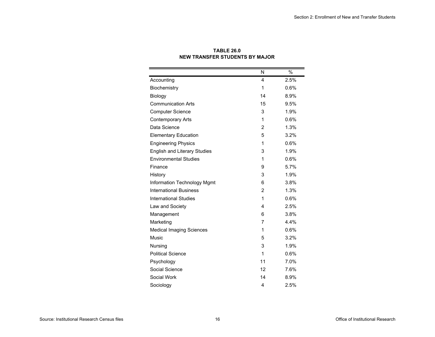|                                     | N              | $\%$ |
|-------------------------------------|----------------|------|
| Accounting                          | 4              | 2.5% |
| Biochemistry                        | 1              | 0.6% |
| Biology                             | 14             | 8.9% |
| <b>Communication Arts</b>           | 15             | 9.5% |
| <b>Computer Science</b>             | 3              | 1.9% |
| <b>Contemporary Arts</b>            | 1              | 0.6% |
| Data Science                        | $\overline{2}$ | 1.3% |
| <b>Elementary Education</b>         | 5              | 3.2% |
| <b>Engineering Physics</b>          | 1              | 0.6% |
| <b>English and Literary Studies</b> | 3              | 1.9% |
| <b>Environmental Studies</b>        | 1              | 0.6% |
| Finance                             | 9              | 5.7% |
| History                             | 3              | 1.9% |
| <b>Information Technology Mgmt</b>  | 6              | 3.8% |
| <b>International Business</b>       | $\overline{2}$ | 1.3% |
| <b>International Studies</b>        | 1              | 0.6% |
| Law and Society                     | 4              | 2.5% |
| Management                          | 6              | 3.8% |
| Marketing                           | 7              | 4.4% |
| <b>Medical Imaging Sciences</b>     | 1              | 0.6% |
| <b>Music</b>                        | 5              | 3.2% |
| Nursing                             | 3              | 1.9% |
| <b>Political Science</b>            | 1              | 0.6% |
| Psychology                          | 11             | 7.0% |
| Social Science                      | 12             | 7.6% |
| Social Work                         | 14             | 8.9% |
| Sociology                           | 4              | 2.5% |

#### **TABLE 26.0 NEW TRANSFER STUDENTS BY MAJOR**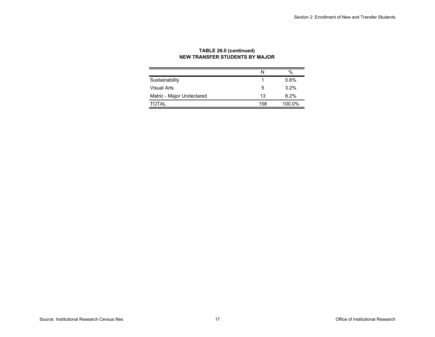|                           | N   | $\%$    |
|---------------------------|-----|---------|
| Sustainability            |     | 0.6%    |
| Visual Arts               | 5   | $3.2\%$ |
| Matric - Major Undeclared | 13  | 8.2%    |
| TOTAI                     | 158 | 100.0%  |

### **TABLE 26.0 (continued) NEW TRANSFER STUDENTS BY MAJOR**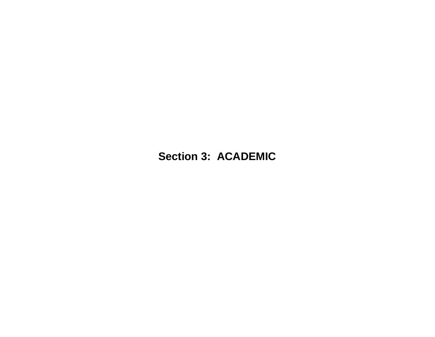# **Section 3: ACADEMIC**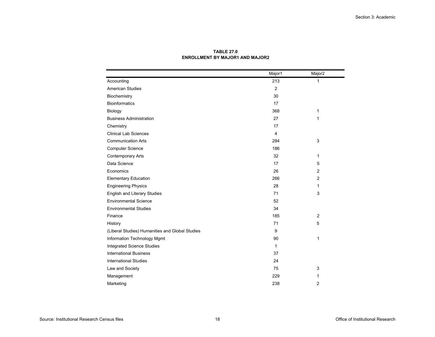|                                                 | Major1       | Major <sub>2</sub> |
|-------------------------------------------------|--------------|--------------------|
| Accounting                                      | 213          | 1                  |
| <b>American Studies</b>                         | 2            |                    |
| Biochemistry                                    | 30           |                    |
| <b>Bioinformatics</b>                           | 17           |                    |
| Biology                                         | 368          | $\mathbf{1}$       |
| <b>Business Administration</b>                  | 27           | 1                  |
| Chemistry                                       | 17           |                    |
| <b>Clinical Lab Sciences</b>                    | 4            |                    |
| <b>Communication Arts</b>                       | 284          | 3                  |
| <b>Computer Science</b>                         | 186          |                    |
| <b>Contemporary Arts</b>                        | 32           | 1                  |
| Data Science                                    | 17           | 5                  |
| Economics                                       | 26           | $\overline{2}$     |
| <b>Elementary Education</b>                     | 266          | $\overline{2}$     |
| <b>Engineering Physics</b>                      | 28           | 1                  |
| <b>English and Literary Studies</b>             | 71           | 3                  |
| <b>Environmental Science</b>                    | 52           |                    |
| <b>Environmental Studies</b>                    | 34           |                    |
| Finance                                         | 185          | $\overline{2}$     |
| History                                         | 71           | 5                  |
| (Liberal Studies) Humanities and Global Studies | 9            |                    |
| Information Technology Mgmt                     | 90           | 1                  |
| <b>Integrated Science Studies</b>               | $\mathbf{1}$ |                    |
| <b>International Business</b>                   | 37           |                    |
| <b>International Studies</b>                    | 24           |                    |
| Law and Society                                 | 75           | 3                  |
| Management                                      | 229          | 1                  |
| Marketing                                       | 238          | 2                  |

**TABLE 27.0ENROLLMENT BY MAJOR1 AND MAJOR2**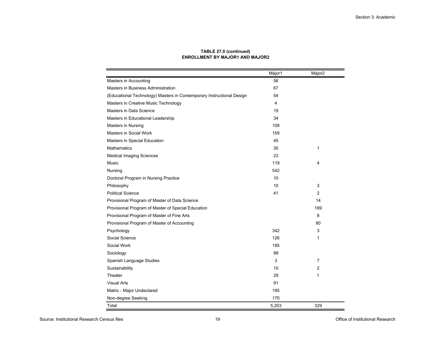|                                                                       | Major1 | Major <sub>2</sub> |
|-----------------------------------------------------------------------|--------|--------------------|
| Masters in Accounting                                                 | 56     |                    |
| Masters in Business Administration                                    | 67     |                    |
| (Educational Technology) Masters in Contemporary Instructional Design | 54     |                    |
| Masters in Creative Music Technology                                  | 4      |                    |
| Masters in Data Science                                               | 19     |                    |
| Masters in Educational Leadership                                     | 34     |                    |
| <b>Masters in Nursing</b>                                             | 108    |                    |
| Masters in Social Work                                                | 159    |                    |
| Masters in Special Education                                          | 45     |                    |
| <b>Mathematics</b>                                                    | 30     | 1                  |
| <b>Medical Imaging Sciences</b>                                       | 23     |                    |
| Music                                                                 | 119    | 4                  |
| Nursing                                                               | 542    |                    |
| Doctoral Program in Nursing Practice                                  | 10     |                    |
| Philosophy                                                            | 10     | 3                  |
| <b>Political Science</b>                                              | 41     | 2                  |
| Provisional Program of Master of Data Science                         |        | 14                 |
| Provisional Program of Master of Special Education                    |        | 169                |
| Provisional Program of Master of Fine Arts                            |        | 8                  |
| Provisional Program of Master of Accounting                           |        | 80                 |
| Psychology                                                            | 342    | 3                  |
| Social Science                                                        | 126    | $\mathbf{1}$       |
| Social Work                                                           | 185    |                    |
| Sociology                                                             | 98     |                    |
| Spanish Language Studies                                              | 3      | 7                  |
| Sustainability                                                        | 10     | 2                  |
| Theater                                                               | 29     | $\mathbf{1}$       |
| <b>Visual Arts</b>                                                    | 91     |                    |
| Matric - Major Undeclared                                             | 195    |                    |
| Non-degree Seeking                                                    | 170    |                    |
| Total                                                                 | 5,203  | 329                |

#### **TABLE 27.0 (continued) ENROLLMENT BY MAJOR1 AND MAJOR2**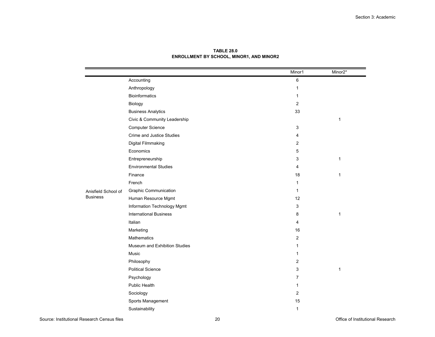|                     |                               | Minor1         | Minor2*      |
|---------------------|-------------------------------|----------------|--------------|
|                     | Accounting                    | 6              |              |
|                     | Anthropology                  | $\mathbf{1}$   |              |
|                     | <b>Bioinformatics</b>         | $\mathbf{1}$   |              |
|                     | Biology                       | $\mathbf{2}$   |              |
|                     | <b>Business Analytics</b>     | 33             |              |
|                     | Civic & Community Leadership  |                | $\mathbf{1}$ |
|                     | <b>Computer Science</b>       | 3              |              |
|                     | Crime and Justice Studies     | 4              |              |
|                     | Digital Filmmaking            | 2              |              |
|                     | Economics                     | $\mathbf 5$    |              |
|                     | Entrepreneurship              | 3              | 1            |
|                     | <b>Environmental Studies</b>  | 4              |              |
|                     | Finance                       | 18             | $\mathbf{1}$ |
|                     | French                        | $\mathbf{1}$   |              |
| Anisfield School of | <b>Graphic Communication</b>  | $\mathbf{1}$   |              |
| <b>Business</b>     | Human Resource Mgmt           | 12             |              |
|                     | Information Technology Mgmt   | 3              |              |
|                     | <b>International Business</b> | 8              | $\mathbf{1}$ |
|                     | Italian                       | $\overline{4}$ |              |
|                     | Marketing                     | 16             |              |
|                     | <b>Mathematics</b>            | $\overline{2}$ |              |
|                     | Museum and Exhibition Studies | $\mathbf{1}$   |              |
|                     | Music                         | $\mathbf 1$    |              |
|                     | Philosophy                    | $\mathbf{2}$   |              |
|                     | <b>Political Science</b>      | 3              | $\mathbf{1}$ |
|                     | Psychology                    | $\overline{7}$ |              |
|                     | <b>Public Health</b>          | $\mathbf 1$    |              |
|                     | Sociology                     | $\mathbf{2}$   |              |
|                     | Sports Management             | 15             |              |
|                     | Sustainability                | $\mathbf{1}$   |              |

**TABLE 28.0ENROLLMENT BY SCHOOL, MINOR1, AND MINOR2**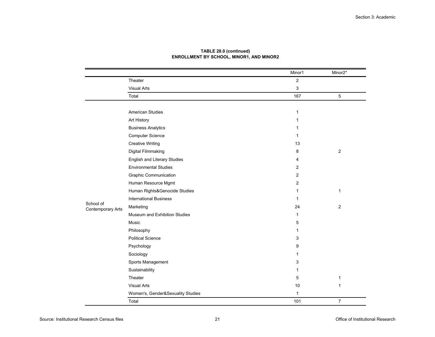|                                       |                                   | Minor1         | Minor2*        |
|---------------------------------------|-----------------------------------|----------------|----------------|
|                                       | Theater                           | $\overline{2}$ |                |
|                                       | <b>Visual Arts</b>                | 3              |                |
|                                       | Total                             | 167            | 5              |
|                                       |                                   |                |                |
|                                       | <b>American Studies</b>           | 1              |                |
|                                       | Art History                       | 1              |                |
|                                       | <b>Business Analytics</b>         | 1              |                |
|                                       | <b>Computer Science</b>           | 1              |                |
|                                       | <b>Creative Writing</b>           | 13             |                |
|                                       | Digital Filmmaking                | 8              | $\overline{2}$ |
|                                       | English and Literary Studies      | 4              |                |
|                                       | <b>Environmental Studies</b>      | 2              |                |
|                                       | <b>Graphic Communication</b>      | 2              |                |
|                                       | Human Resource Mgmt               | 2              |                |
|                                       | Human Rights&Genocide Studies     | 1              | $\mathbf{1}$   |
|                                       | <b>International Business</b>     | 1              |                |
| School of<br><b>Contemporary Arts</b> | Marketing                         | 24             | 2              |
|                                       | Museum and Exhibition Studies     | 1              |                |
|                                       | Music                             | 5              |                |
|                                       | Philosophy                        | 1              |                |
|                                       | <b>Political Science</b>          | 3              |                |
|                                       | Psychology                        | 9              |                |
|                                       | Sociology                         | 1              |                |
|                                       | Sports Management                 | 3              |                |
|                                       | Sustainability                    | 1              |                |
|                                       | Theater                           | 5              | $\mathbf{1}$   |
|                                       | <b>Visual Arts</b>                | 10             | $\mathbf 1$    |
|                                       | Women's, Gender&Sexuality Studies | 1              |                |
|                                       | Total                             | 101            | $\overline{7}$ |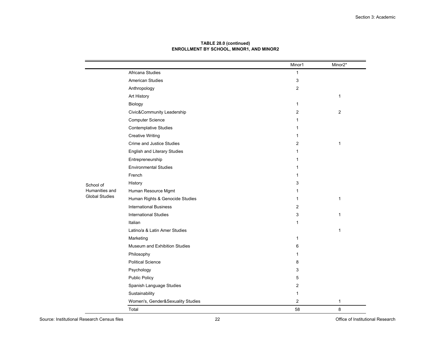|                       |                                     | Minor1         | Minor2*      |
|-----------------------|-------------------------------------|----------------|--------------|
|                       | Africana Studies                    | 1              |              |
|                       | <b>American Studies</b>             | 3              |              |
|                       | Anthropology                        | 2              |              |
|                       | Art History                         |                | 1            |
|                       | Biology                             | $\mathbf{1}$   |              |
|                       | Civic&Community Leadership          | 2              | $\mathbf{2}$ |
|                       | <b>Computer Science</b>             | 1              |              |
|                       | Contemplative Studies               | 1              |              |
|                       | <b>Creative Writing</b>             | 1              |              |
|                       | Crime and Justice Studies           | 2              | 1            |
|                       | <b>English and Literary Studies</b> | 1              |              |
|                       | Entrepreneurship                    | 1              |              |
|                       | <b>Environmental Studies</b>        | 1              |              |
|                       | French                              | 1              |              |
| School of             | History                             | 3              |              |
| Humanities and        | Human Resource Mgmt                 | 1              |              |
| <b>Global Studies</b> | Human Rights & Genocide Studies     | 1              | 1            |
|                       | <b>International Business</b>       | 2              |              |
|                       | <b>International Studies</b>        | 3              | $\mathbf{1}$ |
|                       | Italian                             | 1              |              |
|                       | Latino/a & Latin Amer Studies       |                | $\mathbf{1}$ |
|                       | Marketing                           | $\mathbf{1}$   |              |
|                       | Museum and Exhibition Studies       | 6              |              |
|                       | Philosophy                          | 1              |              |
|                       | <b>Political Science</b>            | 8              |              |
|                       | Psychology                          | 3              |              |
|                       | <b>Public Policy</b>                | 5              |              |
|                       | Spanish Language Studies            | 2              |              |
|                       | Sustainability                      | 1              |              |
|                       | Women's, Gender&Sexuality Studies   | $\overline{2}$ | 1            |
|                       | Total                               | 58             | 8            |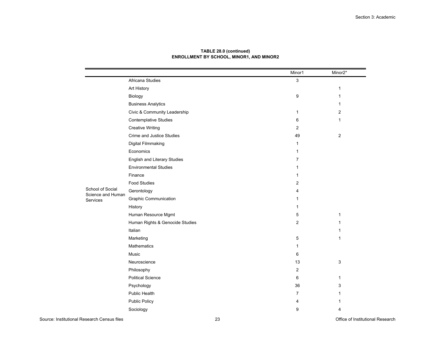|                                                           |                                 | Minor1                    | Minor2*      |
|-----------------------------------------------------------|---------------------------------|---------------------------|--------------|
|                                                           | Africana Studies                | $\ensuremath{\mathsf{3}}$ |              |
|                                                           | Art History                     |                           | 1            |
|                                                           | Biology                         | 9                         | 1            |
| <b>Business Analytics</b><br>Civic & Community Leadership |                                 |                           | 1            |
|                                                           | $\mathbf 1$                     | $\overline{2}$            |              |
|                                                           | <b>Contemplative Studies</b>    | 6                         | $\mathbf{1}$ |
|                                                           | <b>Creative Writing</b>         | $\overline{2}$            |              |
|                                                           | Crime and Justice Studies       | 49                        | $\mathbf{2}$ |
|                                                           | Digital Filmmaking              | 1                         |              |
|                                                           | Economics                       | $\mathbf 1$               |              |
|                                                           | English and Literary Studies    | 7                         |              |
|                                                           | <b>Environmental Studies</b>    | 1                         |              |
|                                                           | Finance                         | 1                         |              |
|                                                           | <b>Food Studies</b>             | 2                         |              |
| School of Social<br>Science and Human                     | Gerontology                     | 4                         |              |
| Services                                                  | <b>Graphic Communication</b>    | 1                         |              |
|                                                           | History                         | $\mathbf{1}$              |              |
|                                                           | Human Resource Mgmt             | 5                         | 1            |
|                                                           | Human Rights & Genocide Studies | 2                         | 1            |
|                                                           | Italian                         |                           | 1            |
|                                                           | Marketing                       | 5                         | $\mathbf 1$  |
|                                                           | Mathematics                     | $\mathbf 1$               |              |
|                                                           | Music                           | 6                         |              |
|                                                           | Neuroscience                    | 13                        | 3            |
|                                                           | Philosophy                      | $\mathbf{2}$              |              |
|                                                           | <b>Political Science</b>        | 6                         | 1            |
|                                                           | Psychology                      | 36                        | 3            |
|                                                           | Public Health                   | 7                         | 1            |
|                                                           | <b>Public Policy</b>            | 4                         |              |
|                                                           | Sociology                       | 9                         | 4            |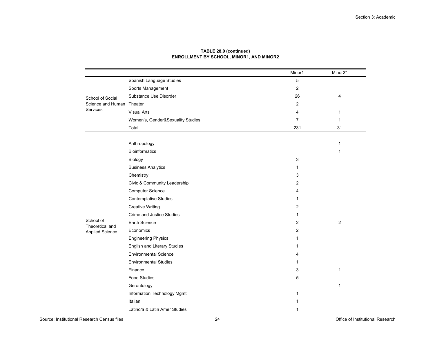|                               |                                     | Minor1         | Minor2*      |
|-------------------------------|-------------------------------------|----------------|--------------|
|                               | Spanish Language Studies            | 5              |              |
|                               | Sports Management                   | 2              |              |
| School of Social              | Substance Use Disorder              | 26             | 4            |
| Science and Human<br>Services | Theater                             | 2              |              |
|                               | <b>Visual Arts</b>                  | 4              | 1            |
|                               | Women's, Gender&Sexuality Studies   | $\overline{7}$ | $\mathbf{1}$ |
|                               | Total                               | 231            | 31           |
|                               |                                     |                |              |
|                               | Anthropology                        |                | 1            |
|                               | <b>Bioinformatics</b>               |                | 1            |
|                               | Biology                             | 3              |              |
|                               | <b>Business Analytics</b>           | $\mathbf{1}$   |              |
|                               | Chemistry                           | 3              |              |
|                               | Civic & Community Leadership        | 2              |              |
|                               | <b>Computer Science</b>             | 4              |              |
|                               | <b>Contemplative Studies</b>        | 1              |              |
|                               | <b>Creative Writing</b>             | 2              |              |
|                               | Crime and Justice Studies           | $\mathbf{1}$   |              |
| School of<br>Theoretical and  | Earth Science                       | 2              | $\sqrt{2}$   |
| <b>Applied Science</b>        | Economics                           | $\overline{2}$ |              |
|                               | <b>Engineering Physics</b>          | 1              |              |
|                               | <b>English and Literary Studies</b> | 1              |              |
|                               | <b>Environmental Science</b>        | 4              |              |
|                               | <b>Environmental Studies</b>        | 1              |              |
|                               | Finance                             | 3              | 1            |
|                               | <b>Food Studies</b>                 | 5              |              |
|                               | Gerontology                         |                | $\mathbf{1}$ |
|                               | Information Technology Mgmt         | 1              |              |
|                               | Italian                             | 1              |              |
|                               | Latino/a & Latin Amer Studies       | 1              |              |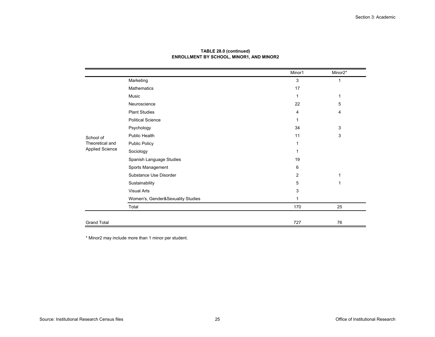|                        |                                   | Minor1         | Minor2* |
|------------------------|-----------------------------------|----------------|---------|
|                        | Marketing                         | 3              | 1       |
|                        | Mathematics                       | 17             |         |
|                        | Music                             | 1              | 1       |
|                        | Neuroscience                      | 22             | 5       |
|                        | <b>Plant Studies</b>              | 4              | 4       |
|                        | <b>Political Science</b>          |                |         |
|                        | Psychology                        | 34             | 3       |
| School of              | Public Health                     | 11             | 3       |
| Theoretical and        | <b>Public Policy</b>              | 1              |         |
| <b>Applied Science</b> | Sociology                         |                |         |
|                        | Spanish Language Studies          | 19             |         |
|                        | Sports Management                 | 6              |         |
|                        | Substance Use Disorder            | $\overline{2}$ | 1       |
|                        | Sustainability                    | 5              | 1       |
|                        | <b>Visual Arts</b>                | 3              |         |
|                        | Women's, Gender&Sexuality Studies | 1              |         |
|                        | Total                             | 170            | 25      |
|                        |                                   |                |         |
| <b>Grand Total</b>     |                                   | 727            | 76      |

\* Minor2 may include more than 1 minor per student.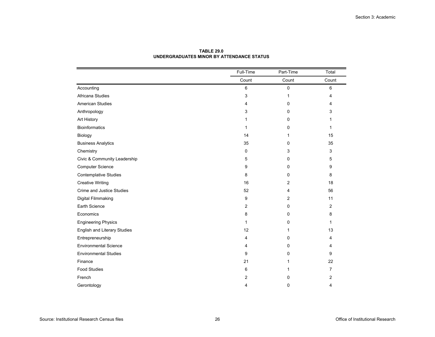|                                     | Full-Time   | Part-Time | Total          |
|-------------------------------------|-------------|-----------|----------------|
|                                     | Count       | Count     | Count          |
| Accounting                          | 6           | 0         | 6              |
| Africana Studies                    | 3           | 1         | 4              |
| <b>American Studies</b>             | 4           | 0         | 4              |
| Anthropology                        | 3           | 0         | 3              |
| Art History                         | 1           | 0         | 1              |
| <b>Bioinformatics</b>               | 1           | 0         | 1              |
| Biology                             | 14          | 1         | 15             |
| <b>Business Analytics</b>           | 35          | 0         | 35             |
| Chemistry                           | $\mathbf 0$ | 3         | 3              |
| Civic & Community Leadership        | 5           | 0         | 5              |
| <b>Computer Science</b>             | 9           | 0         | 9              |
| <b>Contemplative Studies</b>        | 8           | 0         | 8              |
| <b>Creative Writing</b>             | 16          | 2         | 18             |
| <b>Crime and Justice Studies</b>    | 52          | 4         | 56             |
| Digital Filmmaking                  | 9           | 2         | 11             |
| Earth Science                       | 2           | 0         | 2              |
| Economics                           | 8           | 0         | 8              |
| <b>Engineering Physics</b>          | 1           | 0         | 1              |
| <b>English and Literary Studies</b> | 12          |           | 13             |
| Entrepreneurship                    | 4           | 0         | 4              |
| <b>Environmental Science</b>        | 4           | 0         | 4              |
| <b>Environmental Studies</b>        | 9           | 0         | 9              |
| Finance                             | 21          | 1         | 22             |
| <b>Food Studies</b>                 | 6           |           | $\overline{7}$ |
| French                              | 2           | 0         | 2              |
| Gerontology                         | 4           | 0         | 4              |

#### **TABLE 29.0UNDERGRADUATES MINOR BY ATTENDANCE STATUS**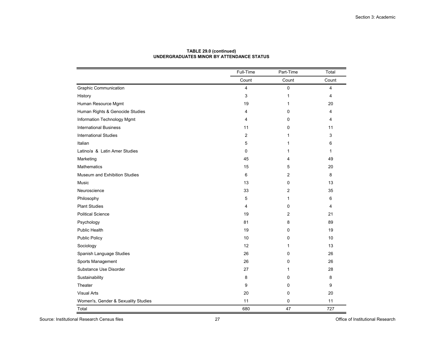|                                     | Full-Time               | Part-Time    | Total |
|-------------------------------------|-------------------------|--------------|-------|
|                                     | Count                   | Count        | Count |
| <b>Graphic Communication</b>        | 4                       | 0            | 4     |
| History                             | 3                       | $\mathbf{1}$ | 4     |
| Human Resource Mgmt                 | 19                      | 1            | 20    |
| Human Rights & Genocide Studies     | 4                       | 0            | 4     |
| Information Technology Mgmt         | 4                       | $\Omega$     | 4     |
| <b>International Business</b>       | 11                      | 0            | 11    |
| <b>International Studies</b>        | $\overline{\mathbf{c}}$ | 1            | 3     |
| Italian                             | 5                       | 1            | 6     |
| Latino/a & Latin Amer Studies       | 0                       | 1            | 1     |
| Marketing                           | 45                      | 4            | 49    |
| <b>Mathematics</b>                  | 15                      | 5            | 20    |
| Museum and Exhibition Studies       | 6                       | 2            | 8     |
| Music                               | 13                      | 0            | 13    |
| Neuroscience                        | 33                      | 2            | 35    |
| Philosophy                          | 5                       | 1            | 6     |
| <b>Plant Studies</b>                | 4                       | 0            | 4     |
| <b>Political Science</b>            | 19                      | 2            | 21    |
| Psychology                          | 81                      | 8            | 89    |
| Public Health                       | 19                      | 0            | 19    |
| <b>Public Policy</b>                | 10                      | 0            | 10    |
| Sociology                           | 12                      | 1            | 13    |
| Spanish Language Studies            | 26                      | 0            | 26    |
| Sports Management                   | 26                      | 0            | 26    |
| Substance Use Disorder              | 27                      | 1            | 28    |
| Sustainability                      | 8                       | 0            | 8     |
| Theater                             | 9                       | 0            | 9     |
| <b>Visual Arts</b>                  | 20                      | 0            | 20    |
| Women's, Gender & Sexuality Studies | 11                      | 0            | 11    |
| Total                               | 680                     | 47           | 727   |

#### **TABLE 29.0 (continued) UNDERGRADUATES MINOR BY ATTENDANCE STATUS**

Source: Institutional Research Census files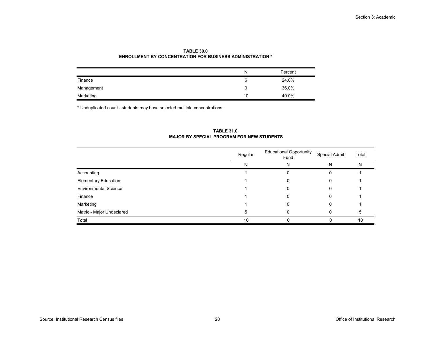|            | N  | Percent |
|------------|----|---------|
| Finance    |    | 24.0%   |
| Management | У  | 36.0%   |
| Marketing  | 10 | 40.0%   |

#### **TABLE 30.0ENROLLMENT BY CONCENTRATION FOR BUSINESS ADMINISTRATION \***

\* Unduplicated count - students may have selected multiple concentrations.

#### Regular Educational Opportunity FundSpecial Admit Total N N N N Accounting 1 0 01 Elementary Education and the control of the control of the control of the control of the control of the control of the control of the control of the control of the control of the control of the control of the control of th Environmental Sciencee 1 0 0 1 Financee 1 0 0 1 Marketing 1 0 01 Matric - Major Undeclared **5** 0 0 0 5 Total $\blacksquare$ 0 0 10

#### **TABLE 31.0 MAJOR BY SPECIAL PROGRAM FOR NEW STUDENTS**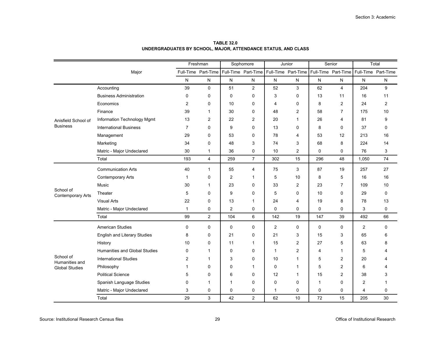|                                         |                                      |                | Freshman            |                | Sophomore           |                | Junior       |                | Senior                                  |                | Total               |  |
|-----------------------------------------|--------------------------------------|----------------|---------------------|----------------|---------------------|----------------|--------------|----------------|-----------------------------------------|----------------|---------------------|--|
|                                         | Major                                |                | Full-Time Part-Time |                | Full-Time Part-Time |                |              |                | Full-Time Part-Time Full-Time Part-Time |                | Full-Time Part-Time |  |
|                                         |                                      | N              | N                   | N              | $\mathsf{N}$        | N              | N            | N              | N                                       | N              | N                   |  |
|                                         | Accounting                           | 39             | 0                   | 51             | $\overline{2}$      | 52             | 3            | 62             | 4                                       | 204            | 9                   |  |
|                                         | <b>Business Administration</b>       | 0              | 0                   | $\mathbf 0$    | 0                   | 3              | 0            | 13             | 11                                      | 16             | 11                  |  |
|                                         | Economics                            | $\overline{2}$ | 0                   | 10             | 0                   | 4              | 0            | 8              | 2                                       | 24             | 2                   |  |
|                                         | Finance                              | 39             | 1                   | 30             | 0                   | 48             | 2            | 58             | 7                                       | 175            | 10                  |  |
| Anisfield School of                     | Information Technology Mgmt          | 13             | 2                   | 22             | 2                   | 20             | $\mathbf{1}$ | 26             | 4                                       | 81             | 9                   |  |
| <b>Business</b>                         | <b>International Business</b>        | $\overline{7}$ | 0                   | 9              | 0                   | 13             | $\mathbf 0$  | 8              | 0                                       | 37             | 0                   |  |
|                                         | Management                           | 29             | 0                   | 53             | $\mathbf 0$         | 78             | 4            | 53             | 12                                      | 213            | 16                  |  |
|                                         | Marketing                            | 34             | 0                   | 48             | 3                   | 74             | 3            | 68             | 8                                       | 224            | 14                  |  |
|                                         | Matric - Major Undeclared            | 30             | 1                   | 36             | 0                   | 10             | $\mathbf{2}$ | $\mathbf 0$    | 0                                       | 76             | 3                   |  |
|                                         | Total                                | 193            | 4                   | 259            | $\overline{7}$      | 302            | 15           | 296            | 48                                      | 1,050          | 74                  |  |
|                                         | <b>Communication Arts</b>            | 40             | 1                   | 55             | 4                   | 75             | 3            | 87             | 19                                      | 257            | 27                  |  |
|                                         | <b>Contemporary Arts</b>             | 1              | 0                   | $\overline{2}$ | 1                   | 5              | 10           | 8              | 5                                       | 16             | 16                  |  |
|                                         | Music                                | 30             | 1                   | 23             | 0                   | 33             | 2            | 23             | 7                                       | 109            | 10                  |  |
| School of<br><b>Contemporary Arts</b>   | Theater                              | 5              | 0                   | 9              | 0                   | 5              | $\Omega$     | 10             | 0                                       | 29             | 0                   |  |
|                                         | <b>Visual Arts</b>                   | 22             | 0                   | 13             | 1                   | 24             | 4            | 19             | 8                                       | 78             | 13                  |  |
|                                         | Matric - Major Undeclared            | $\mathbf{1}$   | 0                   | $\overline{2}$ | 0                   | 0              | 0            | $\mathbf 0$    | 0                                       | 3              | 0                   |  |
|                                         | Total                                | 99             | $\overline{2}$      | 104            | 6                   | 142            | 19           | 147            | 39                                      | 492            | 66                  |  |
|                                         | <b>American Studies</b>              | 0              | 0                   | 0              | 0                   | $\overline{2}$ | 0            | $\mathbf 0$    | 0                                       | $\overline{2}$ | 0                   |  |
|                                         | <b>English and Literary Studies</b>  | 8              | 0                   | 21             | 0                   | 21             | 3            | 15             | 3                                       | 65             | 6                   |  |
|                                         | History                              | 10             | 0                   | 11             | 1                   | 15             | 2            | 27             | 5                                       | 63             | 8                   |  |
|                                         | <b>Humanities and Global Studies</b> | 0              | 1                   | 0              | 0                   | $\mathbf{1}$   | $\mathbf{2}$ | $\overline{4}$ | $\mathbf{1}$                            | 5              | 4                   |  |
| School of                               | <b>International Studies</b>         | $\overline{2}$ | 1                   | 3              | 0                   | 10             | $\mathbf{1}$ | 5              | 2                                       | 20             | 4                   |  |
| Humanities and<br><b>Global Studies</b> | Philosophy                           | 1              | 0                   | 0              | 1                   | 0              | 1            | 5              | 2                                       | 6              | 4                   |  |
|                                         | <b>Political Science</b>             | 5              | 0                   | 6              | 0                   | 12             | 1            | 15             | 2                                       | 38             | 3                   |  |
|                                         | Spanish Language Studies             | 0              | 1                   | 1              | 0                   | 0              | 0            | $\mathbf{1}$   | 0                                       | $\overline{2}$ | 1                   |  |
|                                         | Matric - Major Undeclared            | 3              | 0                   | 0              | 0                   | $\mathbf{1}$   | 0            | 0              | 0                                       | 4              | 0                   |  |
|                                         | Total                                | 29             | 3                   | 42             | 2                   | 62             | 10           | 72             | 15                                      | 205            | 30                  |  |

**TABLE 32.0UNDERGRADUATES BY SCHOOL, MAJOR, ATTENDANCE STATUS, AND CLASS**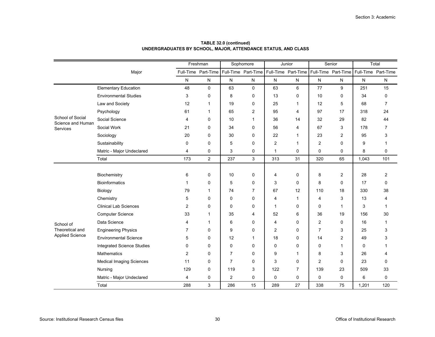|                                       |                                   |           | Freshman            |                | Sophomore      |                | Junior                                                                          |                | Senior         |       | Total       |
|---------------------------------------|-----------------------------------|-----------|---------------------|----------------|----------------|----------------|---------------------------------------------------------------------------------|----------------|----------------|-------|-------------|
|                                       | Major                             |           | Full-Time Part-Time |                |                |                | Full-Time Part-Time Full-Time Part-Time Full-Time Part-Time Full-Time Part-Time |                |                |       |             |
|                                       |                                   | ${\sf N}$ | N                   | ${\sf N}$      | ${\sf N}$      | ${\sf N}$      | ${\sf N}$                                                                       | N              | N              | N     | N           |
|                                       | <b>Elementary Education</b>       | 48        | $\mathbf 0$         | 63             | $\Omega$       | 63             | 6                                                                               | 77             | 9              | 251   | 15          |
|                                       | <b>Environmental Studies</b>      | 3         | $\mathbf 0$         | 8              | 0              | 13             | 0                                                                               | 10             | 0              | 34    | 0           |
|                                       | Law and Society                   | 12        | $\mathbf{1}$        | 19             | 0              | 25             | 1                                                                               | 12             | 5              | 68    | 7           |
|                                       | Psychology                        | 61        | $\mathbf 1$         | 65             | $\overline{2}$ | 95             | 4                                                                               | 97             | 17             | 318   | 24          |
| School of Social<br>Science and Human | Social Science                    | 4         | $\Omega$            | 10             | 1              | 36             | 14                                                                              | 32             | 29             | 82    | 44          |
| <b>Services</b>                       | Social Work                       | 21        | 0                   | 34             | 0              | 56             | 4                                                                               | 67             | 3              | 178   | 7           |
|                                       | Sociology                         | 20        | 0                   | 30             | 0              | 22             | 1                                                                               | 23             | 2              | 95    | 3           |
|                                       | Sustainability                    | 0         | $\Omega$            | 5              | $\Omega$       | $\overline{2}$ | 1                                                                               | 2              | 0              | 9     | 1           |
|                                       | Matric - Major Undeclared         | 4         | 0                   | 3              | 0              | $\mathbf{1}$   | $\mathbf 0$                                                                     | $\mathbf 0$    | 0              | 8     | 0           |
|                                       | Total                             | 173       | $\overline{2}$      | 237            | 3              | 313            | 31                                                                              | 320            | 65             | 1,043 | 101         |
|                                       |                                   |           |                     |                |                |                |                                                                                 |                |                |       |             |
|                                       | Biochemistry                      | 6         | $\mathbf 0$         | 10             | $\mathbf 0$    | 4              | 0                                                                               | 8              | $\overline{2}$ | 28    | 2           |
|                                       | <b>Bioinformatics</b>             | 1         | 0                   | 5              | 0              | 3              | 0                                                                               | 8              | 0              | 17    | $\mathbf 0$ |
|                                       | Biology                           | 79        | $\mathbf 1$         | 74             | $\overline{7}$ | 67             | 12                                                                              | 110            | 18             | 330   | 38          |
|                                       | Chemistry                         | 5         | $\Omega$            | 0              | $\mathbf 0$    | $\overline{4}$ | 1                                                                               | $\overline{4}$ | 3              | 13    | 4           |
|                                       | <b>Clinical Lab Sciences</b>      | 2         | 0                   | 0              | 0              | 1              | 0                                                                               | 0              | 1              | 3     | 1           |
|                                       | <b>Computer Science</b>           | 33        | $\mathbf{1}$        | 35             | 4              | 52             | 6                                                                               | 36             | 19             | 156   | 30          |
| School of                             | Data Science                      | 4         | $\mathbf{1}$        | 6              | 0              | 4              | 0                                                                               | $\overline{2}$ | 0              | 16    | 1           |
| Theoretical and                       | <b>Engineering Physics</b>        | 7         | $\Omega$            | 9              | 0              | $\overline{2}$ | 0                                                                               | $\overline{7}$ | 3              | 25    | 3           |
| <b>Applied Science</b>                | <b>Environmental Science</b>      | 5         | 0                   | 12             | 1              | 18             | $\Omega$                                                                        | 14             | $\overline{2}$ | 49    | 3           |
|                                       | <b>Integrated Science Studies</b> | 0         | 0                   | 0              | 0              | 0              | 0                                                                               | 0              | 1              | 0     |             |
|                                       | <b>Mathematics</b>                | 2         | $\Omega$            | $\overline{7}$ | $\Omega$       | 9              |                                                                                 | 8              | 3              | 26    | 4           |
|                                       | <b>Medical Imaging Sciences</b>   | 11        | 0                   | 7              | 0              | 3              | 0                                                                               | $\overline{2}$ | 0              | 23    | 0           |
|                                       | Nursing                           | 129       | $\mathbf 0$         | 119            | 3              | 122            | $\overline{7}$                                                                  | 139            | 23             | 509   | 33          |
|                                       | Matric - Major Undeclared         | 4         | 0                   | $\overline{c}$ | 0              | 0              | 0                                                                               | 0              | 0              | 6     | 0           |
|                                       | Total                             | 288       | 3                   | 286            | 15             | 289            | 27                                                                              | 338            | 75             | 1,201 | 120         |

**TABLE 32.0 (continued) UNDERGRADUATES BY SCHOOL, MAJOR, ATTENDANCE STATUS, AND CLASS**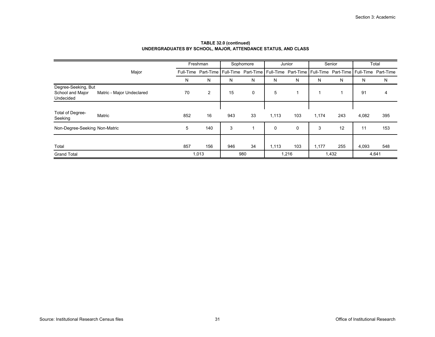|                               |                           |     | Freshman       |     | Sophomore                                                                                           |       | Junior      |       | Senior |       | Total |
|-------------------------------|---------------------------|-----|----------------|-----|-----------------------------------------------------------------------------------------------------|-------|-------------|-------|--------|-------|-------|
|                               | Major                     |     |                |     | Full-Time Part-Time Full-Time Part-Time Full-Time Part-Time Full-Time Part-Time Full-Time Part-Time |       |             |       |        |       |       |
|                               |                           | Ν   | N              | N   | N                                                                                                   | N     | N           | N     | N      | N     | Ν     |
| Degree-Seeking, But           |                           |     |                |     |                                                                                                     |       |             |       |        |       |       |
| School and Major<br>Undecided | Matric - Major Undeclared | 70  | $\overline{2}$ | 15  | 0                                                                                                   | 5     |             | 1     |        | 91    | 4     |
|                               |                           |     |                |     |                                                                                                     |       |             |       |        |       |       |
| Total of Degree-<br>Seeking   | Matric                    | 852 | 16             | 943 | 33                                                                                                  | 1,113 | 103         | 1,174 | 243    | 4,082 | 395   |
| Non-Degree-Seeking Non-Matric |                           | 5   | 140            | 3   |                                                                                                     | 0     | $\mathbf 0$ | 3     | 12     | 11    | 153   |
|                               |                           |     |                |     |                                                                                                     |       |             |       |        |       |       |
| Total                         |                           | 857 | 156            | 946 | 34                                                                                                  | 1,113 | 103         | 1,177 | 255    | 4,093 | 548   |
| <b>Grand Total</b>            |                           |     | 1,013          |     | 980                                                                                                 |       | 1,216       |       | 1,432  |       | 4,641 |

#### **TABLE 32.0 (continued) UNDERGRADUATES BY SCHOOL, MAJOR, ATTENDANCE STATUS, AND CLASS**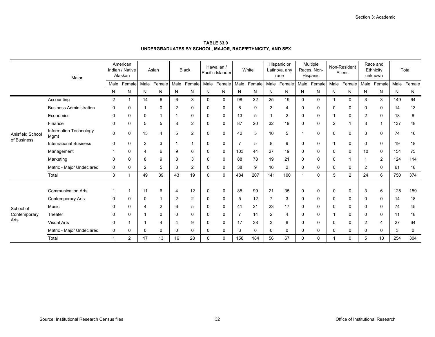|                  | Major                          |                | American<br>Indian / Native<br>Alaskan |                | Asian       |                | <b>Black</b>   |   | Hawaiian /<br>Pacific Islander |     | White       |     | Hispanic or<br>Latino/a, any<br>race |             | Multiple<br>Races, Non-<br>Hispanic |                | Non-Resident<br>Aliens |                | Race and<br>Ethnicity<br>unknown |     | Total       |
|------------------|--------------------------------|----------------|----------------------------------------|----------------|-------------|----------------|----------------|---|--------------------------------|-----|-------------|-----|--------------------------------------|-------------|-------------------------------------|----------------|------------------------|----------------|----------------------------------|-----|-------------|
|                  |                                |                | Male Female                            |                | Male Female |                | Male Female    |   | Male Female                    |     | Male Female |     | Male Female                          |             | Male Female                         |                | Male Female            |                | Male Female                      |     | Male Female |
|                  |                                | N              | N                                      | N              | N           | N              | N              | N | N                              | N   | N           | N   | N                                    | N           | N                                   | N              | N                      | N              | N                                | N   | N           |
|                  | Accounting                     | $\overline{2}$ |                                        | 14             | 6           | 6              | 3              | 0 | $\Omega$                       | 98  | 32          | 25  | 19                                   | $\Omega$    | $\mathbf 0$                         | 1              | $\Omega$               | 3              | 3                                | 149 | 64          |
|                  | <b>Business Administration</b> | 0              | 0                                      |                | $\Omega$    | 2              | $\Omega$       | 0 | $\mathbf{0}$                   | 8   | 9           | 3   | $\overline{4}$                       | 0           | 0                                   | $\Omega$       | 0                      | $\Omega$       | $\Omega$                         | 14  | 13          |
|                  | Economics                      | 0              | $\mathbf 0$                            | 0              | -1          |                | $\Omega$       | 0 | 0                              | 13  | 5           |     | 2                                    | $\Omega$    | 0                                   |                | 0                      | 2              | $\Omega$                         | 18  | 8           |
|                  | Finance                        | 0              | $\mathbf 0$                            | 5              | 5           | 8              | $\overline{2}$ | 0 | $\mathbf 0$                    | 87  | 20          | 32  | 19                                   | $\Omega$    | 0                                   | $\overline{2}$ | 1                      | 3              |                                  | 137 | 48          |
| Anisfield School | Information Technology<br>Mgmt | 0              | 0                                      | 13             | 4           | 5              | $\overline{2}$ | 0 | 0                              | 42  | 5           | 10  | 5                                    |             | 0                                   | 0              | 0                      | 3              | 0                                | 74  | 16          |
| of Business      | <b>International Business</b>  | 0              | 0                                      | $\overline{2}$ | 3           |                |                | 0 | 0                              |     | 5           | 8   | 9                                    | 0           | 0                                   |                | 0                      | 0              | 0                                | 19  | 18          |
|                  | Management                     |                | $\Omega$                               | 4              | 6           | 9              | 6              | 0 | 0                              | 103 | 44          | 27  | 19                                   | $\Omega$    | 0                                   | $\Omega$       | 0                      | 10             | $\Omega$                         | 154 | 75          |
|                  | Marketing                      | 0              | 0                                      | 8              | 9           | 8              | 3              | 0 | 0                              | 88  | 78          | 19  | 21                                   | $\Omega$    | 0                                   | $\Omega$       |                        |                | 2                                | 124 | 114         |
|                  | Matric - Major Undeclared      | 0              | 0                                      | 2              | 5           | 3              | $\overline{2}$ | 0 | 0                              | 38  | 9           | 16  | 2                                    | 0           | 0                                   | 0              | 0                      | 2              | $\Omega$                         | 61  | 18          |
|                  | Total                          | 3              |                                        | 49             | 39          | 43             | 19             | 0 | $\mathbf 0$                    | 484 | 207         | 141 | 100                                  | $\mathbf 1$ | 0                                   | 5              | $\overline{2}$         | 24             | 6                                | 750 | 374         |
|                  |                                |                |                                        |                |             |                |                |   |                                |     |             |     |                                      |             |                                     |                |                        |                |                                  |     |             |
|                  | <b>Communication Arts</b>      |                |                                        | 11             | 6           | 4              | 12             | 0 | $\mathbf{0}$                   | 85  | 99          | 21  | 35                                   | $\Omega$    | 0                                   | 0              | 0                      | 3              | 6                                | 125 | 159         |
|                  | <b>Contemporary Arts</b>       | 0              | 0                                      | 0              |             | 2              | $\overline{2}$ | 0 | 0                              | 5   | 12          |     | 3                                    | 0           | 0                                   | 0              | 0                      | $\Omega$       | $\Omega$                         | 14  | 18          |
| School of        | Music                          | ∩              | 0                                      | $\overline{4}$ | 2           | 6              | 5              | 0 | 0                              | 41  | 21          | 23  | 17                                   | $\Omega$    | 0                                   | $\Omega$       | 0                      | $\Omega$       | $\Omega$                         | 74  | 45          |
| Contemporary     | Theater                        | 0              | 0                                      |                | $\Omega$    | 0              | $\mathbf 0$    | 0 | 0                              |     | 14          | 2   | 4                                    | $\Omega$    | 0                                   |                | 0                      | 0              | $\Omega$                         | 11  | 18          |
| Arts             | <b>Visual Arts</b>             | 0              |                                        | 1              |             | $\overline{4}$ | 9              | 0 | 0                              | 17  | 38          | 3   | 8                                    | 0           | 0                                   | 0              | 0                      | $\overline{2}$ | $\overline{4}$                   | 27  | 64          |
|                  | Matric - Major Undeclared      | 0              | 0                                      | 0              | $\Omega$    | 0              | $\Omega$       | 0 | 0                              | 3   | 0           | 0   | $\mathbf 0$                          | 0           | 0                                   | 0              | 0                      | 0              | $\Omega$                         | 3   | 0           |
|                  | Total                          | -1             | 2                                      | 17             | 13          | 16             | 28             | 0 | 0                              | 158 | 184         | 56  | 67                                   | $\Omega$    | 0                                   |                | $\mathbf 0$            | 5              | 10                               | 254 | 304         |

**TABLE 33.0UNDERGRADUATES BY SCHOOL, MAJOR, RACE/ETHNICITY, AND SEX**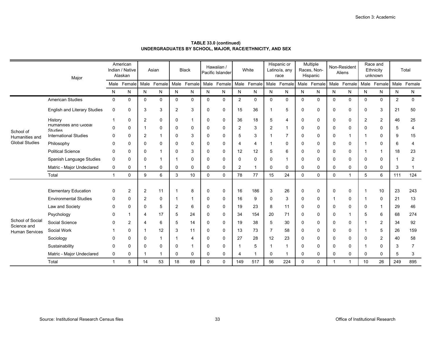|                                 | Major                                   |              | American<br>Indian / Native<br>Alaskan |                | Asian       |                | <b>Black</b>    |          | Hawaiian /<br>Pacific Islander |                | White          |             | Hispanic or<br>Latino/a, any<br>race |              | Multiple<br>Races, Non-<br>Hispanic |             | Non-Resident<br>Aliens |                | Race and<br>Ethnicity<br>unknown |                | Total          |
|---------------------------------|-----------------------------------------|--------------|----------------------------------------|----------------|-------------|----------------|-----------------|----------|--------------------------------|----------------|----------------|-------------|--------------------------------------|--------------|-------------------------------------|-------------|------------------------|----------------|----------------------------------|----------------|----------------|
|                                 |                                         |              | Male Female                            |                | Male Female |                | Male Female     |          | Male Female                    |                | Male Female    |             | Male Female                          |              | Male Female                         |             | Male Female            |                | Male Female                      | Male           | Female         |
|                                 |                                         | N            | N                                      | N              | N           | N              | N               | N        | N                              | N              | N              | N           | N                                    | N            | N                                   | N           | N                      | N              | N                                | N              | N              |
|                                 | American Studies                        | $\mathbf 0$  | 0                                      | $\mathbf 0$    | 0           | $\mathbf 0$    | $\mathbf 0$     | 0        | $\mathbf 0$                    | $\overline{2}$ | $\mathbf 0$    | $\mathbf 0$ | $\mathbf 0$                          | $\mathbf 0$  | $\mathbf 0$                         | 0           | 0                      | $\mathbf 0$    | $\mathbf 0$                      | $\overline{2}$ | $\mathbf 0$    |
|                                 | <b>English and Literary Studies</b>     | 0            | 0                                      | 3              | 3           | 2              | 3               | 0        | 0                              | 15             | 36             |             | 5                                    | 0            | 0                                   | 0           | 0                      | 0              | 3                                | 21             | 50             |
|                                 | History                                 |              | $\mathbf{0}$                           | $\overline{2}$ | 0           | $\mathbf 0$    | $\overline{1}$  | 0        | $\mathbf{0}$                   | 36             | 18             | 5           | 4                                    | 0            | $\mathbf 0$                         | 0           | 0                      | $\overline{2}$ | 2                                | 46             | 25             |
| School of                       | Humanities and Global<br><b>Studies</b> | $\mathbf{0}$ | 0                                      | -1             | 0           | 0              | $\Omega$        | $\Omega$ | $\Omega$                       | $\overline{2}$ | 3              | 2           | $\mathbf 1$                          | 0            | 0                                   | 0           | 0                      | 0              | 0                                | 5              | 4              |
| Humanities and                  | <b>International Studies</b>            | 0            | 0                                      | $\overline{2}$ |             | 0              | 3               | 0        | 0                              | 5              | 3              |             | $\overline{7}$                       | 0            | 0                                   | 0           | 1                      | -1             | 0                                | 9              | 15             |
| <b>Global Studies</b>           | Philosophy                              | $\mathbf{0}$ | 0                                      | $\Omega$       | 0           | 0              | $\mathbf 0$     | 0        | 0                              | 4              | $\overline{4}$ |             | 0                                    | $\Omega$     | 0                                   | 0           | 0                      |                | 0                                | 6              | $\overline{4}$ |
|                                 | <b>Political Science</b>                | $\Omega$     | 0                                      | $\Omega$       |             | 0              | 3               | $\Omega$ | $\Omega$                       | 12             | 12             | 5           | 6                                    | $\mathbf{0}$ | 0                                   | $\Omega$    | 0                      |                | 1                                | 18             | 23             |
|                                 | Spanish Language Studies                | 0            | 0                                      | $\Omega$       |             |                | 0               | 0        | 0                              | 0              | 0              | 0           | $\mathbf 1$                          | $\Omega$     | 0                                   | 0           | 0                      | 0              | 0                                | -1             | $\overline{2}$ |
|                                 | Matric - Major Undeclared               | 0            | 0                                      | -1             | 0           | 0              | $\mathbf 0$     | 0        | $\mathbf 0$                    | 2              | -1             | 0           | 0                                    | 0            | 0                                   | 0           | 0                      | 0              | 0                                | 3              | $\mathbf{1}$   |
|                                 | Total                                   | $\mathbf{1}$ | 0                                      | 9              | 6           | 3              | 10 <sup>°</sup> | 0        | $\mathbf 0$                    | 78             | 77             | 15          | 24                                   | $\mathbf 0$  | $\mathbf 0$                         | $\mathbf 0$ | 1                      | 5              | 6                                | 111            | 124            |
|                                 |                                         |              |                                        |                |             |                |                 |          |                                |                |                |             |                                      |              |                                     |             |                        |                |                                  |                |                |
|                                 | <b>Elementary Education</b>             | 0            | $\overline{2}$                         | 2              | 11          | 1              | 8               | 0        | $\mathbf 0$                    | 16             | 186            | 3           | 26                                   | 0            | $\mathbf 0$                         | 0           | 0                      | -1             | 10                               | 23             | 243            |
|                                 | <b>Environmental Studies</b>            | 0            | 0                                      | $\overline{2}$ | 0           |                |                 | 0        | 0                              | 16             | 9              | 0           | 3                                    | 0            | 0                                   |             | 0                      | -1             | 0                                | 21             | 13             |
|                                 | Law and Society                         | 0            | 0                                      | $\Omega$       | 5           | $\overline{2}$ | 6               | $\Omega$ | $\mathbf 0$                    | 19             | 23             | 8           | 11                                   | $\mathbf{0}$ | $\mathbf 0$                         | 0           | 0                      | 0              | 1                                | 29             | 46             |
|                                 | Psychology                              | 0            | 1                                      | 4              | 17          | 5              | 24              | $\Omega$ | $\mathbf{0}$                   | 34             | 154            | 20          | 71                                   | $\mathbf{0}$ | 0                                   | $\Omega$    | 1                      | 5              | 6                                | 68             | 274            |
| School of Social<br>Science and | Social Science                          | U            | 2                                      | $\overline{4}$ | 6           | 5              | 14              | 0        | 0                              | 19             | 38             | 5           | 30                                   | 0            | 0                                   | 0           | 0                      |                | 2                                | 34             | 92             |
| <b>Human Services</b>           | Social Work                             |              | 0                                      |                | 12          | 3              | 11              | 0        | 0                              | 13             | 73             | 7           | 58                                   | 0            | 0                                   | 0           | 0                      |                | 5                                | 26             | 159            |
|                                 | Sociology                               | $\Omega$     | 0                                      | $\Omega$       |             |                | $\overline{4}$  | $\Omega$ | $\Omega$                       | 27             | 28             | 12          | 23                                   | 0            | 0                                   | 0           | 0                      | $\Omega$       | 2                                | 40             | 58             |
|                                 | Sustainability                          | 0            | 0                                      | $\Omega$       | 0           | 0              | $\overline{1}$  | 0        | 0                              | -1             | 5              |             | $\mathbf 1$                          | 0            | 0                                   | 0           | 0                      | -1             | 0                                | 3              | $\overline{7}$ |
|                                 | Matric - Major Undeclared               | 0            | 0                                      | -1             |             | 0              | $\mathbf 0$     | 0        | $\mathbf 0$                    | 4              |                | 0           | -1                                   | $\mathbf{0}$ | 0                                   | 0           | 0                      | 0              | 0                                | 5              | 3              |
|                                 | Total                                   | $\mathbf{1}$ | 5                                      | 14             | 53          | 18             | 69              | 0        | $\Omega$                       | 149            | 517            | 56          | 224                                  | $\Omega$     | $\mathbf 0$                         |             | 1                      | 10             | 26                               | 249            | 895            |

**TABLE 33.0 (continued) UNDERGRADUATES BY SCHOOL, MAJOR, RACE/ETHNICITY, AND SEX**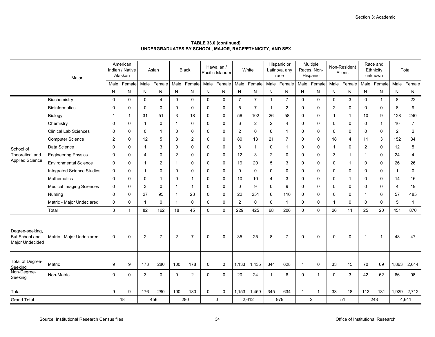|                                                     | Major                             |              | American<br>Indian / Native<br>Alaskan |             | Asian          |                | <b>Black</b>   |             | Hawaiian /<br>Pacific Islander |                | White          |                | Hispanic or<br>Latino/a, any<br>race |                | Multiple<br>Races, Non-<br>Hispanic |          | Non-Resident<br>Aliens |                | Race and<br>Ethnicity<br>unknown |                | Total          |
|-----------------------------------------------------|-----------------------------------|--------------|----------------------------------------|-------------|----------------|----------------|----------------|-------------|--------------------------------|----------------|----------------|----------------|--------------------------------------|----------------|-------------------------------------|----------|------------------------|----------------|----------------------------------|----------------|----------------|
|                                                     |                                   |              | Male Female                            |             | Male Female    |                | Male Female    |             | Male Female                    |                | Male Female    |                | Male Female                          |                | Male Female                         |          | Male Female            |                | Male Female                      | Male           | Female         |
|                                                     |                                   | N            | N                                      | N           | N              | $\mathsf{N}$   | ${\sf N}$      | N           | N                              | ${\sf N}$      | ${\sf N}$      | ${\sf N}$      | N                                    | $\mathsf{N}$   | N                                   | N        | N                      | ${\sf N}$      | N                                | N              | $\mathsf{N}$   |
|                                                     | Biochemistry                      | $\mathbf 0$  | $\mathbf 0$                            | $\mathbf 0$ | 4              | $\mathbf 0$    | $\mathbf 0$    | $\mathbf 0$ | $\mathbf 0$                    | $\overline{7}$ | $\overline{7}$ | $\mathbf{1}$   | $\overline{7}$                       | $\mathbf 0$    | $\mathbf 0$                         | 0        | 3                      | $\mathbf{0}$   | $\mathbf{1}$                     | 8              | 22             |
|                                                     | <b>Bioinformatics</b>             | $\mathbf{0}$ | $\mathbf 0$                            | $\mathbf 0$ | 0              | $\mathbf 0$    | $\mathbf 0$    | $\mathbf 0$ | $\mathbf 0$                    | 5              | $\overline{7}$ | -1             | $\overline{\mathbf{c}}$              | $\Omega$       | $\mathbf 0$                         | 2        | 0                      | $\Omega$       | $\mathbf 0$                      | 8              | 9              |
|                                                     | Biology                           |              | 1                                      | 31          | 51             | 3              | 18             | 0           | 0                              | 56             | 102            | 26             | 58                                   | 0              | 0                                   | 1        | -1                     | 10             | 9                                | 128            | 240            |
|                                                     | Chemistry                         | 0            | $\Omega$                               | -1          | 0              | $\mathbf 1$    | 0              | 0           | 0                              | 6              | 2              | $\overline{2}$ | $\overline{4}$                       | $\Omega$       | $\mathbf 0$                         | 0        | $\mathbf 0$            | $\Omega$       | $\mathbf 1$                      | 10             | $\overline{7}$ |
|                                                     | <b>Clinical Lab Sciences</b>      | $\mathbf{0}$ | $\Omega$                               | 0           | 1              | 0              | $\mathbf{0}$   | $\Omega$    | 0                              | 2              | $\mathbf 0$    | $\Omega$       | $\mathbf{1}$                         | $\Omega$       | $\mathbf 0$                         | $\Omega$ | $\mathbf 0$            | $\Omega$       | 0                                | 2              | 2              |
|                                                     | <b>Computer Science</b>           | 2            | $\mathbf 0$                            | 12          | 5              | 8              | $\overline{2}$ | 0           | $\mathbf 0$                    | 80             | 13             | 21             | $\overline{7}$                       | 0              | $\mathbf 0$                         | 18       | 4                      | 11             | 3                                | 152            | 34             |
| School of                                           | Data Science                      | $\Omega$     | $\Omega$                               | -1          | 3              | 0              | $\mathbf{0}$   | 0           | 0                              | 8              | -1             | $\mathbf 0$    | $\mathbf 1$                          | $\Omega$       | 0                                   | -1       | 0                      | 2              | 0                                | 12             | 5              |
| Theoretical and                                     | <b>Engineering Physics</b>        | 0            | $\Omega$                               | 4           | 0              | $\overline{2}$ | $\mathbf{0}$   | $\mathbf 0$ | $\mathbf 0$                    | 12             | 3              | $\overline{2}$ | 0                                    | $\Omega$       | $\mathbf 0$                         | 3        |                        | -1             | $\Omega$                         | 24             | 4              |
| <b>Applied Science</b>                              | <b>Environmental Science</b>      | $\Omega$     | $\Omega$                               | -1          | 2              | $\mathbf 1$    | 0              | $\Omega$    | $\Omega$                       | 19             | 20             | 5              | 3                                    | $\Omega$       | $\mathbf 0$                         | $\Omega$ | -1                     | $\Omega$       | $\Omega$                         | 26             | 26             |
|                                                     | <b>Integrated Science Studies</b> | 0            | $\mathbf 0$                            | -1          | 0              | $\mathbf 0$    | $\mathbf 0$    | $\Omega$    | $\mathbf 0$                    | $\Omega$       | $\mathbf 0$    | $\mathbf 0$    | $\mathbf 0$                          | $\mathbf 0$    | $\mathbf 0$                         | 0        | $\mathbf 0$            | 0              | $\mathbf 0$                      | $\overline{1}$ | $\pmb{0}$      |
|                                                     | Mathematics                       | 0            | $\mathbf 0$                            | 0           | 1              | $\mathbf 0$    | $\overline{1}$ | $\Omega$    | $\mathbf 0$                    | 10             | 10             | 4              | 3                                    | $\Omega$       | $\mathbf 0$                         | 0        |                        | $\Omega$       | 0                                | 14             | 16             |
|                                                     | <b>Medical Imaging Sciences</b>   | 0            | 0                                      | 3           | 0              | $\mathbf 1$    | $\overline{1}$ | 0           | 0                              | $\Omega$       | 9              | $\Omega$       | 9                                    | $\Omega$       | 0                                   | 0        | 0                      | 0              | 0                                | $\overline{4}$ | 19             |
|                                                     | Nursing                           | 0            | $\Omega$                               | 27          | 95             | $\mathbf{1}$   | 23             | $\mathbf 0$ | $\mathbf 0$                    | 22             | 251            | 6              | 110                                  | $\Omega$       | $\mathbf 0$                         | 0        | $\mathbf 0$            | -1             | 6                                | 57             | 485            |
|                                                     | Matric - Major Undeclared         | 0            | 0                                      | -1          | 0              | $\mathbf{1}$   | $\mathbf 0$    | $\mathbf 0$ | 0                              | 2              | $\mathbf 0$    | $\mathbf 0$    | $\mathbf{1}$                         | $\mathbf 0$    | 0                                   | 1        | $\mathbf 0$            | 0              | 0                                | 5              | $\mathbf{1}$   |
|                                                     | Total                             | 3            | 1                                      | 82          | 162            | 18             | 45             | $\mathbf 0$ | $\mathbf 0$                    | 229            | 425            | 68             | 206                                  | $\Omega$       | $\mathbf 0$                         | 26       | 11                     | 25             | 20                               | 451            | 870            |
| Degree-seeking<br>But School and<br>Major Undecided | Matric - Major Undeclared         | $\mathbf 0$  | $\mathbf 0$                            | 2           | $\overline{7}$ | $\overline{2}$ | $\overline{7}$ | $\mathbf 0$ | $\mathbf 0$                    | 35             | 25             | 8              | $\overline{7}$                       | $\mathbf 0$    | $\mathbf 0$                         | 0        | $\mathbf 0$            | $\overline{1}$ | $\mathbf{1}$                     | 48             | 47             |
| Total of Degree-<br>Seeking                         | Matric                            | 9            | 9                                      | 173         | 280            | 100            | 178            | $\mathsf 0$ | $\mathbf 0$                    | 1,133          | 1,435          | 344            | 628                                  | $\overline{1}$ | $\pmb{0}$                           | 33       | 15                     | 70             | 69                               | 1,863          | 2,614          |
| Non-Degree-<br>Seeking                              | Non-Matric                        | $\mathbf 0$  | $\mathbf 0$                            | 3           | 0              | $\mathbf 0$    | 2              | $\mathbf 0$ | $\mathbf 0$                    | 20             | 24             | $\mathbf{1}$   | 6                                    | 0              | $\mathbf{1}$                        | 0        | 3                      | 42             | 62                               | 66             | 98             |
| Total                                               |                                   | 9            | 9                                      | 176         | 280            | 100            | 180            | $\mathbf 0$ | $\mathbf 0$                    |                | 1,153 1,459    | 345            | 634                                  | 1              | $\mathbf{1}$                        | 33       | 18                     | 112            | 131                              | 1,929          | 2,712          |
| <b>Grand Total</b>                                  |                                   |              | 18                                     |             | 456            |                | 280            |             | $\mathbf 0$                    |                | 2,612          |                | 979                                  |                | $\overline{2}$                      |          | 51                     |                | 243                              |                | 4,641          |

**TABLE 33.0 (continued) UNDERGRADUATES BY SCHOOL, MAJOR, RACE/ETHNICITY, AND SEX**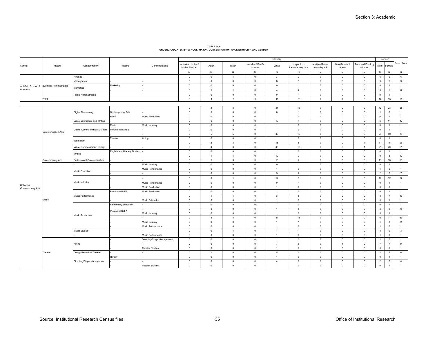|                   |                                             |                                |                              |                                    |                                   |                             |                             |                                | Ethnicity                        |                                   |                                        |                            |                                  | Gender                         |                     |                         |
|-------------------|---------------------------------------------|--------------------------------|------------------------------|------------------------------------|-----------------------------------|-----------------------------|-----------------------------|--------------------------------|----------------------------------|-----------------------------------|----------------------------------------|----------------------------|----------------------------------|--------------------------------|---------------------|-------------------------|
| School            | Major1                                      | Concentration1                 | Major2                       | Concentration2                     | American Indian<br>Native Alaskan | Asian                       | Black                       | Hawaiian / Pacific<br>Islander | White                            | Hispanic or<br>Latino/a, any race | Multiple Races<br>Non-Hispanic         | Non-Resident<br>Aliens     | Race and Ethnicity<br>unknown    | Male                           | Femal               | Grand Total             |
|                   |                                             |                                |                              |                                    | N                                 | N                           | N                           | N                              | N                                | N                                 | N                                      | N                          | N                                | N                              | N                   | ${\sf N}$               |
|                   |                                             | Finance                        |                              | $\sim$                             | $\circ$                           | $\mathbf{0}$                | $\overline{1}$              | $\mathbf 0$                    | $\mathbf{3}$                     | $\overline{2}$                    | $\overline{0}$                         | $\overline{0}$             | $\overline{0}$                   | 6                              | $\mathbf 0$         | 6                       |
|                   |                                             | Management                     |                              | $\sim$                             | $\mathbf 0$                       | $\mathbb O$                 | $\mathbf 0$                 | $\overline{0}$                 | 8                                | $\overline{1}$                    | $\overline{\mathbf{0}}$                | $\overline{0}$             | $\overline{0}$                   | $\overline{\mathbf{3}}$        | 6                   | 9                       |
| <b>Business</b>   | Anisfield School of Business Administration | Marketing                      | Marketing                    | $\sim$<br>$\overline{\phantom{a}}$ | $\circ$<br>$\circ$                | $\mathbb O$<br>$\mathbf{1}$ | $\mathbf 0$<br>$\mathbf{1}$ | $\circ$<br>$\circ$             | $\overline{0}$<br>$\overline{4}$ | $\overline{1}$<br>$\overline{2}$  | $\overline{\mathbf{0}}$<br>$\mathbf 0$ | $\mathsf 0$<br>$\mathbf 0$ | $\overline{0}$<br>$\overline{0}$ | $\overline{0}$<br>$\mathbf{3}$ | $\overline{1}$<br>5 | $\overline{1}$<br>8     |
|                   |                                             | Public Administration          |                              |                                    | $\circ$                           | $\mathbf 0$                 | $\mathbf{0}$                | $\circ$                        | $\overline{0}$                   | $\overline{1}$                    | $\overline{0}$                         | $\circ$                    | $\overline{0}$                   | $\overline{0}$                 | $\overline{1}$      | 1                       |
|                   | Total                                       |                                |                              | $\sim$                             | $\circ$                           | $\overline{1}$              | 2                           | $\mathbb O$                    | 15                               | $\overline{7}$                    | $\mathsf 0$                            | $\mathbf{0}$               | $\circ$                          | 12                             | 13                  | 25                      |
|                   |                                             |                                |                              |                                    |                                   |                             |                             |                                |                                  |                                   |                                        |                            |                                  |                                |                     |                         |
|                   |                                             |                                |                              | $\sim$                             | $\overline{2}$                    | $\overline{4}$              | 3                           | $\circ$                        | 41                               | 13                                | $^{\circ}$                             | $\circ$                    | $\overline{2}$                   | 42                             | 23                  | 65                      |
|                   |                                             | Digital Filmmaking             | Contemporary Arts            |                                    | $\mathsf 0$                       | $\mathbf 0$                 | $\mathbf 0$                 | $\mathbf 0$                    | $\mathbf 0$                      | $\overline{1}$                    | $\overline{0}$                         | $\mathbf 0$                | $\mathsf 0$                      | $\overline{1}$                 | $\mathbf 0$         | $\overline{1}$          |
|                   |                                             |                                | Music                        | Music Production                   | $\circ$                           | $\mathbf 0$                 | $\mathbf 0$                 | $\mathbf 0$                    | $\overline{1}$                   | $\circ$                           | $\overline{0}$                         | $\circ$                    | $\mathsf 0$                      | $\mathbf 0$                    | $\overline{1}$      | $\overline{1}$          |
|                   |                                             | Digital Journalism and Writing |                              | $\sim$                             | $\mathbf{0}$                      | $\Omega$                    | $\Omega$                    | $\overline{0}$                 | 13                               | $\overline{4}$                    | $\Omega$                               | $\Omega$                   | $\overline{0}$                   | 6                              | 11                  | 17                      |
|                   |                                             |                                | Music                        | Music Industry                     | $\circ$                           | $\mathbf 0$                 | $\mathbb O$                 | $\circ$                        | $\overline{1}$                   | $\circ$                           | $\overline{\mathbf{0}}$                | $\overline{0}$             | $\overline{0}$                   | $\,0\,$                        | -1                  | $\overline{1}$          |
|                   |                                             | Global Communication & Media   | Provisional MASE             | $\sim$                             | $\mathsf 0$                       | $\mathbf 0$                 | $\mathbf 0$                 | $\mathbf 0$                    | $\mathbf{1}$                     | $\mathsf 0$                       | $\overline{0}$                         | $\Omega$                   | $\overline{0}$                   | $\mathbf 0$                    | $\overline{1}$      | $\overline{1}$          |
|                   | <b>Communication Arts</b>                   |                                |                              |                                    | $\circ$                           | 5                           | 5                           | $\circ$                        | 43                               | $16\,$                            | $\circ$                                | $\mathbf 0$                | $\overline{5}$                   | 24                             | 50                  | 74                      |
|                   |                                             |                                | Theater                      | Acting                             | $\mathsf 0$                       | $\mathbf 0$                 | $\mathbf 0$                 | $\mathbf 0$                    | $\overline{1}$                   | $\mathsf 0$                       | $\overline{\mathbf{0}}$                | $\mathbf 0$                | $\overline{0}$                   | $\mathsf 0$                    | $\overline{1}$      | $\overline{1}$          |
|                   |                                             | Journalism                     |                              |                                    | $\circ$                           | $\overline{2}$              | 3                           | $\circ$                        | 15                               | 5                                 | $\overline{0}$                         | $\circ$                    | $\overline{1}$                   | 11                             | 15                  | 26                      |
|                   |                                             | Visual Communication Design    |                              | $\sim$                             | $\circ$                           | $\overline{4}$              | 3                           | $\circ$                        | 40                               | 13                                | $\overline{0}$                         | $\overline{0}$             | $\overline{1}$                   | 21                             | 40                  | 61                      |
|                   |                                             |                                | English and Literary Studies |                                    | $\circ$                           | $\mathbf 0$                 | $\mathbf 0$                 | $\circ$                        | $\overline{1}$                   | $\circ$                           | $\overline{0}$                         | $\mathbf 0$                | $\overline{0}$                   | $\mathsf 0$                    | -1                  | $\overline{1}$          |
|                   |                                             | Writing                        |                              | $\sim$                             | $\mathbf{0}$                      | $\overline{1}$              | $\mathbf{1}$                | $\circ$                        | 12                               | 3                                 | $\Omega$                               | $\mathbf 0$                | $\overline{0}$                   | $\mathbf{q}$                   | 8                   | 17                      |
|                   | Contemporary Arts                           | Professional Communication     |                              | $\sim$                             | $\mathsf 0$                       | $\overline{1}$              | $\overline{3}$              | $\mathbf 0$                    | 10                               | $\overline{7}$                    | $\overline{0}$                         | $\mathbb O$                | $\overline{0}$                   | 11                             | 10                  | 21                      |
|                   |                                             | $\overline{\phantom{a}}$       |                              | Music Industry                     | $\circ$                           | $\mathbf 0$                 | $\mathbf 0$                 | $\circ$                        | $\overline{0}$                   | $\overline{1}$                    | $\overline{0}$                         | $\mathbb O$                | $\overline{0}$                   | $\circ$                        | $\overline{1}$      | $\overline{1}$          |
|                   |                                             |                                |                              | Music Performance                  | $\circ$                           | $\mathbb O$                 | $\mathbf{0}$                | $\circ$                        | $\overline{1}$                   | $\circ$                           | $\mathbf 0$                            | $\overline{0}$             | $\overline{0}$                   | 1                              | $\overline{0}$      | $\overline{1}$          |
|                   |                                             | Music Education                |                              | $\sim$                             | $\circ$                           | $\mathbb O$                 | $\mathbf{0}$                | $\mathbf 0$                    | $5\phantom{.0}$                  | $\overline{2}$                    | $\mathbf 0$                            | $\circ$                    | $\circ$                          | $\overline{2}$                 | $\overline{5}$      | 7                       |
|                   |                                             |                                |                              | $\sim$                             | $\mathbb O$                       | $\mathbf 0$                 | $\mathbf{1}$                | $\mathbf 0$                    | 12                               | $\mathsf g$                       | $\overline{\mathbf{0}}$                | $\mathbf 0$                | $\mathbf 0$                      | 10                             | 12                  | 22                      |
|                   |                                             | Music Industry                 |                              | Music Performance                  | $^{\circ}$                        | $\Omega$                    | $\Omega$                    | $\circ$                        | $\overline{0}$                   | $\overline{1}$                    | $\Omega$                               | $\Omega$                   | $\circ$                          | $\mathbf 0$                    | $\overline{1}$      | $\overline{1}$          |
| School of         |                                             |                                |                              | Music Production                   | $\circ$                           | $\Omega$                    | $\Omega$                    | $\circ$                        | $\overline{1}$                   | $\circ$                           | $\Omega$                               | $\Omega$                   | $\overline{0}$                   | $\Omega$                       | $\mathbf{1}$        | $\overline{1}$          |
| Contemporary Arts |                                             |                                | Provisional MFA              | Music Production                   | $\circ$                           | $\mathbf{0}$                | $\mathbf{0}$                | $\circ$                        | $\overline{1}$                   | $\mathbf{0}$                      | $\overline{0}$                         | $\circ$                    | $\overline{0}$                   | $\overline{0}$                 | $\overline{1}$      | $\overline{1}$          |
|                   |                                             | Music Performance              |                              | $\mathbf{r}$                       | $\circ$                           | $\overline{1}$              | $\mathbf{1}$                | $\circ$                        | $\overline{\mathbf{3}}$          | $5\phantom{.0}$                   | $\mathbf 0$                            | $\mathbb O$                | $\mathbf 0$                      | $\overline{\mathbf{3}}$        | $\overline{7}$      | 10                      |
|                   | Music                                       |                                |                              | Music Education                    | $\mathsf 0$                       | $\mathbf 0$                 | $\mathbf 0$                 | $\mathbf 0$                    | $\overline{1}$                   | $\mathsf 0$                       | $\overline{0}$                         | $\pmb{0}$                  | $\overline{0}$                   | $\mathsf 0$                    |                     | $\overline{1}$          |
|                   |                                             |                                | <b>Elementary Education</b>  | $\sim$                             | $\mathbb O$                       | $\mathbb O$                 | $\circ$                     | $\circ$                        | $\overline{1}$                   | $\circ$                           | $\mathbf 0$                            | $\circ$                    | $\overline{0}$                   | $\circ$                        | $\overline{1}$      | $\overline{1}$          |
|                   |                                             |                                |                              |                                    | $\mathbf 0$                       | $\mathbf 0$                 | $\mathbf 0$                 | $\circ$                        | $\overline{1}$                   | $\overline{5}$                    | $\overline{0}$                         | $\circ$                    | $\overline{0}$                   | $\overline{4}$                 | $\overline{2}$      | $6\phantom{.0}$         |
|                   |                                             |                                | Provisional MFA              | Music Industry                     | $\mathbf{0}$                      | $\Omega$                    | $\Omega$                    | $\overline{0}$                 | $\overline{1}$                   | $\circ$                           | $\Omega$                               | $\Omega$                   | $\circ$                          | $\Omega$                       | $\mathbf{1}$        | $\overline{1}$          |
|                   |                                             | Music Production               |                              |                                    | $\circ$                           | 5                           | 8                           | $\circ$                        | 31                               | 15                                | $\overline{\mathbf{0}}$                | $\circ$                    | $\circ$                          | 48                             | 11                  | 59                      |
|                   |                                             |                                |                              | Music Industry                     | $\circ$                           | $\mathbf 0$                 | $\mathbf 0$                 | $\mathbf 0$                    | $\overline{1}$                   | $\overline{1}$                    | $\overline{0}$                         | $\mathbf 0$                | $\overline{0}$                   | $\overline{1}$                 | $\overline{1}$      | $\overline{2}$          |
|                   |                                             |                                |                              | Music Performance                  | $^{\circ}$                        | $\Omega$                    | $\mathbf 0$                 | $\overline{0}$                 | $\overline{1}$                   | $\circ$                           | $\Omega$                               | $\mathbf 0$                | $\overline{0}$                   |                                | $\mathbf 0$         | $\overline{1}$          |
|                   |                                             | Music Studies                  |                              | $\mathbf{r}$                       | $\circ$                           | $\mathbf{0}$                | $\overline{1}$              | $\,$ 0                         | $\overline{1}$                   | $\overline{1}$                    | $\,$ 0                                 | $\,$ 0                     | $\mathbf 0$                      | $\mathbf{3}$                   | $\mathbf 0$         | $\overline{\mathbf{3}}$ |
|                   |                                             | $\sim$                         |                              | Music Performance                  | $\mathsf 0$                       | $\mathbf 0$                 | $\mathbf 0$                 | $\mathbf 0$                    | $\overline{1}$                   | $\mathsf 0$                       | $\overline{\mathbf{0}}$                | $\overline{0}$             | $\overline{0}$                   | $\overline{1}$                 | $\circ$             | $\overline{1}$          |
|                   |                                             |                                |                              | Directing/Stage Management         | $\mathbf 0$                       | $\mathbf 0$                 | $\mathbf 0$                 | $\circ$                        | $\overline{1}$                   | $\circ$                           | $\overline{\mathbf{0}}$                | $\overline{0}$             | $\overline{0}$                   | $\overline{1}$                 | $\overline{0}$      | $\overline{1}$          |
|                   |                                             | Acting                         |                              | $\sim$                             | $\mathsf 0$                       | $\mathbf 0$                 | $\mathbf 0$                 | $\mathbf 0$                    | $\overline{7}$                   | 6                                 | $\circ$                                | $\mathbf{1}$               | $\overline{0}$                   | $\overline{7}$                 | $\overline{7}$      | 14                      |
|                   |                                             |                                |                              | <b>Theater Studies</b>             | $^{\circ}$                        | $\Omega$                    | $\Omega$                    | $\overline{0}$                 | $\overline{1}$                   | $\circ$                           | $\Omega$                               | $\Omega$                   | $\mathbf{0}$                     | $\Omega$                       | $\overline{1}$      | $\overline{1}$          |
|                   | <b>heater</b>                               | Design/Technical Theater       |                              | $\sim$                             | $\circ$                           | $\mathbf{1}$                | $\mathbf 0$                 | $\circ$                        | 5                                | $\circ$                           | $\Omega$                               | $\mathbf 0$                | $\overline{0}$                   | $\overline{1}$                 | 5                   | 6                       |
|                   |                                             |                                | History                      | $\sim$                             | $\circ$                           | $\circ$                     | $\mathbf 0$                 | $\overline{0}$                 | -1                               | $\circ$                           | $\overline{0}$                         | $\mathbf 0$                | $\overline{0}$                   | $\circ$                        | $\overline{1}$      | $\overline{1}$          |
|                   |                                             | Directing/Stage Management     |                              | $\mathbf{r}$                       | $\circ$                           | $\mathbb O$                 | $\mathbf 0$                 | $\mathbf 0$                    | $\overline{4}$                   | $\circ$                           | $\overline{0}$                         | $\mathbf 0$                | $\overline{0}$                   | $\overline{2}$                 | $\overline{2}$      | $\overline{4}$          |
|                   |                                             |                                |                              | <b>Theater Studies</b>             | $\circ$                           | $\Omega$                    | $\mathbf 0$                 | $\mathbf 0$                    | $\mathbf{1}$                     | $\mathsf 0$                       | $\overline{0}$                         | $\mathbf 0$                | $\overline{0}$                   | $\mathsf 0$                    | $\overline{1}$      | $\overline{1}$          |

**TABLE 34.0 UNDERGRADUATES BY SCHOOL, MAJOR, CONCENTRATION, RACE/ETHNICITY, AND GENDER**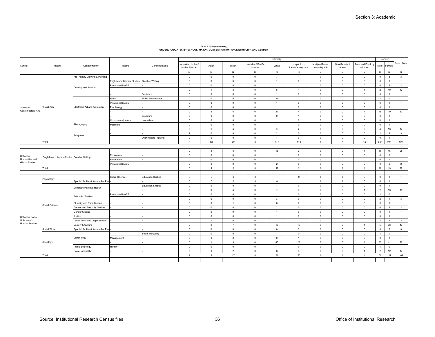|                       |                                               |                                |                                               |                          |                                     |                |                         |                                | Ethnicity      |                                   |                                 |                        |                               |                | Gender                  |                         |
|-----------------------|-----------------------------------------------|--------------------------------|-----------------------------------------------|--------------------------|-------------------------------------|----------------|-------------------------|--------------------------------|----------------|-----------------------------------|---------------------------------|------------------------|-------------------------------|----------------|-------------------------|-------------------------|
| School                | Major1                                        | Concentration1                 | Major <sub>2</sub>                            | Concentration2           | American Indian /<br>Native Alaskan | Asian          | Black                   | Hawaiian / Pacific<br>Islander | White          | Hispanic or<br>Latino/a, any race | Multiple Races,<br>Non-Hispanic | Non-Resident<br>Aliens | Race and Ethnicity<br>unknown | Male           | Femal                   | <b>Grand Total</b>      |
|                       |                                               |                                |                                               |                          | N                                   | N              | ${\sf N}$               | $\,$ N                         | N              | N                                 | ${\sf N}$                       | ${\sf N}$              | N                             | ${\sf N}$      | ${\sf N}$               | $\,$ N                  |
|                       |                                               | Art Therapy Drawing & Painting |                                               | ٠                        | $\overline{0}$                      | $\mathbf 0$    | $\circ$                 | $\mathbf{0}$                   | $\overline{7}$ |                                   | $\mathbf 0$                     | $\overline{0}$         | $\overline{0}$                | $\overline{0}$ | 8                       | 8                       |
|                       |                                               |                                | English and Literary Studies Creative Writing |                          | $\mathbf 0$                         | $\circ$        | $\mathbf{0}$            | $\circ$                        | $\overline{1}$ | $\mathbf 0$                       | $\mathbf 0$                     | $\circ$                | $\circ$                       | $\circ$        | $\overline{1}$          | $\overline{1}$          |
|                       |                                               | Drawing and Painting           | Provisional MASE                              | ×.                       | $\overline{\mathbf{0}}$             | $\mathbb O$    | $\circ$                 | $\circ$                        | $\overline{1}$ | $\overline{1}$                    | $\mathbf 0$                     | $\circ$                | $\circ$                       | $\overline{0}$ | $\overline{2}$          | $\overline{2}$          |
|                       |                                               |                                |                                               | ٠                        | $\overline{0}$                      | $\mathbf{1}$   | $\overline{\mathbf{3}}$ | $\mathbf{0}$                   | 6              | $\overline{1}$                    | $\mathbf 0$                     | $\circ$                | $\overline{1}$                | $\overline{2}$ | 10                      | 12                      |
|                       |                                               |                                |                                               | Sculpture                | $\overline{0}$                      | $\mathbf 0$    | $\circ$                 | $\circ$                        | $\overline{1}$ | $\overline{0}$                    | $\mathbf 0$                     | $\mathbf 0$            | $\circ$                       | $\circ$        | $\overline{1}$          | $\overline{1}$          |
|                       |                                               |                                | Music                                         | Music Performance        | $\overline{\mathbf{0}}$             | $\mathbb O$    | $\mathbf 0$             | $\circ$                        | $\circ$        | $\overline{1}$                    | $\mathbf 0$                     | $\mathbf 0$            | $\overline{0}$                | $\overline{1}$ | $\mathsf 0$             | $\overline{1}$          |
|                       |                                               |                                | Provisional MASE                              | $\sim$                   | $\mathbf 0$                         | $\mathbf 0$    | $\overline{0}$          | $\mathbf{0}$                   | $\overline{1}$ | $\overline{0}$                    | $\mathbf 0$                     | $\circ$                | $\overline{0}$                | $\overline{0}$ | $\overline{1}$          | $\overline{1}$          |
| School of             | Visual Arts                                   | Electronic Art and Animation   | Psychology                                    | $\sim$                   | $\overline{0}$                      | $\circ$        | $\circ$                 | $\circ$                        | $\overline{1}$ | $\mathbf 0$                       | $\mathbf 0$                     | $\circ$                | $\circ$                       | $\circ$        | $\overline{1}$          | $\overline{1}$          |
| Contemporary Arts     |                                               |                                |                                               | ٠                        | $\overline{0}$                      | $\overline{2}$ | $6\phantom{1}$          | $\mathbf{0}$                   | 21             | $\overline{4}$                    | $\mathbf 0$                     | $\mathbf 0$            | $\overline{4}$                | 18             | 19                      | 37                      |
|                       |                                               |                                |                                               | Sculpture                | $\overline{0}$                      | $\mathbf 0$    | $\circ$                 | $\overline{0}$                 | $\circ$        | $\overline{1}$                    | $\mathbf 0$                     | $\circ$                | $\overline{0}$                | $\circ$        | $\mathbf{1}$            | $\overline{1}$          |
|                       |                                               |                                | Communication Arts                            | Journalism               | $\overline{\mathbf{0}}$             | $\mathbb O$    | $\circ$                 | $\circ$                        | $\overline{1}$ | $\overline{\mathbf{0}}$           | $\mathbf 0$                     | $\mathbf 0$            | $\circ$                       | $\overline{0}$ | $\overline{1}$          | $\overline{1}$          |
|                       |                                               | Photography                    | Marketing                                     | ٠                        | $\mathbf 0$                         | $\mathbf 0$    | $\mathbf 0$             | $\circ$                        | $\overline{1}$ | $\overline{0}$                    | $\mathbf 0$                     | $\mathbf 0$            | $\circ$                       | $\overline{0}$ | $\overline{1}$          | $\overline{1}$          |
|                       |                                               |                                |                                               | ٠                        | $\overline{0}$                      | $\mathbf{1}$   | $\overline{4}$          | $\mathbf{0}$                   | 10             | $\overline{2}$                    | $\mathbf 0$                     | $\circ$                | $\overline{0}$                | $\overline{4}$ | 13                      | 17                      |
|                       |                                               |                                |                                               | $\sim$                   | $\overline{1}$                      | $\circ$        | $\mathbf{0}$            | $\circ$                        | 2              | $\overline{0}$                    | $\circ$                         | $\circ$                | $\circ$                       | $\overline{1}$ | $\overline{2}$          | $\overline{\mathbf{3}}$ |
|                       |                                               | Sculpture                      |                                               | Drawing and Painting     | $\overline{0}$                      | $\Omega$       | $\overline{0}$          | $\mathbf{0}$                   | $\overline{1}$ | $\overline{0}$                    | $\mathbf 0$                     | $\mathbf 0$            | $\overline{0}$                | $\overline{0}$ | $\overline{1}$          | $\overline{1}$          |
|                       | Total                                         |                                |                                               |                          | $\overline{\mathbf{3}}$             | 28             | 42                      | $\circ$                        | 315            | 119                               | $\mathsf 0$                     | $\overline{1}$         | 14                            | 236            | 286                     | 522                     |
|                       |                                               |                                |                                               |                          |                                     |                |                         |                                |                |                                   |                                 |                        |                               |                |                         |                         |
|                       |                                               |                                |                                               | $\sim$                   | $\Omega$                            | $\overline{4}$ | $\overline{\mathbf{3}}$ | $\mathbf{0}$                   | 15             | $\overline{2}$                    | $\Omega$                        | $\circ$                | $\overline{1}$                | 10             | 15                      | 25                      |
| School of             |                                               |                                | Economics                                     | $\sim$                   | $\overline{0}$                      | $\circ$        | $\mathbf{0}$            | $\circ$                        | $\overline{1}$ | $\circ$                           | $\circ$                         | $\circ$                | $\circ$                       | $\overline{0}$ | $\overline{1}$          | $\overline{1}$          |
| Humanities and        | English and Literary Studies Creative Writing |                                | Philosophy                                    | $\sim$                   | $\Omega$                            | $\Omega$       | $\circ$                 | $\mathbf{0}$                   | $\overline{1}$ | $\Omega$                          | $\Omega$                        | $\circ$                | $\overline{0}$                | $\overline{0}$ | $\overline{1}$          | $\overline{1}$          |
| <b>Global Studies</b> |                                               |                                | Provisional MASE                              | $\sim$                   | $\,$ 0                              | $\overline{0}$ | $\circ$                 | $\circ$                        | $\overline{2}$ | $\,$ 0                            | $\mathbf 0$                     | $\,$ 0                 | $\overline{0}$                | $\overline{0}$ | $\overline{2}$          | $\overline{2}$          |
|                       | Total                                         |                                |                                               |                          | $\circ$                             | $\overline{4}$ | $\overline{\mathbf{3}}$ | $\overline{0}$                 | 19             | $\overline{2}$                    | $\circ$                         | $\circ$                | $\overline{1}$                | 10             | 19                      | 29                      |
|                       |                                               |                                |                                               |                          |                                     |                |                         |                                |                |                                   |                                 |                        |                               |                |                         |                         |
|                       |                                               | х.                             | Social Science                                | <b>Education Studies</b> | $\circ$                             | $\circ$        | $\,0\,$                 | $\circ$                        | $\overline{1}$ | $\circ$                           | $\mathbf 0$                     | $\,0\,$                | $\circ$                       | $\circ$        | $\overline{1}$          | $\overline{1}$          |
|                       | Psychology                                    | Spanish for Health&Hum Svc Pro |                                               | $\sim$                   | $\circ$                             | $\circ$        | $\mathbf 0$             | $\circ$                        | $\circ$        | $\overline{1}$                    | $\mathsf 0$                     | $\mathbb O$            | $\circ$                       | $\overline{0}$ | $\overline{1}$          | $\overline{1}$          |
|                       |                                               |                                |                                               | <b>Education Studies</b> | $\mathbf{0}$                        | $\mathbf 0$    | $\circ$                 | $\mathbf{0}$                   | $\mathbf{1}$   | $\overline{0}$                    | $\mathbf 0$                     | $\circ$                | $\overline{0}$                | $\overline{0}$ | $\overline{1}$          | $\overline{1}$          |
|                       |                                               | Community Mental Health        |                                               | ٠                        | $\overline{0}$                      | $\mathbf 0$    | $\overline{4}$          | $\mathbf{0}$                   | $\overline{7}$ | 3                                 | $\mathbf 0$                     | $\mathbf 0$            | $\overline{1}$                | $\overline{2}$ | 13                      | 15                      |
|                       |                                               |                                | Provisional MASE                              | ٠                        | $\overline{\mathbf{0}}$             | $\mathbf 0$    | $\mathbf 0$             | $\circ$                        | $\overline{1}$ | $\overline{\mathbf{0}}$           | $\mathbf 0$                     | $\mathbf 0$            | $\circ$                       | $\overline{1}$ | $\overline{0}$          | $\overline{1}$          |
|                       |                                               | <b>Education Studies</b>       |                                               | $\sim$                   | $\Omega$                            | $\mathbf 0$    | $\overline{0}$          | $\circ$                        | $\mathbf{3}$   | $\Omega$                          | $\mathbf 0$                     | $\circ$                | $\overline{0}$                | $\overline{2}$ | $\overline{1}$          | $\overline{\mathbf{3}}$ |
|                       |                                               | Ethnicity and Race Studies     |                                               | $\sim$                   | $\mathbf 0$                         | $\mathbb O$    | $\overline{1}$          | $\circ$                        | $\mathsf 0$    | $\mathbf 0$                       | $\mathbf 0$                     | $\mathbf 0$            | $\circ$                       | $\overline{0}$ | $\overline{1}$          | $\overline{1}$          |
|                       | Social Science                                | Gender and Sexuality Studies   |                                               | $\sim$                   | $\overline{0}$                      | $\mathbf{0}$   | $\mathbf{0}$            | $\circ$                        | $\overline{2}$ | $\overline{0}$                    | $\mathbf{0}$                    | $\circ$                | $\overline{0}$                | $\overline{0}$ | $\overline{2}$          | $\overline{2}$          |
|                       |                                               | Gender Studies                 |                                               | $\sim$                   | $\Omega$                            | $\Omega$       | $\overline{0}$          | $\mathbf{0}$                   | $\overline{1}$ | $\Omega$                          | $\mathbf 0$                     | $\mathbf 0$            | $\overline{0}$                | $\overline{0}$ | $\overline{1}$          | $\overline{1}$          |
| School of Social      |                                               | Justice                        |                                               | $\sim$                   | $\,$ 0                              | $\mathbf 0$    | $\mathbb O$             | $\mathbb O$                    | $\overline{1}$ | $\,$ 0                            | $\mathbf 0$                     | $\mathbf 0$            | $\mathsf 0$                   | $\circ$        | $\overline{1}$          | $\overline{1}$          |
| Science and           |                                               | Labor, Work and Organizations  |                                               | $\sim$                   | $\overline{0}$                      |                | $\circ$                 | $\circ$                        | $\overline{1}$ |                                   | $\mathbf 0$                     | $\mathbf 0$            | $\circ$                       |                | $\overline{2}$          | $\overline{\mathbf{3}}$ |
| <b>Human Services</b> |                                               | Society & Culture              |                                               | $\sim$                   | $\overline{2}$                      | $\overline{2}$ | $\overline{7}$          | $\mathbf{0}$                   | 15             | 16                                | $\mathbf 0$                     | $\circ$                | $\overline{1}$                | 5              | 38                      | 43                      |
|                       | Social Work                                   | Spanish for Health&Hum Svc Pro |                                               | $\sim$                   | $\circ$                             | $\circ$        | $\overline{0}$          | $\circ$                        | $\circ$        | $\overline{\mathbf{3}}$           | $\mathbf 0$                     | $\circ$                | $\circ$                       | $\circ$        | $\overline{\mathbf{3}}$ | $\mathbf{3}$            |
|                       |                                               |                                |                                               | Social Inequality        | $\overline{\mathbf{0}}$             | $\mathbf 0$    | $\circ$                 | $\circ$                        | $\overline{1}$ | $\mathbf{0}$                      | $\mathbf 0$                     | $\mathbf 0$            | $\overline{0}$                | $\overline{1}$ | $\circ$                 | $\overline{1}$          |
|                       |                                               | Criminology                    | Management                                    | $\sim$                   | $\overline{\mathbf{0}}$             | $\circ$        | $\circ$                 | $\circ$                        | $\mathsf 0$    | $\overline{1}$                    | $\mathbf 0$                     | $\circ$                | $\circ$                       | $\overline{0}$ | $\overline{1}$          | $\overline{1}$          |
|                       | Sociology                                     |                                |                                               | $\sim$                   | $\overline{\mathbf{0}}$             | $\mathbf{1}$   | $\mathbf{3}$            | $\mathbf{0}$                   | 43             | 28                                | $\mathbf 0$                     | $\circ$                | $\overline{1}$                | 35             | 41                      | 76                      |
|                       |                                               | Public Sociology               | History                                       | $\sim$                   | $\Omega$                            | $\mathbf 0$    | $\circ$                 | $\mathbf{0}$                   | $\overline{1}$ | $\Omega$                          | $\mathbf 0$                     | $\circ$                | $\overline{0}$                |                | $\circ$                 | $\overline{1}$          |
|                       |                                               | Social Inequality              |                                               | $\sim$                   | $\mathbf 0$                         | $\circ$        | $\overline{2}$          | $\mathbf{0}$                   | 8              | $\overline{\mathbf{3}}$           | $\mathbf 0$                     | $\circ$                | $\overline{1}$                | $\overline{2}$ | 12                      | 14                      |
|                       | Total                                         |                                |                                               |                          | $\overline{2}$                      | $\overline{4}$ | 17                      | $\circ$                        | 86             | 56                                | $\circ$                         | $\circ$                | $\overline{4}$                | 50             | 119                     | 169                     |
|                       |                                               |                                |                                               |                          |                                     |                |                         |                                |                |                                   |                                 |                        |                               |                |                         |                         |
|                       |                                               |                                |                                               |                          |                                     |                |                         |                                |                |                                   |                                 |                        |                               |                |                         |                         |

# **TABLE 34.0 (continued) UNDERGRADUATES BY SCHOOL, MAJOR, CONCENTRATION, RACE/ETHNICITY, AND GENDER**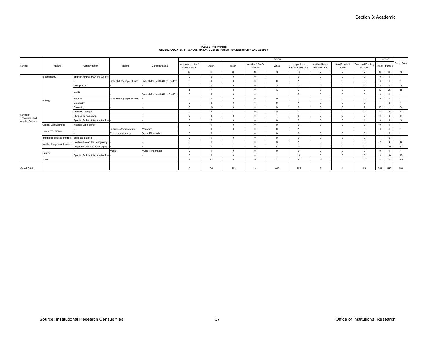|                              |                                             |                                |                                |                                |                                   |            |                |                                | Ethnicity              |                                   |                                 |                       |                               | Gender         |             |                         |
|------------------------------|---------------------------------------------|--------------------------------|--------------------------------|--------------------------------|-----------------------------------|------------|----------------|--------------------------------|------------------------|-----------------------------------|---------------------------------|-----------------------|-------------------------------|----------------|-------------|-------------------------|
| School                       | Major1                                      | Concentration1                 | Major <sub>2</sub>             | Concentration2                 | American Indian<br>Native Alaskan | Asian      | Black          | Hawaiian / Pacific<br>Islander | White                  | Hispanic or<br>Latino/a, any race | Multiple Races,<br>Non-Hispanic | Non-Residen<br>Aliens | Race and Ethnicity<br>unknown | Male           | Female      | <b>Grand Total</b>      |
|                              |                                             |                                |                                |                                | N                                 | N          | N              | N                              | N                      | N                                 | N                               | N                     | N                             | N              | N           | N                       |
|                              | Biochemistry                                | Spanish for Health&Hum Svc Pro |                                | . .                            | $\Omega$                          | $\sqrt{2}$ | $\Omega$       | $\Omega$                       | $\overline{a}$         | $\Omega$                          | $\Omega$                        | $\Omega$              | $^{\circ}$                    | $\circ$        |             |                         |
|                              |                                             |                                | Spanish Language Studies       | Spanish for Health&Hum Svc Pro | $\mathbf{0}$                      | $\Omega$   | $^{\circ}$     | $\circ$                        | $\Omega$               |                                   | $\Omega$                        | $\Omega$              | $^{\circ}$                    | $\circ$        |             |                         |
|                              |                                             | Chiropractic                   |                                | . п.                           | $\mathbf{0}$                      | $\Omega$   | $\Omega$       | $\circ$                        | $\mathbf{3}$           | $\Omega$                          | $\Omega$                        | $\sqrt{2}$            | $\mathbf{0}$                  | $\mathbf{3}$   | $\Omega$    | $\mathbf{3}$            |
|                              |                                             | Dental                         |                                |                                |                                   |            | $\overline{2}$ | $\Omega$                       | 19                     |                                   | $\Omega$                        | $\Omega$              | 2                             | 12             | 26          | 38                      |
|                              |                                             |                                |                                | Spanish for Health&Hum Svc Pro | $\Omega$                          |            | $\Omega$       | $\Omega$                       |                        | $\Omega$                          |                                 |                       | $^{\circ}$                    | $\circ$        |             |                         |
|                              | Biology                                     | Medical                        | Spanish Language Studies -     |                                | $\mathbf{0}$                      | $\Omega$   | $\mathbf{0}$   | $\circ$                        | $\Omega$               |                                   | $\Omega$                        | $\Omega$              | $\mathbf{0}$                  | $\circ$        |             |                         |
|                              |                                             | Optometry                      |                                | . .                            | $\Omega$                          | $\Omega$   | $\Omega$       | $\circ$                        | $\Omega$               |                                   | $\Omega$                        | $\Omega$              | $\mathbf{0}$                  |                | $\Omega$    |                         |
|                              |                                             | Ostopathy                      |                                | $\sim$                         | $\Omega$                          | 19         | $\Omega$       | $\Omega$                       | $\mathbf{3}$           | $\Omega$                          | $\Omega$                        | $\Omega$              | $\overline{2}$                | 13             | 11          | 24                      |
|                              |                                             | Physical Therapy               |                                | . п.                           | $\Omega$                          |            |                | $\Omega$                       | 14                     | $\mathbf{3}$                      | $\Omega$                        | $\Omega$              | $\Omega$                      | 6              | 16          | 22                      |
| School of<br>Theoretical and |                                             | Physician's Assistant          |                                | . .                            | $\Omega$                          |            | $\overline{2}$ | $\Omega$                       | $\boldsymbol{\Lambda}$ | 5                                 | $\Omega$                        | $\Omega$              | $\mathbf{0}$                  | 6              |             | 14                      |
| Applied Science              |                                             | Spanish for Health&Hum Svc Pro |                                | $\sim$                         | $\Omega$                          | $\Omega$   | $\Omega$       | $\circ$                        | $\Omega$               | $\overline{2}$                    | $\Omega$                        | $\Omega$              |                               | $\overline{0}$ | 3           | $\overline{\mathbf{3}}$ |
|                              | <b>Clinical Lab Sciences</b>                | Medical Lab Science            |                                | $\sim$                         | $\Omega$                          |            | $\Omega$       | $\circ$                        | $\Omega$               | $\Omega$                          | $\Omega$                        | $\sqrt{2}$            | $\mathbf{0}$                  | $\mathbf{0}$   |             |                         |
|                              | Computer Science                            | $\sim$                         | <b>Business Administration</b> | Marketing                      | $\Omega$                          |            | $\Omega$       | $\Omega$                       | $\Omega$               |                                   | $\Omega$                        | $\Omega$              | $\mathbf{0}$                  | $\circ$        |             |                         |
|                              |                                             | $\sim$                         | <b>Communication Arts</b>      | Digital Filmmaking             | $\Omega$                          | $\Omega$   |                | $\circ$                        | $\Omega$               | $\Omega$                          | $\Omega$                        | $\Omega$              | $\circ$                       |                | $\mathbf 0$ |                         |
|                              | Integrated Science Studies Business Studies |                                |                                | . .                            | $\Omega$                          |            | $\Omega$       | $\circ$                        | $\Omega$               | $\Omega$                          | $\Omega$                        | $\Omega$              | $\mathbf{0}$                  |                | $\Omega$    |                         |
|                              | Medical Imaging Sciences                    | Cardiac & Vascular Sonography  |                                | $\sim$                         | $\Omega$                          |            |                | $\Omega$                       | 3                      |                                   | $\Omega$                        | $\Omega$              | $\mathbf{0}$                  | $\overline{a}$ |             | 6                       |
|                              |                                             | Diagnostic Medical Sonography  |                                | . .                            | $\Omega$                          |            |                | $\Omega$                       | $\overline{4}$         | 5                                 | $\Omega$                        | $\Omega$              | $\Omega$                      |                | 10          | 11                      |
|                              | Nursing                                     |                                | Music                          | Music Performance              | $\Omega$                          |            | $\Omega$       | $\Omega$                       | $\Omega$               | $\Omega$                          |                                 | $\sqrt{2}$            | $\mathbf{0}$                  | $\circ$        |             |                         |
|                              |                                             | Spanish for Health&Hum Svc Pro |                                | $\sim$                         | $\Omega$                          |            | $\Omega$       | $\Omega$                       |                        | 14                                | $\Omega$                        | $\sqrt{2}$            | $\mathbf{0}$                  | $\circ$        | 18          | 18                      |
|                              | Total                                       |                                |                                |                                |                                   | 41         | $\mathbf{R}$   | $^{\circ}$                     | 53                     | 41                                | $\Omega$                        | $\Omega$              | 5                             | 46             | 103         | 149                     |
|                              |                                             |                                |                                |                                |                                   |            |                |                                |                        |                                   |                                 |                       |                               |                |             |                         |
| <b>Grand Total</b>           |                                             |                                |                                |                                | 6                                 | 78         | 72             | $^{\circ}$                     | 488                    | 225                               | $\Omega$                        |                       | 24                            | 354            | 540         | 894                     |

# **TABLE 34.0 (continued) UNDERGRADUATES BY SCHOOL, MAJOR, CONCENTRATION, RACE/ETHNICITY, AND GENDER**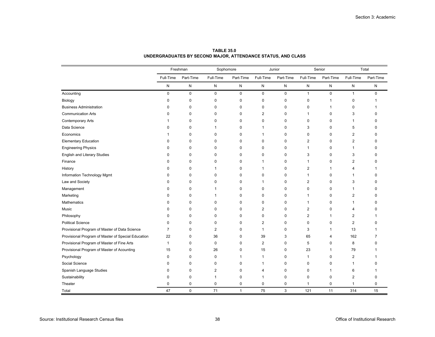|                                                    |                | Freshman    | Sophomore      |              |                | Junior      |              | Senior         |                | Total        |
|----------------------------------------------------|----------------|-------------|----------------|--------------|----------------|-------------|--------------|----------------|----------------|--------------|
|                                                    | Full-Time      | Part-Time   | Full-Time      | Part-Time    | Full-Time      | Part-Time   | Full-Time    | Part-Time      | Full-Time      | Part-Time    |
|                                                    | ${\sf N}$      | N           | N              | N            | N              | N           | N            | N              | N              | N            |
| Accounting                                         | $\mathbf 0$    | $\mathbf 0$ | $\mathbf 0$    | $\mathbf 0$  | 0              | $\mathbf 0$ | $\mathbf{1}$ | $\mathbf 0$    | $\mathbf{1}$   | $\mathbf 0$  |
| Biology                                            | 0              | 0           | 0              | 0            | 0              | 0           | 0            | $\mathbf{1}$   | 0              |              |
| <b>Business Administration</b>                     | 0              | 0           | 0              | 0            | 0              | 0           | 0            | -1             | 0              |              |
| <b>Communication Arts</b>                          | 0              | 0           | 0              | 0            | $\overline{2}$ | 0           | 1            | 0              | 3              | C            |
| <b>Contemporary Arts</b>                           |                | 0           | 0              | 0            | 0              | 0           | 0            | 0              | 1              | C            |
| Data Science                                       | 0              | 0           | $\mathbf{1}$   | 0            | 1              | 0           | 3            | 0              | 5              | ŋ            |
| Economics                                          |                | $\mathbf 0$ | 0              | 0            | 1              | $\pmb{0}$   | 0            | 0              | 2              | ŋ            |
| <b>Elementary Education</b>                        | 0              | $\mathbf 0$ | 0              | 0            | $\mathbf 0$    | $\pmb{0}$   | 2            | $\pmb{0}$      | $\overline{2}$ | ŋ            |
| <b>Engineering Physics</b>                         | ŋ              | $\mathbf 0$ | 0              | 0            | $\Omega$       | $\pmb{0}$   | 1            | $\mathbf{0}$   | 1              | C            |
| <b>English and Literary Studies</b>                | 0              | 0           | 0              | 0            | 0              | 0           | 3            | 0              | 3              | C            |
| Finance                                            | n              | $\mathbf 0$ | 0              | 0            | 1              | $\pmb{0}$   | 1            | 0              | 2              |              |
| History                                            | 0              | 0           | 1              | 0            | 1              | $\pmb{0}$   | 2            | -1             | 4              |              |
| Information Technology Mgmt                        | ŋ              | $\mathbf 0$ | 0              | 0            | $\mathbf 0$    | $\mathbf 0$ | 1            | $\mathbf 0$    | 1              | C            |
| Law and Society                                    | 0              | 0           | 0              | 0            | 1              | $\mathbf 0$ | 2            | $\mathbf 0$    | 3              | C            |
| Management                                         | 0              | $\mathbf 0$ | 1              | $\mathbf 0$  | $\mathbf 0$    | $\mathbf 0$ | 0            | $\mathbf 0$    | 1              | $\sqrt{ }$   |
| Marketing                                          | 0              | 0           | $\mathbf{1}$   | 0            | 0              | 0           | 1            | 0              | 2              | $\Omega$     |
| Mathematics                                        | O              | $\mathbf 0$ | 0              | 0            | 0              | 0           | 1            | 0              | 1              | $\Omega$     |
| Music                                              | 0              | 0           | 0              | 0            | 2              | 0           | 2            | 0              | 4              | $\Omega$     |
| Philosophy                                         | 0              | 0           | 0              | 0            | 0              | 0           | 2            | $\mathbf{1}$   | 2              |              |
| <b>Political Science</b>                           | 0              | $\mathbf 0$ | 0              | 0            | $\overline{2}$ | 0           | 0            | 0              | $\overline{2}$ | $\Omega$     |
| Provisional Program of Master of Data Science      | $\overline{7}$ | $\mathbf 0$ | $\overline{2}$ | 0            | $\mathbf{1}$   | 0           | 3            | $\mathbf{1}$   | 13             |              |
| Provisional Program of Master of Special Education | 22             | 0           | 36             | 0            | 39             | 3           | 65           | $\overline{4}$ | 162            | 7            |
| Provisional Program of Master of Fine Arts         | $\mathbf{1}$   | $\mathbf 0$ | $\mathbf 0$    | $\mathbf 0$  | $\overline{2}$ | $\mathbf 0$ | 5            | $\mathbf 0$    | 8              | $\Omega$     |
| Provisional Program of Master of Acounting         | 15             | 0           | 26             | 0            | 15             | 0           | 23           | $\mathbf{1}$   | 79             |              |
| Psychology                                         | 0              | 0           | 0              | 1            | 1              | 0           | 1            | 0              | 2              |              |
| Social Science                                     | 0              | 0           | 0              | 0            | 1              | 0           | 0            | 0              | 1              | <sup>0</sup> |
| Spanish Language Studies                           | 0              | 0           | 2              | 0            | 4              | 0           | 0            | $\mathbf{1}$   | 6              |              |
| Sustainability                                     | 0              | 0           | 1              | 0            | 1              | 0           | 0            | 0              | 2              | 0            |
| Theater                                            | 0              | 0           | 0              | 0            | 0              | 0           | 1            | $\pmb{0}$      | $\mathbf{1}$   | $\mathbf 0$  |
| Total                                              | 47             | $\mathbf 0$ | 71             | $\mathbf{1}$ | 75             | 3           | 121          | 11             | 314            | 15           |

**TABLE 35.0UNDERGRADUATES BY SECOND MAJOR, ATTENDANCE STATUS, AND CLASS**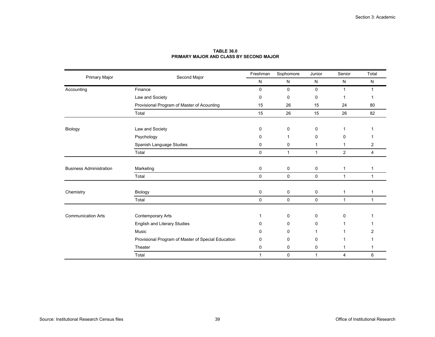|                                |                                                    | Freshman     | Sophomore    | Junior       | Senior       | Total        |
|--------------------------------|----------------------------------------------------|--------------|--------------|--------------|--------------|--------------|
| Primary Major                  | Second Major                                       | $\mathsf{N}$ | $\mathsf{N}$ | $\mathsf{N}$ | $\mathsf{N}$ | $\mathsf{N}$ |
| Accounting                     | Finance                                            | $\mathbf 0$  | $\mathbf 0$  | 0            | 1            | 1            |
|                                | Law and Society                                    | 0            | 0            | 0            |              |              |
|                                | Provisional Program of Master of Acounting         | 15           | 26           | 15           | 24           | 80           |
|                                | Total                                              | 15           | 26           | 15           | 26           | 82           |
|                                |                                                    |              |              |              |              |              |
| Biology                        | Law and Society                                    | 0            | 0            | 0            |              |              |
|                                | Psychology                                         | 0            | 1            | 0            | 0            |              |
|                                | Spanish Language Studies                           | 0            | 0            | 1            |              | 2            |
|                                | Total                                              | 0            | $\mathbf{1}$ | 1            | 2            | 4            |
|                                |                                                    |              |              |              |              |              |
| <b>Business Administration</b> | Marketing                                          | 0            | 0            | 0            | 1            | 1            |
|                                | Total                                              | 0            | 0            | $\mathbf 0$  | $\mathbf{1}$ | $\mathbf{1}$ |
|                                |                                                    |              |              |              |              |              |
| Chemistry                      | Biology                                            | 0            | 0            | 0            | 1            | 1            |
|                                | Total                                              | 0            | 0            | 0            | 1            | 1            |
|                                |                                                    |              |              |              |              |              |
| <b>Communication Arts</b>      | Contemporary Arts                                  | 1            | 0            | 0            | $\mathbf{0}$ |              |
|                                | English and Literary Studies                       | 0            | 0            | 0            |              |              |
|                                | Music                                              | 0            | 0            |              |              |              |
|                                | Provisional Program of Master of Special Education | 0            | 0            | 0            |              |              |
|                                | Theater                                            | 0            | 0            | 0            | 1            |              |
|                                | Total                                              | $\mathbf{1}$ | $\mathbf 0$  | $\mathbf{1}$ | 4            | 6            |

## **TABLE 36.0PRIMARY MAJOR AND CLASS BY SECOND MAJOR**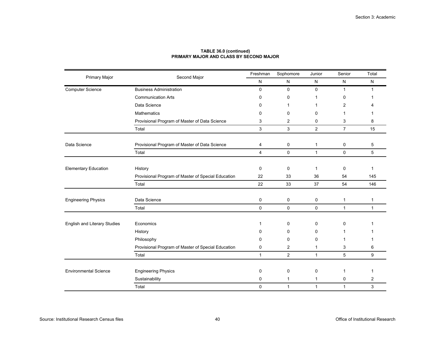|                              |                                                    | Freshman     | Sophomore      | Junior       | Senior         | Total        |
|------------------------------|----------------------------------------------------|--------------|----------------|--------------|----------------|--------------|
| <b>Primary Major</b>         | Second Major                                       | N            | N              | N            | ${\sf N}$      | N            |
| <b>Computer Science</b>      | <b>Business Administration</b>                     | $\mathbf 0$  | $\mathbf 0$    | $\mathbf{0}$ | 1              | -1           |
|                              | <b>Communication Arts</b>                          | 0            | 0              |              | 0              |              |
|                              | Data Science                                       | $\mathbf{0}$ | $\mathbf 1$    |              | 2              |              |
|                              | Mathematics                                        | 0            | 0              | 0            | 1              |              |
|                              | Provisional Program of Master of Data Science      | 3            | 2              | 0            | 3              | 8            |
|                              | Total                                              | $\mathsf 3$  | $\mathfrak{S}$ | 2            | $\overline{7}$ | 15           |
| Data Science                 | Provisional Program of Master of Data Science      | 4            | 0              | 1            | 0              | 5            |
|                              | Total                                              | 4            | 0              | $\mathbf{1}$ | 0              | 5            |
| <b>Elementary Education</b>  | History                                            | $\mathbf 0$  | 0              | 1            | 0              | 1            |
|                              | Provisional Program of Master of Special Education | 22           | 33             | 36           | 54             | 145          |
|                              | Total                                              | 22           | 33             | 37           | 54             | 146          |
| <b>Engineering Physics</b>   | Data Science                                       | 0            | 0              | 0            | $\mathbf{1}$   | 1            |
|                              | Total                                              | $\mathbf 0$  | $\mathbf 0$    | $\mathbf 0$  | $\mathbf{1}$   | $\mathbf{1}$ |
| English and Literary Studies | Economics                                          | 1            | 0              | 0            | $\mathbf{0}$   |              |
|                              | History                                            | 0            | 0              | 0            |                |              |
|                              | Philosophy                                         | $\Omega$     | 0              | 0            |                |              |
|                              | Provisional Program of Master of Special Education | 0            | 2              | $\mathbf 1$  | 3              | 6            |
|                              | Total                                              | $\mathbf{1}$ | $\overline{2}$ | $\mathbf{1}$ | 5              | 9            |
| <b>Environmental Science</b> | <b>Engineering Physics</b>                         | $\mathbf 0$  | 0              | 0            | 1              | 1            |
|                              | Sustainability                                     | 0            | $\mathbf{1}$   | $\mathbf{1}$ | 0              | 2            |
|                              | Total                                              | $\mathbf 0$  | $\mathbf{1}$   | $\mathbf{1}$ | $\mathbf{1}$   | 3            |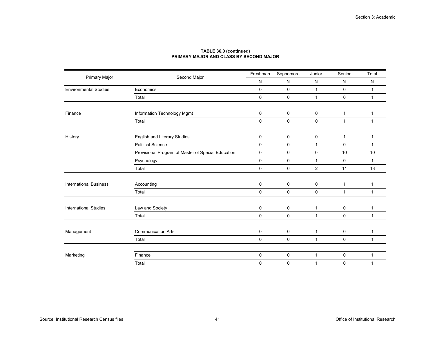|                               |                                                    | Freshman    | Sophomore   | Junior       | Senior       | Total        |
|-------------------------------|----------------------------------------------------|-------------|-------------|--------------|--------------|--------------|
| Primary Major                 | Second Major                                       | N           | N           | N            | N            | N            |
| <b>Environmental Studies</b>  | Economics                                          | $\mathbf 0$ | $\mathbf 0$ | $\mathbf{1}$ | $\mathbf 0$  | $\mathbf{1}$ |
|                               | Total                                              | $\mathbf 0$ | 0           | $\mathbf{1}$ | $\mathbf 0$  | $\mathbf{1}$ |
| Finance                       | Information Technology Mgmt                        | 0           | 0           | 0            | $\mathbf{1}$ | 1            |
|                               | Total                                              | $\mathbf 0$ | $\mathbf 0$ | $\mathbf 0$  | $\mathbf{1}$ | $\mathbf{1}$ |
| History                       | English and Literary Studies                       | 0           | 0           | 0            |              |              |
|                               | <b>Political Science</b>                           | 0           | 0           |              | $\mathbf{0}$ |              |
|                               | Provisional Program of Master of Special Education | $\Omega$    | 0           | 0            | 10           | 10           |
|                               | Psychology                                         | 0           | 0           | 1            | 0            | 1            |
|                               | Total                                              | $\mathbf 0$ | $\mathbf 0$ | 2            | 11           | 13           |
| <b>International Business</b> | Accounting                                         | 0           | 0           | 0            | $\mathbf{1}$ | 1            |
|                               | Total                                              | $\mathbf 0$ | $\mathbf 0$ | $\mathbf 0$  | $\mathbf{1}$ | $\mathbf{1}$ |
| <b>International Studies</b>  | Law and Society                                    | $\mathbf 0$ | $\pmb{0}$   | $\mathbf{1}$ | $\mathbf 0$  | 1            |
|                               | Total                                              | $\mathbf 0$ | 0           | $\mathbf{1}$ | $\mathbf 0$  | $\mathbf{1}$ |
|                               |                                                    |             |             |              |              |              |
| Management                    | <b>Communication Arts</b>                          | 0           | 0           | $\mathbf{1}$ | 0            | 1            |
|                               | Total                                              | $\mathbf 0$ | $\mathbf 0$ | $\mathbf{1}$ | $\mathbf 0$  | $\mathbf{1}$ |
| Marketing                     | Finance                                            | $\pmb{0}$   | $\pmb{0}$   | $\mathbf{1}$ | $\pmb{0}$    | $\mathbf{1}$ |
|                               | Total                                              | 0           | 0           | $\mathbf{1}$ | 0            | $\mathbf{1}$ |
|                               |                                                    |             |             |              |              |              |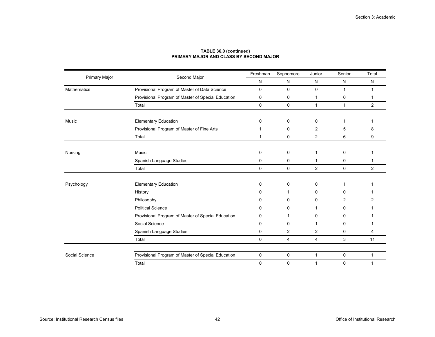|                      |                                                    | Freshman     | Sophomore   | Junior         | Senior       | Total          |
|----------------------|----------------------------------------------------|--------------|-------------|----------------|--------------|----------------|
| <b>Primary Major</b> | Second Major                                       | N            | N           | N              | N            | N              |
| Mathematics          | Provisional Program of Master of Data Science      | $\mathbf 0$  | 0           | $\mathbf 0$    | $\mathbf{1}$ | 1              |
|                      | Provisional Program of Master of Special Education | 0            | 0           | 1              | 0            | 1              |
|                      | Total                                              | $\mathbf 0$  | 0           | $\mathbf{1}$   | $\mathbf{1}$ | $\overline{2}$ |
|                      |                                                    |              |             |                |              |                |
| Music                | <b>Elementary Education</b>                        | 0            | 0           | $\mathbf 0$    | 1            |                |
|                      | Provisional Program of Master of Fine Arts         | 1            | 0           | $\overline{2}$ | 5            | 8              |
|                      | Total                                              | $\mathbf{1}$ | 0           | 2              | 6            | 9              |
|                      |                                                    |              |             |                |              |                |
| Nursing              | Music                                              | $\mathbf 0$  | $\mathbf 0$ | 1              | 0            | 1              |
|                      | Spanish Language Studies                           | 0            | 0           | 1              | 0            | 1              |
|                      | Total                                              | $\mathbf 0$  | $\mathbf 0$ | $\overline{2}$ | $\mathbf 0$  | 2              |
|                      |                                                    |              |             |                |              |                |
| Psychology           | <b>Elementary Education</b>                        | 0            | $\mathbf 0$ | 0              | 1            |                |
|                      | History                                            | 0            | 1           | 0              | 0            |                |
|                      | Philosophy                                         | 0            | 0           | 0              | 2            | 2              |
|                      | <b>Political Science</b>                           | <sup>0</sup> | 0           |                | 0            |                |
|                      | Provisional Program of Master of Special Education | 0            | 1           | <sup>0</sup>   | 0            |                |
|                      | Social Science                                     | 0            | 0           | 1              | 0            |                |
|                      | Spanish Language Studies                           | 0            | 2           | 2              | 0            | 4              |
|                      | Total                                              | $\pmb{0}$    | 4           | 4              | 3            | 11             |
|                      |                                                    |              |             |                |              |                |
| Social Science       | Provisional Program of Master of Special Education | 0            | 0           | 1              | 0            | 1              |
|                      | Total                                              | $\mathbf 0$  | $\mathbf 0$ | $\mathbf{1}$   | 0            | 1              |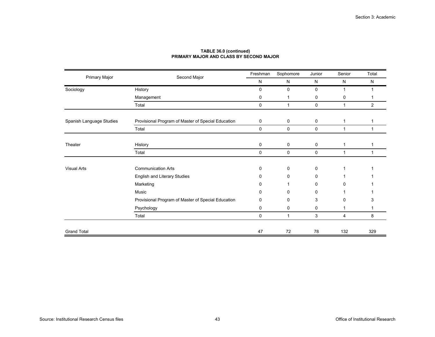| Primary Major            | Second Major                                       | Freshman    | Sophomore    | Junior      | Senior       | Total          |
|--------------------------|----------------------------------------------------|-------------|--------------|-------------|--------------|----------------|
|                          |                                                    | N           | N            | N           | N            | N              |
| Sociology                | History                                            | $\mathbf 0$ | 0            | $\mathbf 0$ | 1            | 1              |
|                          | Management                                         | 0           | 1            | 0           | 0            | 1              |
|                          | Total                                              | 0           | $\mathbf{1}$ | 0           | $\mathbf{1}$ | $\overline{2}$ |
| Spanish Language Studies | Provisional Program of Master of Special Education | 0           | 0            | 0           | 1            | 1              |
|                          | Total                                              | $\mathbf 0$ | 0            | 0           | 1            | 1              |
| Theater                  | History                                            | 0           | 0            | 0           | 1            | 1              |
|                          | Total                                              | 0           | 0            | 0           | 1            | 1              |
| <b>Visual Arts</b>       | <b>Communication Arts</b>                          | 0           | 0            | 0           | 1            |                |
|                          | English and Literary Studies                       | $\Omega$    | 0            | 0           | 1            |                |
|                          | Marketing                                          | $\Omega$    |              | 0           | 0            |                |
|                          | Music                                              | $\Omega$    | 0            | $\Omega$    | 1            |                |
|                          | Provisional Program of Master of Special Education | $\Omega$    | 0            | 3           | 0            | 3              |
|                          | Psychology                                         | 0           | 0            | 0           | 1            | 1              |
|                          | Total                                              | 0           | $\mathbf{1}$ | 3           | 4            | 8              |
| <b>Grand Total</b>       |                                                    | 47          | 72           | 78          | 132          | 329            |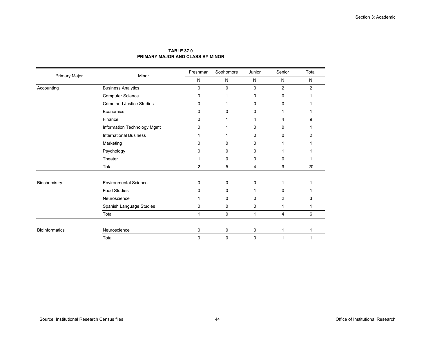|                       | Minor                         | Freshman       | Sophomore   | Junior      | Senior         | Total |
|-----------------------|-------------------------------|----------------|-------------|-------------|----------------|-------|
| Primary Major         |                               | N              | N           | N           | $\mathsf{N}$   | N     |
| Accounting            | <b>Business Analytics</b>     | $\mathbf 0$    | $\mathbf 0$ | $\mathbf 0$ | $\overline{2}$ | 2     |
|                       | <b>Computer Science</b>       | 0              |             | 0           | 0              |       |
|                       | Crime and Justice Studies     | 0              |             | 0           | 0              |       |
|                       | Economics                     | $\Omega$       | 0           | $\Omega$    |                |       |
|                       | Finance                       | 0              |             | 4           |                | я     |
|                       | Information Technology Mgmt   | 0              |             | 0           | 0              |       |
|                       | <b>International Business</b> |                |             | $\Omega$    | 0              | 2     |
|                       | Marketing                     | 0              | 0           | $\Omega$    |                |       |
|                       | Psychology                    | 0              | 0           | $\Omega$    |                |       |
|                       | Theater                       |                | 0           | $\mathbf 0$ | 0              |       |
|                       | Total                         | $\overline{2}$ | 5           | 4           | 9              | 20    |
| Biochemistry          | <b>Environmental Science</b>  | $\mathbf 0$    | $\mathbf 0$ | $\mathbf 0$ |                |       |
|                       | <b>Food Studies</b>           | 0              | $\Omega$    |             | U              |       |
|                       |                               |                |             |             |                |       |
|                       | Neuroscience                  |                | 0           | 0           | $\overline{2}$ | З     |
|                       | Spanish Language Studies      | 0              | 0           | $\mathbf 0$ | 1              |       |
|                       | Total                         | $\mathbf{1}$   | $\mathbf 0$ | 1           | 4              | 6     |
| <b>Bioinformatics</b> | Neuroscience                  | $\pmb{0}$      | $\mathbf 0$ | $\mathbf 0$ | 1              | 1     |
|                       | Total                         | 0              | $\mathbf 0$ | 0           | $\mathbf{1}$   | 1     |

# **TABLE 37.0PRIMARY MAJOR AND CLASS BY MINOR**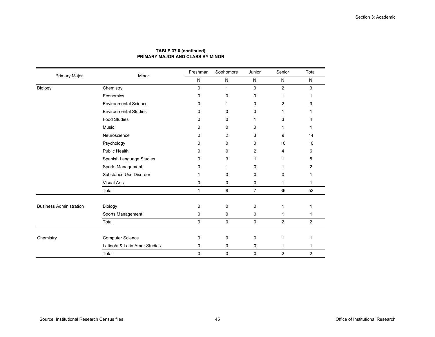| Primary Major                  | Minor                         | Freshman     | Sophomore | Junior      | Senior         | Total          |
|--------------------------------|-------------------------------|--------------|-----------|-------------|----------------|----------------|
|                                |                               | N            | N         | N           | N              | N              |
| Biology                        | Chemistry                     | 0            | 1         | $\mathbf 0$ | $\overline{2}$ | 3              |
|                                | Economics                     | 0            | 0         | $\Omega$    | 1              |                |
|                                | <b>Environmental Science</b>  | 0            | 1         | $\Omega$    | 2              | 3              |
|                                | <b>Environmental Studies</b>  | 0            | 0         | 0           | 1              |                |
|                                | <b>Food Studies</b>           | 0            | 0         | 1           | 3              | 4              |
|                                | Music                         | 0            | 0         | 0           | 1              | 1              |
|                                | Neuroscience                  | 0            | 2         | 3           | 9              | 14             |
|                                | Psychology                    | 0            | 0         | 0           | 10             | 10             |
|                                | <b>Public Health</b>          | 0            | 0         | 2           | 4              | 6              |
|                                | Spanish Language Studies      | 0            | 3         |             |                | 5              |
|                                | Sports Management             | 0            | 1         | 0           |                | 2              |
|                                | Substance Use Disorder        | 1            | 0         | 0           | 0              | 1              |
|                                | <b>Visual Arts</b>            | 0            | 0         | 0           | 1              | 1              |
|                                | Total                         | $\mathbf{1}$ | 8         | 7           | 36             | 52             |
| <b>Business Administration</b> | Biology                       | 0            | 0         | 0           | 1              |                |
|                                | Sports Management             | 0            | 0         | 0           | 1              | 1              |
|                                | Total                         | 0            | 0         | 0           | 2              | $\overline{2}$ |
| Chemistry                      | <b>Computer Science</b>       | 0            | 0         | 0           | 1              |                |
|                                | Latino/a & Latin Amer Studies | 0            | 0         | 0           |                |                |
|                                | Total                         | 0            | 0         | 0           | 2              | $\overline{2}$ |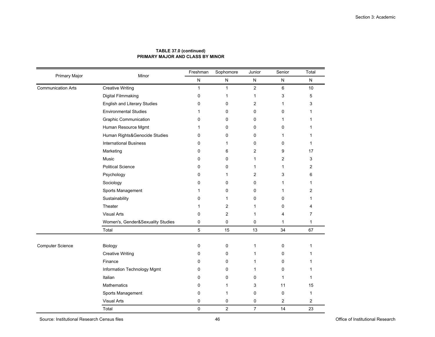| <b>Primary Major</b>      | Minor                               | Freshman     | Sophomore      | Junior         | Senior         | Total        |
|---------------------------|-------------------------------------|--------------|----------------|----------------|----------------|--------------|
|                           |                                     | ${\sf N}$    | ${\sf N}$      | N              | ${\sf N}$      | N            |
| <b>Communication Arts</b> | <b>Creative Writing</b>             | $\mathbf{1}$ | $\mathbf{1}$   | $\overline{2}$ | $6\phantom{1}$ | 10           |
|                           | Digital Filmmaking                  | 0            | 1              | 1              | 3              | 5            |
|                           | <b>English and Literary Studies</b> | 0            | 0              | 2              | 1              | 3            |
|                           | <b>Environmental Studies</b>        | 1            | 0              | 0              | $\mathbf 0$    | 1            |
|                           | <b>Graphic Communication</b>        | 0            | 0              | 0              | 1              | 1            |
|                           | Human Resource Mgmt                 | 1            | 0              | 0              | 0              | 1            |
|                           | Human Rights&Genocide Studies       | 0            | 0              | 0              | 1              | 1            |
|                           | <b>International Business</b>       | $\Omega$     | 1              | $\Omega$       | $\Omega$       | 1            |
|                           | Marketing                           | 0            | 6              | 2              | 9              | 17           |
|                           | Music                               | 0            | 0              | 1              | $\overline{2}$ | 3            |
|                           | <b>Political Science</b>            | $\Omega$     | 0              | 1              | 1              | 2            |
|                           | Psychology                          | 0            | 1              | 2              | 3              | 6            |
|                           | Sociology                           | 0            | 0              | 0              | 1              | 1            |
|                           | Sports Management                   | 1            | $\Omega$       | $\Omega$       | 1              | 2            |
|                           | Sustainability                      | 0            | 1              | $\mathbf 0$    | $\mathbf 0$    | 1            |
|                           | Theater                             | 1            | 2              | 1              | 0              | 4            |
|                           | <b>Visual Arts</b>                  | $\mathbf 0$  | $\overline{2}$ | 1              | 4              | 7            |
|                           | Women's, Gender&Sexuality Studies   | 0            | 0              | 0              | $\mathbf{1}$   | $\mathbf{1}$ |
|                           | Total                               | 5            | 15             | 13             | 34             | 67           |
|                           |                                     |              |                |                |                |              |
| <b>Computer Science</b>   | Biology                             | 0            | 0              | 1              | 0              | 1            |
|                           | <b>Creative Writing</b>             | $\Omega$     | 0              | 1              | 0              | 1            |
|                           | Finance                             | 0            | 0              | 1              | 0              | 1            |
|                           | Information Technology Mgmt         | 0            | 0              | 1              | 0              | 1            |
|                           | Italian                             | $\Omega$     | $\Omega$       | 0              | 1              | 1            |
|                           | <b>Mathematics</b>                  | 0            | $\mathbf{1}$   | 3              | 11             | 15           |
|                           | Sports Management                   | 0            | 1              | 0              | $\mathbf 0$    | 1            |
|                           | <b>Visual Arts</b>                  | 0            | 0              | 0              | 2              | 2            |
|                           | Total                               | $\mathbf 0$  | $\overline{2}$ | $\overline{7}$ | 14             | 23           |

Source: Institutional Research Census files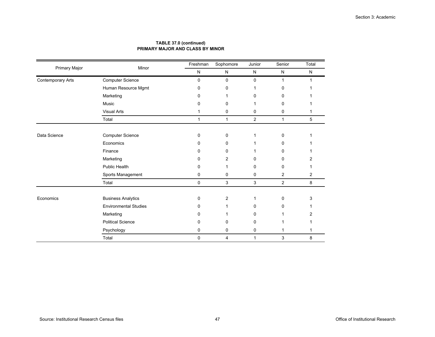|                          | Minor                        | Freshman     | Sophomore    | Junior       | Senior         | Total     |
|--------------------------|------------------------------|--------------|--------------|--------------|----------------|-----------|
| Primary Major            |                              | ${\sf N}$    | N            | N            | $\mathsf{N}$   | ${\sf N}$ |
| <b>Contemporary Arts</b> | <b>Computer Science</b>      | 0            | $\mathbf 0$  | 0            | 1              |           |
|                          | Human Resource Mgmt          | 0            | 0            |              | $\Omega$       |           |
|                          | Marketing                    | 0            | 1            | 0            | 0              |           |
|                          | Music                        | 0            | 0            |              | 0              |           |
|                          | <b>Visual Arts</b>           | 1            | $\mathbf 0$  | 0            | 0              |           |
|                          | Total                        | $\mathbf{1}$ | 1            | 2            | $\mathbf{1}$   | 5         |
| Data Science             | <b>Computer Science</b>      | 0            | $\mathbf 0$  | 1            | 0              |           |
|                          | Economics                    | 0            | 0            |              | $\Omega$       |           |
|                          | Finance                      | 0            | $\mathbf{0}$ |              | $\Omega$       |           |
|                          | Marketing                    | 0            | 2            | $\Omega$     | 0              | 2         |
|                          | <b>Public Health</b>         | 0            | 1            | 0            | 0              |           |
|                          | Sports Management            | 0            | $\mathbf 0$  | 0            | 2              | 2         |
|                          | Total                        | 0            | 3            | 3            | $\overline{2}$ | 8         |
| Economics                | <b>Business Analytics</b>    | 0            | 2            | 1            | 0              | 3         |
|                          | <b>Environmental Studies</b> | 0            | 1            | 0            | 0              |           |
|                          | Marketing                    | 0            | 1            | $\Omega$     | 1              | 2         |
|                          | <b>Political Science</b>     | 0            | 0            | 0            |                |           |
|                          | Psychology                   | 0            | $\mathbf 0$  | 0            |                |           |
|                          | Total                        | 0            | 4            | $\mathbf{1}$ | 3              | 8         |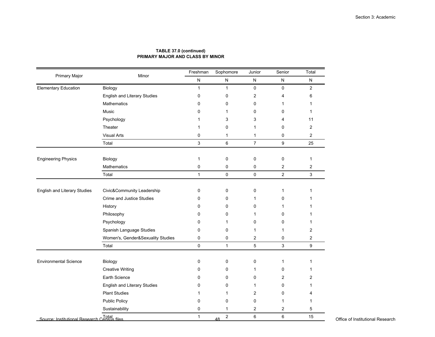| Primary Major                                        | Minor                               | Freshman     | Sophomore            | Junior                  | Senior         | Total          |
|------------------------------------------------------|-------------------------------------|--------------|----------------------|-------------------------|----------------|----------------|
|                                                      |                                     | N            | ${\sf N}$            | ${\sf N}$               | ${\sf N}$      | N              |
| <b>Elementary Education</b>                          | Biology                             | $\mathbf{1}$ | $\mathbf{1}$         | 0                       | $\mathbf 0$    | $\overline{2}$ |
|                                                      | <b>English and Literary Studies</b> | 0            | 0                    | $\overline{2}$          | 4              | 6              |
|                                                      | Mathematics                         | $\Omega$     | $\Omega$             | 0                       | 1              | 1              |
|                                                      | Music                               | $\Omega$     | 1                    | 0                       | 0              | 1              |
|                                                      | Psychology                          | 1            | 3                    | 3                       | 4              | 11             |
|                                                      | Theater                             | 1            | $\mathbf 0$          | $\mathbf{1}$            | 0              | $\overline{2}$ |
|                                                      | <b>Visual Arts</b>                  | $\mathbf 0$  | 1                    | $\mathbf{1}$            | 0              | $\overline{c}$ |
|                                                      | Total                               | 3            | 6                    | $\overline{7}$          | 9              | 25             |
| <b>Engineering Physics</b>                           | Biology                             | $\mathbf{1}$ | $\mathbf 0$          | 0                       | 0              | $\mathbf{1}$   |
|                                                      | Mathematics                         | $\pmb{0}$    | 0                    | 0                       | $\overline{2}$ | $\mathbf{2}$   |
|                                                      | Total                               | $\mathbf{1}$ | 0                    | $\mathbf 0$             | $\mathbf{2}$   | 3              |
|                                                      |                                     |              |                      |                         |                |                |
| English and Literary Studies                         | Civic&Community Leadership          | 0            | 0                    | 0                       | $\mathbf{1}$   | 1              |
|                                                      | <b>Crime and Justice Studies</b>    | $\Omega$     | 0                    | 1                       | 0              | 1              |
|                                                      | History                             | 0            | 0                    | 0                       | 1              | 1              |
|                                                      | Philosophy                          | $\Omega$     | 0                    | 1                       | 0              | 1              |
|                                                      | Psychology                          | $\mathbf 0$  | 1                    | 0                       | 0              | 1              |
|                                                      | Spanish Language Studies            | $\Omega$     | 0                    | 1                       | 1              | 2              |
|                                                      | Women's, Gender&Sexuality Studies   | $\pmb{0}$    | 0                    | $\overline{\mathbf{c}}$ | 0              | 2              |
|                                                      | Total                               | $\pmb{0}$    | $\mathbf{1}$         | 5                       | 3              | 9              |
| <b>Environmental Science</b>                         | Biology                             | 0            | 0                    | 0                       | $\mathbf{1}$   | 1              |
|                                                      | <b>Creative Writing</b>             | 0            | 0                    | 1                       | 0              | 1              |
|                                                      | Earth Science                       | $\mathbf 0$  | $\mathbf 0$          | 0                       | 2              | 2              |
|                                                      | English and Literary Studies        | $\Omega$     | $\Omega$             | 1                       | 0              | 1              |
|                                                      | <b>Plant Studies</b>                | 1            | 1                    | $\overline{2}$          | 0              | 4              |
|                                                      | <b>Public Policy</b>                | $\mathbf 0$  | 0                    | 0                       | 1              | 1              |
|                                                      | Sustainability                      | $\mathbf 0$  | $\mathbf{1}$         | $\overline{2}$          | 2              | 5              |
| Total<br>Source: Institutional Research Census files |                                     | $\mathbf{1}$ | $\overline{c}$<br>48 | 6                       | 6              | 15             |

48 <sup>2</sup> 6 6 6 <sup>15</sup> Deffice of Institutional Research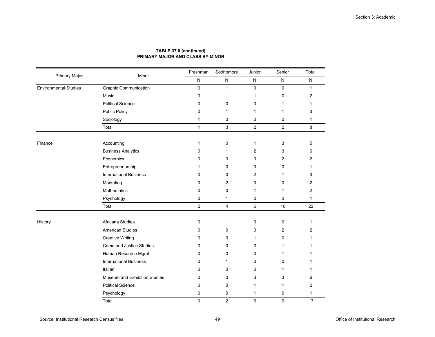| Primary Major                | Minor                            | Freshman       | Sophomore      | Junior         | Senior         | Total        |
|------------------------------|----------------------------------|----------------|----------------|----------------|----------------|--------------|
|                              |                                  | ${\sf N}$      | ${\sf N}$      | N              | ${\sf N}$      | ${\sf N}$    |
| <b>Environmental Studies</b> | <b>Graphic Communication</b>     | 0              | $\mathbf{1}$   | $\mathbf 0$    | $\mathbf 0$    | $\mathbf{1}$ |
|                              | Music                            | 0              | 1              | $\mathbf{1}$   | 0              | 2            |
|                              | <b>Political Science</b>         | 0              | 0              | 0              | 1              | 1            |
|                              | <b>Public Policy</b>             | 0              | 1              | $\mathbf{1}$   | 1              | 3            |
|                              | Sociology                        | $\mathbf{1}$   | 0              | 0              | 0              | 1            |
|                              | Total                            | $\mathbf{1}$   | 3              | $\overline{2}$ | $\overline{2}$ | 8            |
| Finance                      | Accounting                       | 1              | $\pmb{0}$      | 1              | 3              | 5            |
|                              | <b>Business Analytics</b>        | 0              | $\mathbf{1}$   | 2              | 3              | 6            |
|                              | Economics                        | 0              | 0              | 0              | 2              | 2            |
|                              | Entrepreneurship                 |                | 0              | 0              | 0              | 1            |
|                              | <b>International Business</b>    | 0              | 0              | $\overline{2}$ | 1              | 3            |
|                              | Marketing                        | 0              | 2              | 0              | 0              | 2            |
|                              | Mathematics                      | 0              | $\mathbf 0$    | $\mathbf{1}$   | 1              | 2            |
|                              | Psychology                       | 0              | $\mathbf{1}$   | 0              | 0              | 1            |
|                              | Total                            | $\overline{2}$ | $\overline{4}$ | $\,6\,$        | 10             | 22           |
| History                      | Africana Studies                 | 0              | $\mathbf{1}$   | 0              | 0              | $\mathbf{1}$ |
|                              | <b>American Studies</b>          | 0              | $\mathbf 0$    | 0              | 2              | 2            |
|                              | <b>Creative Writing</b>          | 0              | 0              | $\mathbf{1}$   | 0              | 1            |
|                              | <b>Crime and Justice Studies</b> | 0              | $\mathbf 0$    | 0              | 1              | 1            |
|                              | Human Resource Mgmt              | 0              | 0              | 0              | 1              | 1            |
|                              | <b>International Business</b>    | $\Omega$       | 1              | 0              | 0              | 1            |
|                              | Italian                          | $\Omega$       | $\mathbf 0$    | $\Omega$       | 1              | 1            |
|                              | Museum and Exhibition Studies    | 0              | $\mathbf 0$    | 3              | 3              | 6            |
|                              | <b>Political Science</b>         | 0              | $\mathbf 0$    | $\mathbf{1}$   | 1              | 2            |
|                              | Psychology                       | 0              | 0              | $\mathbf{1}$   | 0              | $\mathbf{1}$ |
|                              | Total                            | $\mathbf 0$    | $\overline{2}$ | $\,6\,$        | 9              | 17           |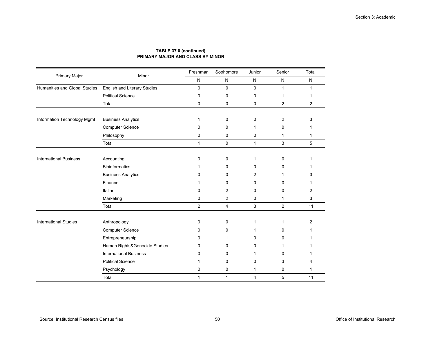| Primary Major                 | Minor                               | Freshman            | Sophomore      | Junior       | Senior         | Total        |
|-------------------------------|-------------------------------------|---------------------|----------------|--------------|----------------|--------------|
|                               |                                     | ${\sf N}$           | ${\sf N}$      | N            | ${\sf N}$      | $\mathsf{N}$ |
| Humanities and Global Studies | <b>English and Literary Studies</b> | 0                   | $\mathbf 0$    | $\mathbf 0$  | $\mathbf{1}$   | $\mathbf{1}$ |
|                               | <b>Political Science</b>            | 0                   | 0              | $\pmb{0}$    | 1              | 1            |
|                               | Total                               | $\mathsf{O}\xspace$ | 0              | $\pmb{0}$    | $\overline{2}$ | 2            |
| Information Technology Mgmt   | <b>Business Analytics</b>           | 1                   | 0              | 0            | $\overline{c}$ | 3            |
|                               | <b>Computer Science</b>             | $\Omega$            | 0              | 1            | $\Omega$       |              |
|                               | Philosophy                          | 0                   | 0              | 0            | $\mathbf{1}$   | 1            |
|                               | Total                               | $\mathbf{1}$        | $\pmb{0}$      | $\mathbf{1}$ | 3              | 5            |
| <b>International Business</b> | Accounting                          | 0                   | 0              | $\mathbf{1}$ | 0              |              |
|                               | <b>Bioinformatics</b>               |                     | 0              | $\mathbf 0$  | 0              |              |
|                               | <b>Business Analytics</b>           | 0                   | 0              | 2            | 1              | 3            |
|                               | Finance                             |                     | 0              | 0            | 0              |              |
|                               | Italian                             | 0                   | 2              | 0            | 0              | 2            |
|                               | Marketing                           | 0                   | 2              | 0            | 1              | 3            |
|                               | Total                               | $\overline{2}$      | $\overline{4}$ | $\sqrt{3}$   | $\overline{2}$ | 11           |
| <b>International Studies</b>  | Anthropology                        | 0                   | 0              | 1            | 1              | 2            |
|                               | <b>Computer Science</b>             | 0                   | 0              | 1            | 0              |              |
|                               | Entrepreneurship                    | $\Omega$            |                | $\Omega$     | $\Omega$       |              |
|                               | Human Rights&Genocide Studies       | 0                   | 0              | 0            |                |              |
|                               | <b>International Business</b>       | 0                   | 0              | 1            | $\Omega$       |              |
|                               | <b>Political Science</b>            | 1                   | 0              | 0            | 3              |              |
|                               | Psychology                          | 0                   | 0              | 1            | 0              | 1            |
|                               | Total                               | $\mathbf{1}$        | $\mathbf{1}$   | 4            | 5              | 11           |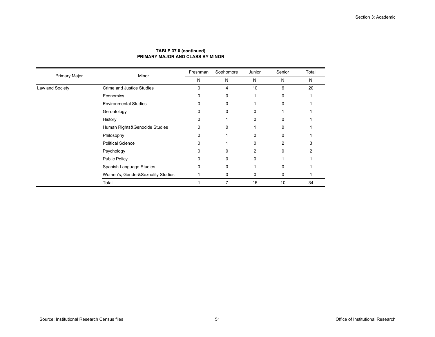|                      | Minor                             | Freshman | Sophomore | Junior | Senior | Total |
|----------------------|-----------------------------------|----------|-----------|--------|--------|-------|
| <b>Primary Major</b> |                                   | N        | N         | N      | N      | N     |
| Law and Society      | Crime and Justice Studies         | 0        | 4         | 10     | 6      | 20    |
|                      | Economics                         | 0        | 0         |        | 0      |       |
|                      | <b>Environmental Studies</b>      |          | 0         |        | 0      |       |
|                      | Gerontology                       | 0        | 0         | 0      |        |       |
|                      | History                           |          |           |        | U      |       |
|                      | Human Rights&Genocide Studies     | 0        | 0         |        | 0      |       |
|                      | Philosophy                        |          |           | U      | 0      |       |
|                      | <b>Political Science</b>          | 0        |           | 0      | 2      | 3     |
|                      | Psychology                        | n        | U         | 2      | 0      |       |
|                      | Public Policy                     |          | 0         |        |        |       |
|                      | Spanish Language Studies          | 0        | 0         |        | 0      |       |
|                      | Women's, Gender&Sexuality Studies |          | 0         | 0      | 0      |       |
|                      | Total                             |          | 7         | 16     | 10     | 34    |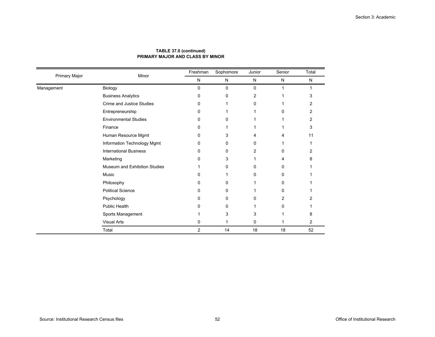| Primary Major | Minor                         | Freshman       | Sophomore | Junior    | Senior | Total     |
|---------------|-------------------------------|----------------|-----------|-----------|--------|-----------|
|               |                               | N              | N         | ${\sf N}$ | N      | ${\sf N}$ |
| Management    | Biology                       | 0              | 0         | 0         | 1      | 1         |
|               | <b>Business Analytics</b>     | 0              | 0         | 2         |        | 3         |
|               | Crime and Justice Studies     | 0              |           | 0         |        | 2         |
|               | Entrepreneurship              | 0              |           |           | 0      | 2         |
|               | <b>Environmental Studies</b>  | 0              | 0         |           |        | 2         |
|               | Finance                       | 0              |           |           |        | 3         |
|               | Human Resource Mgmt           | 0              | 3         | 4         | 4      | 11        |
|               | Information Technology Mgmt   | 0              | 0         | 0         |        |           |
|               | <b>International Business</b> | 0              | 0         | 2         | 0      | 2         |
|               | Marketing                     | 0              | 3         |           | 4      | 8         |
|               | Museum and Exhibition Studies |                | 0         | U         | 0      |           |
|               | Music                         | 0              |           | 0         | 0      |           |
|               | Philosophy                    | 0              | 0         |           | 0      |           |
|               | <b>Political Science</b>      | 0              | 0         |           | 0      |           |
|               | Psychology                    | 0              | 0         | 0         | 2      |           |
|               | <b>Public Health</b>          | 0              | 0         |           | 0      |           |
|               | Sports Management             |                | 3         | 3         |        | 8         |
|               | <b>Visual Arts</b>            | 0              | 1         | 0         | 1      | 2         |
|               | Total                         | $\overline{2}$ | 14        | 18        | 18     | 52        |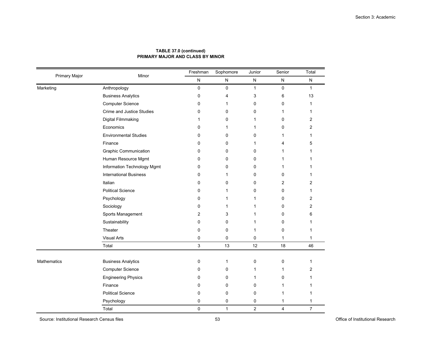| Primary Major | Minor                            | Freshman    | Sophomore    | Junior         | Senior    | Total                   |
|---------------|----------------------------------|-------------|--------------|----------------|-----------|-------------------------|
|               |                                  | ${\sf N}$   | ${\sf N}$    | N              | ${\sf N}$ | ${\sf N}$               |
| Marketing     | Anthropology                     | $\mathbf 0$ | 0            | $\mathbf{1}$   | 0         | $\mathbf{1}$            |
|               | <b>Business Analytics</b>        | 0           | 4            | 3              | 6         | 13                      |
|               | Computer Science                 | 0           | 1            | 0              | 0         | 1                       |
|               | <b>Crime and Justice Studies</b> | 0           | 0            | 0              | 1         | 1                       |
|               | Digital Filmmaking               | 1           | 0            | 1              | 0         | $\overline{\mathbf{c}}$ |
|               | Economics                        | 0           | 1            | 1              | 0         | 2                       |
|               | <b>Environmental Studies</b>     | 0           | 0            | 0              | 1         | 1                       |
|               | Finance                          | 0           | $\Omega$     | 1              | 4         | 5                       |
|               | <b>Graphic Communication</b>     | 0           | 0            | 0              | 1         | 1                       |
|               | Human Resource Mgmt              | 0           | 0            | 0              | 1         | 1                       |
|               | Information Technology Mgmt      | $\Omega$    | $\Omega$     | 0              | 1         | 1                       |
|               | <b>International Business</b>    | $\mathbf 0$ | 1            | $\mathbf 0$    | 0         | 1                       |
|               | Italian                          | 0           | 0            | 0              | 2         | 2                       |
|               | <b>Political Science</b>         | 0           | 1            | $\Omega$       | 0         | 1                       |
|               | Psychology                       | 0           | 1            | 1              | 0         | $\overline{2}$          |
|               | Sociology                        | 0           | 1            | 1              | 0         | 2                       |
|               | Sports Management                | 2           | 3            | 1              | 0         | 6                       |
|               | Sustainability                   | 0           | $\Omega$     | 1              | $\Omega$  | 1                       |
|               | Theater                          | 0           | 0            | 1              | 0         | 1                       |
|               | <b>Visual Arts</b>               | $\mathbf 0$ | 0            | 0              | 1         | $\mathbf{1}$            |
|               | Total                            | 3           | 13           | 12             | 18        | 46                      |
| Mathematics   | <b>Business Analytics</b>        | 0           | 1            | $\mathbf 0$    | 0         | 1                       |
|               | <b>Computer Science</b>          | 0           | 0            | 1              | 1         | 2                       |
|               | <b>Engineering Physics</b>       | 0           | $\Omega$     | 1              | 0         | 1                       |
|               | Finance                          | 0           | $\mathbf 0$  | $\mathbf 0$    | 1         | 1                       |
|               | <b>Political Science</b>         | 0           | 0            | 0              | 1         | 1                       |
|               | Psychology                       | 0           | $\mathbf 0$  | 0              | 1         | 1                       |
|               | Total                            | $\mathbf 0$ | $\mathbf{1}$ | $\overline{2}$ | 4         | $\overline{7}$          |

Source: Institutional Research Census files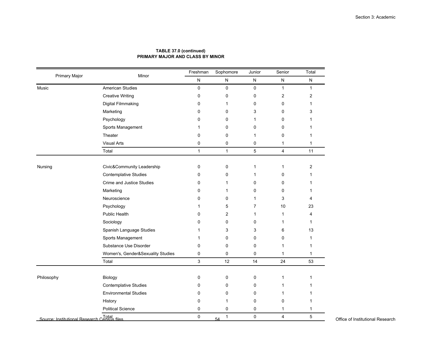| Primary Major | Minor                             | Freshman     | Sophomore          | Junior         | Senior         | Total          |                                  |
|---------------|-----------------------------------|--------------|--------------------|----------------|----------------|----------------|----------------------------------|
|               |                                   | ${\sf N}$    | ${\sf N}$          | N              | ${\sf N}$      | ${\sf N}$      |                                  |
| Music         | <b>American Studies</b>           | 0            | $\pmb{0}$          | $\pmb{0}$      | $\mathbf{1}$   | $\mathbf{1}$   |                                  |
|               | <b>Creative Writing</b>           | $\mathbf 0$  | $\mathbf 0$        | $\mathbf 0$    | $\overline{2}$ | $\overline{2}$ |                                  |
|               | Digital Filmmaking                | 0            | $\mathbf{1}$       | $\mathbf 0$    | 0              | $\mathbf{1}$   |                                  |
|               | Marketing                         | $\Omega$     | $\mathbf 0$        | 3              | 0              | 3              |                                  |
|               | Psychology                        | $\Omega$     | $\mathbf 0$        | $\mathbf{1}$   | 0              | $\mathbf{1}$   |                                  |
|               | Sports Management                 | 1            | $\mathbf 0$        | $\mathbf 0$    | 0              | 1              |                                  |
|               | Theater                           | $\mathbf 0$  | $\mathbf 0$        | $\mathbf{1}$   | 0              | $\mathbf{1}$   |                                  |
|               | <b>Visual Arts</b>                | 0            | $\mathbf 0$        | $\mathbf 0$    | $\mathbf{1}$   | $\mathbf{1}$   |                                  |
|               | Total                             | $\mathbf{1}$ | $\overline{1}$     | $\sqrt{5}$     | $\overline{4}$ | 11             |                                  |
|               |                                   |              |                    |                |                |                |                                  |
| Nursing       | Civic&Community Leadership        | 0            | $\mathbf 0$        | $\mathbf{1}$   | $\mathbf{1}$   | $\overline{c}$ |                                  |
|               | <b>Contemplative Studies</b>      | $\mathbf 0$  | $\pmb{0}$          | $\mathbf{1}$   | 0              | $\mathbf{1}$   |                                  |
|               | Crime and Justice Studies         | 0            | $\mathbf{1}$       | 0              | 0              | 1              |                                  |
|               | Marketing                         | $\Omega$     | $\mathbf{1}$       | $\mathbf 0$    | 0              | 1              |                                  |
|               | Neuroscience                      | 0            | $\mathbf 0$        | $\mathbf{1}$   | 3              | 4              |                                  |
|               | Psychology                        | -1           | 5                  | $\overline{7}$ | 10             | 23             |                                  |
|               | Public Health                     | $\Omega$     | 2                  | $\mathbf{1}$   | $\mathbf{1}$   | 4              |                                  |
|               | Sociology                         | $\Omega$     | 0                  | 0              | $\mathbf{1}$   | $\mathbf{1}$   |                                  |
|               | Spanish Language Studies          |              | 3                  | 3              | 6              | 13             |                                  |
|               | Sports Management                 | -1           | $\mathbf 0$        | 0              | 0              | 1              |                                  |
|               | Substance Use Disorder            | $\Omega$     | 0                  | 0              | 1              | $\mathbf{1}$   |                                  |
|               | Women's, Gender&Sexuality Studies | 0            | $\pmb{0}$          | $\mathbf 0$    | $\mathbf{1}$   | $\mathbf{1}$   |                                  |
|               | Total                             | 3            | 12                 | 14             | 24             | 53             |                                  |
|               |                                   |              |                    |                |                |                |                                  |
| Philosophy    | Biology                           | 0            | 0                  | 0              | 1              | 1              |                                  |
|               | <b>Contemplative Studies</b>      | 0            | $\mathbf 0$        | 0              | 1              |                |                                  |
|               | <b>Environmental Studies</b>      | 0            | $\pmb{0}$          | 0              | $\mathbf{1}$   |                |                                  |
|               | History                           | $\Omega$     | 1                  | $\mathbf 0$    | 0              | 1              |                                  |
|               | <b>Political Science</b>          | 0            | $\mathbf 0$        | 0              | $\mathbf{1}$   | $\mathbf 1$    |                                  |
|               |                                   | 0            | $\mathbf{1}$<br>54 | $\mathbf 0$    | 4              | 5              | Office of Institutional Research |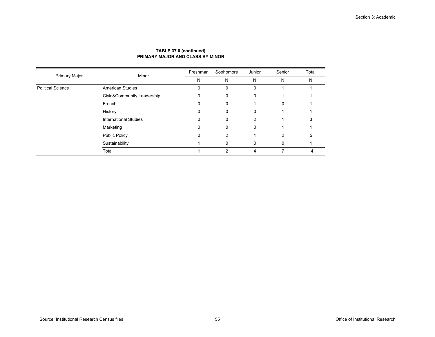|                          | Minor                        | Freshman | Sophomore     | Junior        | Senior | Total |
|--------------------------|------------------------------|----------|---------------|---------------|--------|-------|
| Primary Major            |                              | N        | N             | N             | N      | N     |
| <b>Political Science</b> | <b>American Studies</b>      | 0        | 0             | $\Omega$      |        |       |
|                          | Civic&Community Leadership   | 0        | $\Omega$      | $\Omega$      |        |       |
|                          | French                       | 0        | 0             |               | 0      |       |
|                          | History                      | 0        | 0             | 0             |        |       |
|                          | <b>International Studies</b> | 0        | $\mathbf 0$   | $\mathcal{P}$ |        |       |
|                          | Marketing                    | 0        | $\Omega$      | $\Omega$      |        |       |
|                          | <b>Public Policy</b>         | 0        | 2             |               | 2      |       |
|                          | Sustainability               |          |               |               | 0      |       |
|                          | Total                        |          | $\mathcal{P}$ | 4             |        | 14    |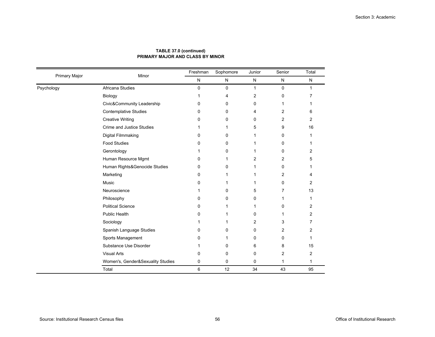| <b>Primary Major</b> | Minor                             | Freshman    | Sophomore   | Junior       | Senior      | Total        |
|----------------------|-----------------------------------|-------------|-------------|--------------|-------------|--------------|
|                      |                                   | ${\sf N}$   | N           | ${\sf N}$    | ${\sf N}$   | $\mathsf{N}$ |
| Psychology           | Africana Studies                  | $\mathbf 0$ | 0           | $\mathbf{1}$ | $\mathbf 0$ | $\mathbf{1}$ |
|                      | Biology                           | 1           | 4           | 2            | $\mathbf 0$ |              |
|                      | Civic&Community Leadership        | 0           | 0           | 0            | 1           |              |
|                      | Contemplative Studies             | 0           | 0           | 4            | 2           | 6            |
|                      | <b>Creative Writing</b>           | 0           | 0           | 0            | 2           | 2            |
|                      | Crime and Justice Studies         | 1           | 1           | 5            | 9           | 16           |
|                      | Digital Filmmaking                | 0           | 0           | 1            | 0           |              |
|                      | <b>Food Studies</b>               | 0           | $\mathbf 0$ | 1            | $\Omega$    |              |
|                      | Gerontology                       | 1           | 0           |              | 0           | 2            |
|                      | Human Resource Mgmt               | 0           | 1           | 2            | 2           | 5            |
|                      | Human Rights&Genocide Studies     | 0           | 0           | 1            | $\Omega$    |              |
|                      | Marketing                         | 0           | 1           | 1            | 2           | 4            |
|                      | Music                             | 0           | 1           |              | 0           | 2            |
|                      | Neuroscience                      | 1           | 0           | 5            | 7           | 13           |
|                      | Philosophy                        | 0           | 0           | 0            | 1           | 1            |
|                      | <b>Political Science</b>          | 0           | 1           | 1            | 0           | 2            |
|                      | <b>Public Health</b>              | 0           | 1           | 0            | 1           | 2            |
|                      | Sociology                         | 1           | 1           | 2            | 3           | 7            |
|                      | Spanish Language Studies          | 0           | 0           | 0            | 2           | 2            |
|                      | Sports Management                 | 0           | 1           | 0            | $\Omega$    |              |
|                      | Substance Use Disorder            | 1           | 0           | 6            | 8           | 15           |
|                      | <b>Visual Arts</b>                | 0           | 0           | 0            | 2           | 2            |
|                      | Women's, Gender&Sexuality Studies | 0           | 0           | 0            | 1           | 1            |
|                      | Total                             | 6           | 12          | 34           | 43          | 95           |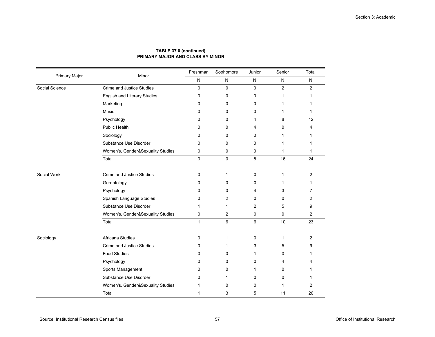| Primary Major  | Minor                               | Freshman     | Sophomore   | Junior         | Senior         | Total                   |
|----------------|-------------------------------------|--------------|-------------|----------------|----------------|-------------------------|
|                |                                     | Ν            | ${\sf N}$   | $\mathsf{N}$   | ${\sf N}$      | N                       |
| Social Science | <b>Crime and Justice Studies</b>    | 0            | $\mathbf 0$ | $\mathbf 0$    | $\overline{2}$ | $\overline{2}$          |
|                | <b>English and Literary Studies</b> | 0            | 0           | $\mathbf 0$    | 1              | 1                       |
|                | Marketing                           | 0            | 0           | 0              | 1              | 1                       |
|                | Music                               | 0            | $\Omega$    | $\mathbf 0$    | 1              | 1                       |
|                | Psychology                          | $\Omega$     | $\Omega$    | 4              | 8              | 12                      |
|                | Public Health                       | $\Omega$     | $\Omega$    | 4              | $\Omega$       | 4                       |
|                | Sociology                           | 0            | 0           | $\Omega$       | 1              | 1                       |
|                | Substance Use Disorder              | $\mathbf 0$  | 0           | $\mathbf 0$    | 1              | 1                       |
|                | Women's, Gender&Sexuality Studies   | 0            | 0           | 0              | 1              | 1                       |
|                | Total                               | 0            | 0           | 8              | 16             | 24                      |
|                |                                     |              |             |                |                |                         |
| Social Work    | <b>Crime and Justice Studies</b>    | 0            | 1           | $\mathbf 0$    | $\mathbf{1}$   | $\overline{2}$          |
|                | Gerontology                         | 0            | $\Omega$    | 0              | 1              | 1                       |
|                | Psychology                          | 0            | 0           | 4              | 3              | 7                       |
|                | Spanish Language Studies            | $\Omega$     | 2           | $\Omega$       | 0              | $\overline{2}$          |
|                | Substance Use Disorder              | 1            | 1           | $\overline{2}$ | 5              | 9                       |
|                | Women's, Gender&Sexuality Studies   | 0            | 2           | 0              | 0              | $\overline{\mathbf{c}}$ |
|                | Total                               | $\mathbf{1}$ | 6           | 6              | 10             | 23                      |
| Sociology      | Africana Studies                    | 0            | 1           | 0              | 1              | 2                       |
|                | Crime and Justice Studies           | $\Omega$     |             | 3              | 5              | 9                       |
|                | <b>Food Studies</b>                 | $\Omega$     | 0           | $\mathbf 1$    | 0              | 1                       |
|                |                                     |              |             |                |                |                         |
|                | Psychology                          | 0            | 0           | $\mathbf 0$    | 4              | 4                       |
|                | Sports Management                   | 0            | 0           | 1              | 0              | 1                       |
|                | Substance Use Disorder              | 0            | 1           | 0              | 0              | 1                       |
|                | Women's, Gender&Sexuality Studies   | $\mathbf{1}$ | 0           | 0              | $\mathbf 1$    | $\overline{2}$          |
|                | Total                               | $\mathbf{1}$ | 3           | 5              | 11             | 20                      |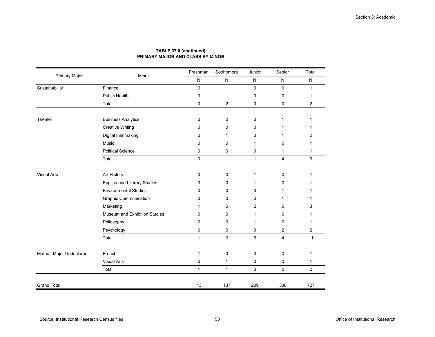| Primary Major             | Minor                         | Freshman     | Sophomore    | Junior       | Senior         | Total          |
|---------------------------|-------------------------------|--------------|--------------|--------------|----------------|----------------|
|                           |                               | ${\sf N}$    | $\mathsf{N}$ | ${\sf N}$    | ${\sf N}$      | $\mathsf{N}$   |
| Sustainability            | Finance                       | $\mathbf 0$  | $\mathbf{1}$ | $\mathbf 0$  | 0              | $\mathbf{1}$   |
|                           | Public Health                 | $\pmb{0}$    | 1            | 0            | 0              | $\mathbf{1}$   |
|                           | Total                         | $\mathbf 0$  | 2            | $\mathbf 0$  | 0              | 2              |
| Theater                   | <b>Business Analytics</b>     | 0            | 0            | 0            | $\mathbf{1}$   | 1              |
|                           | <b>Creative Writing</b>       | 0            | 0            | 0            | 1              |                |
|                           | Digital Filmmaking            | 0            | 1            | 0            | 1              | 2              |
|                           | Music                         | 0            | $\mathbf 0$  | 1            | 0              | 1              |
|                           | <b>Political Science</b>      | 0            | 0            | 0            | $\mathbf{1}$   | $\mathbf{1}$   |
|                           | Total                         | $\mathbf 0$  | $\mathbf{1}$ | $\mathbf{1}$ | $\overline{4}$ | 6              |
|                           |                               |              |              |              |                |                |
| <b>Visual Arts</b>        | Art History                   | $\mathbf 0$  | 0            | $\mathbf{1}$ | 0              | 1              |
|                           | English and Literary Studies  | 0            | 0            | 1            | 0              |                |
|                           | <b>Environmental Studies</b>  | 0            | $\Omega$     | 0            |                |                |
|                           | <b>Graphic Communication</b>  | 0            | $\mathbf 0$  | 0            | 1              | 1              |
|                           | Marketing                     | 1            | $\Omega$     | 2            | 0              | 3              |
|                           | Museum and Exhibition Studies | 0            | 0            | 1            | 0              | 1              |
|                           | Philosophy                    | 0            | 0            | 1            | 0              | 1              |
|                           | Psychology                    | 0            | 0            | 0            | 2              | 2              |
|                           | Total                         | $\mathbf{1}$ | $\mathbf 0$  | 6            | 4              | 11             |
| Matric - Major Undeclared | French                        | 1            | 0            | 0            | 0              | 1              |
|                           | <b>Visual Arts</b>            | 0            | 1            | 0            | 0              | $\mathbf{1}$   |
|                           | Total                         | $\mathbf{1}$ | $\mathbf{1}$ | 0            | 0              | $\overline{2}$ |
| <b>Grand Total</b>        |                               | 43           | 137          | 209          | 338            | 727            |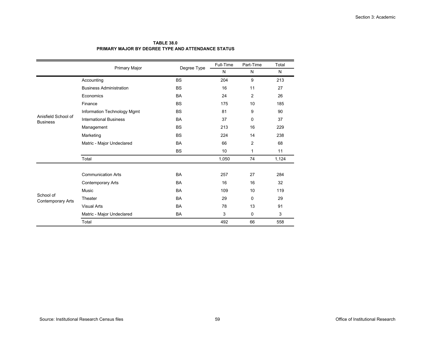| <b>TABLE 38.0</b>                                         |
|-----------------------------------------------------------|
| <b>PRIMARY MAJOR BY DEGREE TYPE AND ATTENDANCE STATUS</b> |

|                                        |                                |             | Full-Time | Part-Time    | Total |
|----------------------------------------|--------------------------------|-------------|-----------|--------------|-------|
|                                        | Primary Major                  | Degree Type | N         | N            | N     |
|                                        | Accounting                     | <b>BS</b>   | 204       | 9            | 213   |
|                                        | <b>Business Administration</b> | <b>BS</b>   | 16        | 11           | 27    |
|                                        | Economics                      | <b>BA</b>   | 24        | 2            | 26    |
|                                        | Finance                        | <b>BS</b>   | 175       | 10           | 185   |
|                                        | Information Technology Mgmt    | <b>BS</b>   | 81        | 9            | 90    |
| Anisfield School of<br><b>Business</b> | <b>International Business</b>  | <b>BA</b>   | 37        | 0            | 37    |
|                                        | Management                     | <b>BS</b>   | 213       | 16           | 229   |
|                                        | Marketing                      | <b>BS</b>   | 224       | 14           | 238   |
|                                        | Matric - Major Undeclared      | <b>BA</b>   | 66        | 2            | 68    |
|                                        |                                | <b>BS</b>   | 10        | $\mathbf{1}$ | 11    |
|                                        | Total                          |             | 1,050     | 74           | 1,124 |
|                                        |                                |             |           |              |       |
|                                        | <b>Communication Arts</b>      | <b>BA</b>   | 257       | 27           | 284   |
|                                        | <b>Contemporary Arts</b>       | <b>BA</b>   | 16        | 16           | 32    |
|                                        | Music                          | <b>BA</b>   | 109       | 10           | 119   |
| School of<br><b>Contemporary Arts</b>  | Theater                        | <b>BA</b>   | 29        | $\mathbf 0$  | 29    |
|                                        | <b>Visual Arts</b>             | <b>BA</b>   | 78        | 13           | 91    |
|                                        | Matric - Major Undeclared      | BA          | 3         | 0            | 3     |
|                                        | Total                          |             | 492       | 66           | 558   |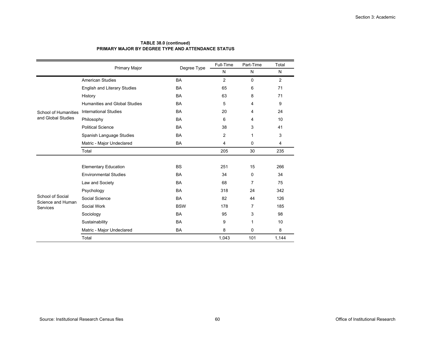#### **TABLE 38.0 (continued) PRIMARY MAJOR BY DEGREE TYPE AND ATTENDANCE STATUS**

|                               | Primary Major                       | Degree Type | Full-Time      | Part-Time      | Total |
|-------------------------------|-------------------------------------|-------------|----------------|----------------|-------|
|                               |                                     |             | N              | N              | N     |
|                               | <b>American Studies</b>             | <b>BA</b>   | $\overline{2}$ | $\mathbf 0$    | 2     |
|                               | <b>English and Literary Studies</b> | <b>BA</b>   | 65             | 6              | 71    |
|                               | History                             | <b>BA</b>   | 63             | 8              | 71    |
|                               | Humanities and Global Studies       | <b>BA</b>   | 5              | 4              | 9     |
| School of Humanities          | <b>International Studies</b>        | <b>BA</b>   | 20             | 4              | 24    |
| and Global Studies            | Philosophy                          | <b>BA</b>   | 6              | 4              | 10    |
|                               | <b>Political Science</b>            | <b>BA</b>   | 38             | 3              | 41    |
|                               | Spanish Language Studies            | <b>BA</b>   | $\overline{2}$ | 1              | 3     |
|                               | Matric - Major Undeclared           | BA          | 4              | 0              | 4     |
|                               | Total                               |             | 205            | 30             | 235   |
|                               |                                     |             |                |                |       |
|                               | <b>Elementary Education</b>         | <b>BS</b>   | 251            | 15             | 266   |
|                               | <b>Environmental Studies</b>        | <b>BA</b>   | 34             | $\Omega$       | 34    |
|                               | Law and Society                     | <b>BA</b>   | 68             | $\overline{7}$ | 75    |
|                               | Psychology                          | <b>BA</b>   | 318            | 24             | 342   |
| School of Social              | Social Science                      | <b>BA</b>   | 82             | 44             | 126   |
| Science and Human<br>Services | Social Work                         | <b>BSW</b>  | 178            | 7              | 185   |
|                               | Sociology                           | <b>BA</b>   | 95             | 3              | 98    |
|                               | Sustainability                      | <b>BA</b>   | 9              | 1              | 10    |
|                               | Matric - Major Undeclared           | <b>BA</b>   | 8              | 0              | 8     |
|                               | Total                               |             | 1,043          | 101            | 1,144 |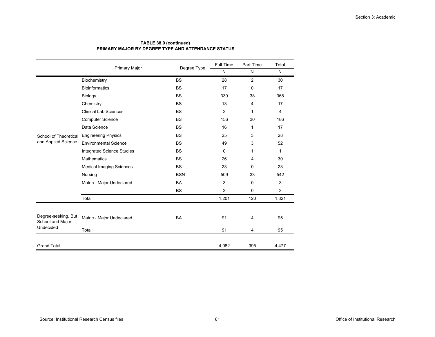#### **TABLE 38.0 (continued) PRIMARY MAJOR BY DEGREE TYPE AND ATTENDANCE STATUS**

|                                         | Primary Major                   | Degree Type | Full-Time | Part-Time    | Total          |
|-----------------------------------------|---------------------------------|-------------|-----------|--------------|----------------|
|                                         |                                 |             | N         | N            | N              |
|                                         | Biochemistry                    | <b>BS</b>   | 28        | 2            | 30             |
|                                         | <b>Bioinformatics</b>           | <b>BS</b>   | 17        | $\Omega$     | 17             |
|                                         | Biology                         | <b>BS</b>   | 330       | 38           | 368            |
|                                         | Chemistry                       | <b>BS</b>   | 13        | 4            | 17             |
|                                         | <b>Clinical Lab Sciences</b>    | <b>BS</b>   | 3         | $\mathbf{1}$ | $\overline{4}$ |
|                                         | <b>Computer Science</b>         | <b>BS</b>   | 156       | 30           | 186            |
|                                         | Data Science                    | <b>BS</b>   | 16        | 1            | 17             |
| School of Theoretical                   | <b>Engineering Physics</b>      | <b>BS</b>   | 25        | 3            | 28             |
| and Applied Science                     | <b>Environmental Science</b>    | <b>BS</b>   | 49        | 3            | 52             |
|                                         | Integrated Science Studies      | <b>BS</b>   | 0         | 1            | $\mathbf{1}$   |
|                                         | <b>Mathematics</b>              | <b>BS</b>   | 26        | 4            | 30             |
|                                         | <b>Medical Imaging Sciences</b> | <b>BS</b>   | 23        | 0            | 23             |
|                                         | Nursing                         | <b>BSN</b>  | 509       | 33           | 542            |
|                                         | Matric - Major Undeclared       | <b>BA</b>   | 3         | 0            | 3              |
|                                         |                                 | <b>BS</b>   | 3         | 0            | 3              |
|                                         | Total                           |             | 1,201     | 120          | 1,321          |
|                                         |                                 |             |           |              |                |
| Degree-seeking, But<br>School and Major | Matric - Major Undeclared       | <b>BA</b>   | 91        | 4            | 95             |
| Undecided                               | Total                           |             | 91        | 4            | 95             |
|                                         |                                 |             |           |              |                |
| <b>Grand Total</b>                      |                                 |             | 4,082     | 395          | 4,477          |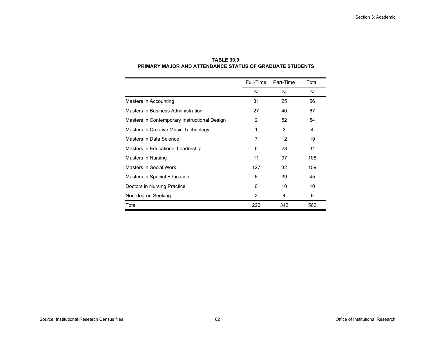|                                              | Full-Time      | Part-Time | Total |
|----------------------------------------------|----------------|-----------|-------|
|                                              | N              | N         | N     |
| Masters in Accounting                        | 31             | 25        | 56    |
| Masters in Business Administration           | 27             | 40        | 67    |
| Masters in Contemporary Instructional Design | $\overline{2}$ | 52        | 54    |
| Masters in Creative Music Technology         | 1              | 3         | 4     |
| Masters in Data Science                      | 7              | 12        | 19    |
| Masters in Educational Leadership            | 6              | 28        | 34    |
| Masters in Nursing                           | 11             | 97        | 108   |
| Masters in Social Work                       | 127            | 32        | 159   |
| Masters in Special Education                 | 6              | 39        | 45    |
| Doctors in Nursing Practice                  | 0              | 10        | 10    |
| Non-degree Seeking                           | $\overline{2}$ | 4         | 6     |
| Total                                        | 220            | 342       | 562   |

# **TABLE 39.0 PRIMARY MAJOR AND ATTENDANCE STATUS OF GRADUATE STUDENTS**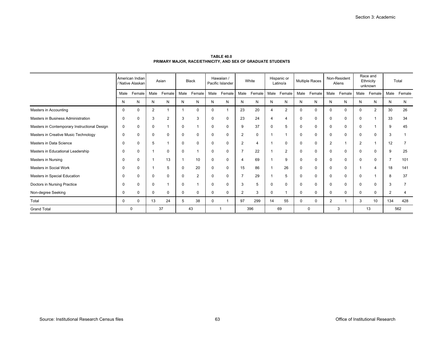|                                              |             | American Indian<br>/ Native Alaskan<br>Female<br>Male<br>Male |                |                |          | Asian    |              | <b>Black</b> |                          | Hawaiian /<br>Pacific Islander |      | White          |      | Hispanic or<br>Latino/a |                      | Multiple Races | Non-Resident<br>Aliens |          | Race and<br>Ethnicity<br>unknown |        | Total |  |
|----------------------------------------------|-------------|---------------------------------------------------------------|----------------|----------------|----------|----------|--------------|--------------|--------------------------|--------------------------------|------|----------------|------|-------------------------|----------------------|----------------|------------------------|----------|----------------------------------|--------|-------|--|
|                                              |             |                                                               |                | Female         | Male     | Female   | Male         | Female       | Male                     | Female                         | Male | Female         | Male | Female                  | Male                 | Female         | Male                   | Female   | Male                             | Female |       |  |
|                                              | N           | N                                                             | N              | N              | N        | N        | N            | N            | N                        | N                              | N    | N              | N    | N                       | N                    | N              | N                      | N        | N                                | N      |       |  |
| Masters in Accounting                        | $\Omega$    | $\mathbf 0$                                                   | $\overline{2}$ |                |          |          | 0            |              | 23                       | 20                             | 4    | 2              |      | $\Omega$                | $\Omega$             | $\mathbf 0$    | $\Omega$               | 2        | 30                               | 26     |       |  |
| Masters in Business Administration           | 0           | $\mathbf 0$                                                   | 3              | $\overline{2}$ | 3        | 3        | 0            | 0            | 23                       | 24                             | 4    | 4              |      | 0                       | $\mathbf 0$          | 0              | $\Omega$               |          | 33                               | 34     |       |  |
| Masters in Contemporary Instructional Design | $\mathbf 0$ | $\mathbf 0$                                                   | $\mathbf 0$    |                | 0        |          | 0            | 0            | 9                        | 37                             | 0    | 5              | 0    | $\mathbf 0$             | $\Omega$             | 0              | $\Omega$               |          | 9                                | 45     |       |  |
| Masters in Creative Music Technology         | $\Omega$    | $\mathbf 0$                                                   | $\mathbf 0$    | $\mathbf 0$    |          | $\Omega$ |              | $\mathbf 0$  | $\overline{2}$           | $\mathbf 0$                    |      |                | 0    | $\mathbf 0$             | $\Omega$             | 0              | $\mathbf 0$            | 0        | 3                                |        |       |  |
| Masters in Data Science                      | 0           | $\mathbf 0$                                                   | 5              |                | $\Omega$ | $\Omega$ | 0            | 0            | 2                        | $\overline{4}$                 |      | $\mathbf 0$    |      | 0                       | 2                    |                | $\overline{2}$         |          | 12                               | 7      |       |  |
| Masters in Educational Leadership            | 0           | $\Omega$                                                      |                | $\Omega$       |          |          |              | 0            |                          | 22                             |      | $\overline{2}$ |      | $\mathbf 0$             | $\Omega$             | $\Omega$       | $\Omega$               | $\Omega$ | 9                                | 25     |       |  |
| <b>Masters in Nursing</b>                    | O           | $\mathbf 0$                                                   |                | 13             |          | 10       |              | 0            | $\overline{\mathcal{L}}$ | 69                             |      | 9              |      | $\mathbf 0$             | $\Omega$             | 0              | $\Omega$               | 0        |                                  | 101    |       |  |
| <b>Masters in Social Work</b>                | $\Omega$    | $\mathbf 0$                                                   |                | 5              | 0        | 20       | $\Omega$     | 0            | 15                       | 86                             |      | 26             |      | 0                       | $\mathbf 0$          | 0              |                        | 4        | 18                               | 141    |       |  |
| Masters in Special Education                 | 0           | $\mathbf 0$                                                   | $\mathbf 0$    | $\mathbf 0$    | $\Omega$ | 2        | $\Omega$     | 0            |                          | 29                             |      | 5              | 0    | $\mathbf 0$             | 0                    | 0              | $\mathbf 0$            |          | 8                                | 37     |       |  |
| Doctors in Nursing Practice                  | O           | $\mathbf 0$                                                   | $\mathbf 0$    |                | $\Omega$ |          | U            | 0            | 3                        | 5                              | 0    | $\Omega$       |      | $\mathbf 0$             | $\Omega$             | 0              | $\Omega$               | 0        | 3                                |        |       |  |
| Non-degree Seeking                           | 0           | 0                                                             | $\mathbf 0$    | $\mathbf 0$    | 0        | $\Omega$ | 0            | 0            | 2                        | 3                              | 0    |                | 0    | 0                       | $\Omega$             | 0              | $\Omega$               | 0        | 2                                | 4      |       |  |
| Total                                        | $\mathbf 0$ | $\mathbf 0$                                                   | 13             | 24             | 5        | 38       | $\mathbf{0}$ |              | 97                       | 299                            | 14   | 55             | 0    | $\mathbf 0$             | $\mathbf{2}^{\circ}$ |                | 3                      | 10       | 134                              | 428    |       |  |
| <b>Grand Total</b>                           |             | $\Omega$                                                      |                | 37             |          | 43       |              |              |                          | 396                            |      | 69             |      | 0                       |                      | 3              |                        | 13       |                                  | 562    |       |  |

**TABLE 40.0PRIMARY MAJOR, RACE/ETHNICITY, AND SEX OF GRADUATE STUDENTS**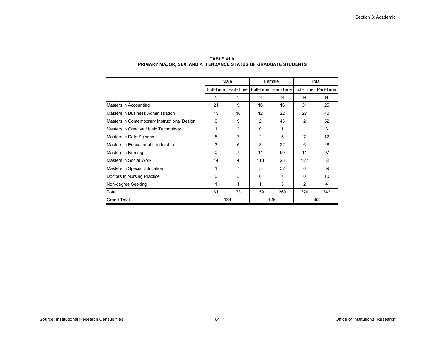|                                              |          | Male                                    |          | Female | Total |                     |  |
|----------------------------------------------|----------|-----------------------------------------|----------|--------|-------|---------------------|--|
|                                              |          | Full-Time Part-Time Full-Time Part-Time |          |        |       | Full-Time Part-Time |  |
|                                              | N        | N                                       | N        | N      | N     | N                   |  |
| Masters in Accounting                        | 21       | 9                                       | 10       | 16     | 31    | 25                  |  |
| Masters in Business Administration           | 15       | 18                                      | 12       | 22     | 27    | 40                  |  |
| Masters in Contemporary Instructional Design | 0        | 9                                       | 2        | 43     | 2     | 52                  |  |
| Masters in Creative Music Technology         | 1        | 2                                       | $\Omega$ |        | 1     | 3                   |  |
| Masters in Data Science                      | 5        | 7                                       | 2        | 5      | 7     | 12                  |  |
| Masters in Educational Leadership            | 3        | 6                                       | 3        | 22     | 6     | 28                  |  |
| Masters in Nursing                           | $\Omega$ | 7                                       | 11       | 90     | 11    | 97                  |  |
| Masters in Social Work                       | 14       | 4                                       | 113      | 28     | 127   | 32                  |  |
| Masters in Special Education                 | 1        | 7                                       | 5        | 32     | 6     | 39                  |  |
| Doctors in Nursing Practice                  | 0        | 3                                       | 0        | 7      | 0     | 10                  |  |
| Non-degree Seeking                           | 1        | 1                                       | 1        | 3      | 2     | 4                   |  |
| Total                                        | 61       | 73                                      | 159      | 269    | 220   | 342                 |  |
| <b>Grand Total</b>                           |          | 134                                     |          | 428    |       | 562                 |  |

# **TABLE 41.0PRIMARY MAJOR, SEX, AND ATTENDANCE STATUS OF GRADUATE STUDENTS**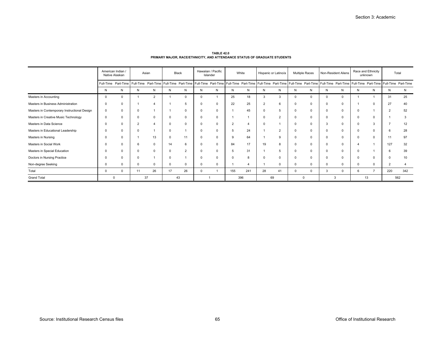|                                              |          | American Indian<br>Asian<br>Native Alaskan |                |                | Hawaiian / Pacific<br>Black<br>Islander |                | White |              | Hispanic or Latino/a |     | <b>Multiple Races</b> |                                                                                                                                                                                                                                | Non-Resident Aliens |   | Race and Ethnicity<br>unknown |          | Total    |                |                |     |
|----------------------------------------------|----------|--------------------------------------------|----------------|----------------|-----------------------------------------|----------------|-------|--------------|----------------------|-----|-----------------------|--------------------------------------------------------------------------------------------------------------------------------------------------------------------------------------------------------------------------------|---------------------|---|-------------------------------|----------|----------|----------------|----------------|-----|
|                                              |          |                                            |                |                |                                         |                |       |              |                      |     |                       | Full-Time Part-Time   Full-Time Part-Time   Full-Time Part-Time   Full-Time Part-Time   Full-Time Part-Time   Full-Time Part-Time   Full-Time Part-Time   Full-Time Part-Time   Full-Time Part-Time   Full-Time Part-Time   Fu |                     |   |                               |          |          |                |                |     |
|                                              | N        | N                                          | N              | N              | N                                       | N              | N     | N            | N                    | N   | N                     | N                                                                                                                                                                                                                              | N                   | N | N                             | N        | N        | N              | N              | N   |
| Masters in Accounting                        |          | $\mathbf 0$                                |                | $\overline{2}$ |                                         | $\Omega$       |       |              | 25                   | 18  |                       | 3                                                                                                                                                                                                                              |                     |   |                               | $\Omega$ |          |                | 31             | 25  |
| Masters in Business Administration           |          | $\mathbf 0$                                |                |                |                                         | -5             |       | 0            | 22                   | 25  |                       | 6                                                                                                                                                                                                                              |                     |   |                               | $\Omega$ |          |                | 27             | 40  |
| Masters in Contemporary Instructional Design | 0        | $\mathbf 0$                                |                |                |                                         | $\mathbf 0$    |       | 0            |                      | 45  |                       | 5                                                                                                                                                                                                                              |                     |   | 0                             | 0        |          |                | ∠              | 52  |
| Masters in Creative Music Technology         |          | 0                                          | 0              | $\mathbf 0$    |                                         | $\mathbf 0$    |       | $\mathbf{0}$ |                      |     |                       | 2                                                                                                                                                                                                                              |                     |   |                               | $\Omega$ | $\Omega$ | $\Omega$       |                |     |
| Masters in Data Science                      |          | $\mathbf 0$                                | $\overline{2}$ |                |                                         | $\mathbf 0$    |       | $\Omega$     |                      |     |                       |                                                                                                                                                                                                                                |                     |   | 3                             | $\Omega$ |          | $\mathcal{R}$  |                | 12  |
| Masters in Educational Leadership            |          | $\Omega$                                   |                |                |                                         |                |       | $\Omega$     |                      | 24  |                       |                                                                                                                                                                                                                                |                     |   |                               | $\Omega$ |          |                |                | 28  |
| Masters in Nursing                           |          | $\mathbf 0$                                |                | 13             |                                         | 11             |       | 0            |                      | 64  |                       | 9                                                                                                                                                                                                                              |                     |   |                               | $\Omega$ |          |                |                | 97  |
| Masters in Social Work                       |          | $\mathbf 0$                                | 6              | $\mathbf 0$    | 14                                      | 6              |       | 0            | 84                   | 17  | 19                    | 8                                                                                                                                                                                                                              |                     |   | 0                             | $\Omega$ |          |                | 127            | 32  |
| Masters in Special Education                 |          | 0                                          | 0              | $\Omega$       |                                         | $\overline{2}$ |       | $^{\circ}$   | 5                    | 31  |                       | 5                                                                                                                                                                                                                              |                     |   |                               | $\Omega$ |          |                | -6             | 39  |
| Doctors in Nursing Practice                  |          | $\Omega$                                   |                |                |                                         |                |       | $\Omega$     |                      | 8   |                       | $\Omega$                                                                                                                                                                                                                       |                     |   |                               | $\Omega$ |          |                |                | 10  |
| Non-degree Seeking                           |          | $\Omega$                                   |                | $\Omega$       |                                         | $\mathbf 0$    |       | $\Omega$     |                      |     |                       | 0                                                                                                                                                                                                                              | $\Omega$            |   | 0                             | $\Omega$ | $\Omega$ | $\Omega$       | $\overline{2}$ |     |
| Total                                        | $\Omega$ | $\Omega$                                   | 11             | 26             | 17                                      | 26             | 0     |              | 155                  | 241 | 28                    | 41                                                                                                                                                                                                                             | $\mathbf 0$         |   | 3                             | $\Omega$ | -6       | $\overline{7}$ | 220            | 342 |
| <b>Grand Total</b>                           |          | $^{\circ}$                                 |                | 37             |                                         | 43             |       |              |                      | 396 |                       | 69                                                                                                                                                                                                                             |                     | 0 |                               | 3        |          | 13             |                | 562 |

**TABLE 42.0 PRIMARY MAJOR, RACE/ETHNICITY, AND ATTENDANCE STATUS OF GRADUATE STUDENTS**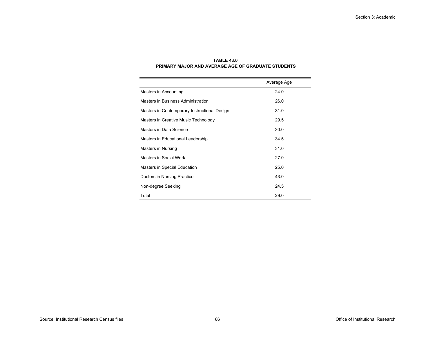|                                              | Average Age |
|----------------------------------------------|-------------|
| Masters in Accounting                        | 24.0        |
| Masters in Business Administration           | 26.0        |
| Masters in Contemporary Instructional Design | 31.0        |
| Masters in Creative Music Technology         | 29.5        |
| Masters in Data Science                      | 30.0        |
| Masters in Educational Leadership            | 34.5        |
| Masters in Nursing                           | 31.0        |
| Masters in Social Work                       | 27.0        |
| Masters in Special Education                 | 25.0        |
| Doctors in Nursing Practice                  | 43.0        |
| Non-degree Seeking                           | 24.5        |
| Total                                        | 29.0        |

#### **TABLE 43.0PRIMARY MAJOR AND AVERAGE AGE OF GRADUATE STUDENTS**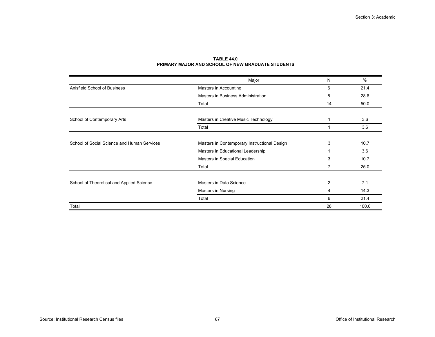|                                             | Major                                        | N              | $\%$  |  |
|---------------------------------------------|----------------------------------------------|----------------|-------|--|
| Anisfield School of Business                | Masters in Accounting                        |                |       |  |
|                                             | Masters in Business Administration           | 8              | 28.6  |  |
|                                             | Total                                        | 14             | 50.0  |  |
|                                             |                                              |                |       |  |
| School of Contemporary Arts                 | Masters in Creative Music Technology         |                | 3.6   |  |
|                                             | Total                                        |                | 3.6   |  |
|                                             |                                              |                |       |  |
| School of Social Science and Human Services | Masters in Contemporary Instructional Design | 3              | 10.7  |  |
|                                             | Masters in Educational Leadership            |                | 3.6   |  |
|                                             | Masters in Special Education                 | 3              | 10.7  |  |
|                                             | Total                                        | $\overline{7}$ | 25.0  |  |
|                                             |                                              |                |       |  |
| School of Theoretical and Applied Science   | Masters in Data Science                      | 2              | 7.1   |  |
|                                             | Masters in Nursing                           | 4              | 14.3  |  |
|                                             | Total                                        | 6              | 21.4  |  |
| Total                                       |                                              | 28             | 100.0 |  |

## **TABLE 44.0PRIMARY MAJOR AND SCHOOL OF NEW GRADUATE STUDENTS**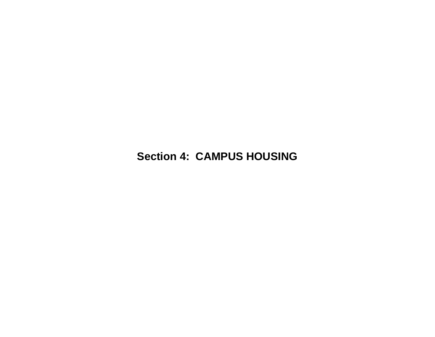**Section 4: CAMPUS HOUSING**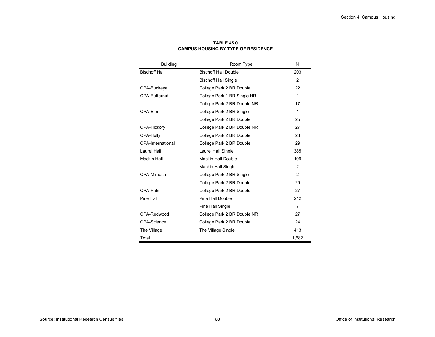| <b>Building</b>          | Room Type                   | N             |
|--------------------------|-----------------------------|---------------|
| <b>Bischoff Hall</b>     | <b>Bischoff Hall Double</b> | 203           |
|                          | <b>Bischoff Hall Single</b> | 2             |
| CPA-Buckeye              | College Park 2 BR Double    | 22            |
| <b>CPA-Butternut</b>     | College Park 1 BR Single NR | $\mathbf{1}$  |
|                          | College Park 2 BR Double NR | 17            |
| CPA-Flm                  | College Park 2 BR Single    | $\mathbf{1}$  |
|                          | College Park 2 BR Double    | 25            |
| CPA-Hickory              | College Park 2 BR Double NR | 27            |
| CPA-Holly                | College Park 2 BR Double    | 28            |
| <b>CPA-International</b> | College Park 2 BR Double    | 29            |
| Laurel Hall              | Laurel Hall Single          | 385           |
| <b>Mackin Hall</b>       | Mackin Hall Double          | 199           |
|                          | Mackin Hall Single          | 2             |
| CPA-Mimosa               | College Park 2 BR Single    | $\mathcal{P}$ |
|                          | College Park 2 BR Double    | 29            |
| CPA-Palm                 | College Park 2 BR Double    | 27            |
| Pine Hall                | Pine Hall Double            | 212           |
|                          | Pine Hall Single            | 7             |
| CPA-Redwood              | College Park 2 BR Double NR | 27            |
| CPA-Science              | College Park 2 BR Double    | 24            |
| The Village              | The Village Single          | 413           |
| Total                    |                             | 1,682         |

**TABLE 45.0CAMPUS HOUSING BY TYPE OF RESIDENCE**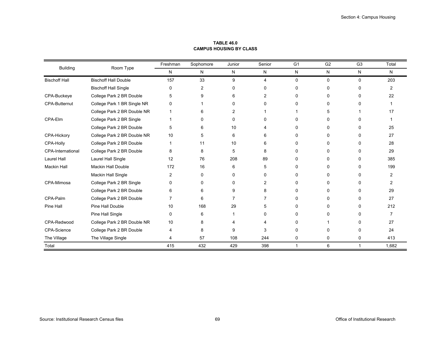| <b>Building</b>          | Room Type                   | Freshman | Sophomore      | Junior | Senior         | G <sub>1</sub> | G <sub>2</sub> | G <sub>3</sub> | Total          |
|--------------------------|-----------------------------|----------|----------------|--------|----------------|----------------|----------------|----------------|----------------|
|                          |                             | N        | N              | N      | N              | ${\sf N}$      | N              | N              | N              |
| <b>Bischoff Hall</b>     | <b>Bischoff Hall Double</b> | 157      | 33             | 9      | $\overline{4}$ | $\mathbf 0$    | 0              | $\Omega$       | 203            |
|                          | <b>Bischoff Hall Single</b> | 0        | $\overline{2}$ | 0      | 0              | 0              | 0              | $\Omega$       | $\overline{2}$ |
| CPA-Buckeye              | College Park 2 BR Double    | 5        | 9              | 6      | 2              |                | 0              | $\Omega$       | 22             |
| <b>CPA-Butternut</b>     | College Park 1 BR Single NR | 0        |                | 0      | 0              | n              | <sup>0</sup>   | <sup>0</sup>   |                |
|                          | College Park 2 BR Double NR |          | ิค             | 2      |                |                |                |                | 17             |
| CPA-Elm                  | College Park 2 BR Single    |          | $\Omega$       | 0      | 0              | <sup>0</sup>   | 0              | 0              |                |
|                          | College Park 2 BR Double    | 5        | 6              | 10     |                |                | 0              | 0              | 25             |
| CPA-Hickory              | College Park 2 BR Double NR | 10       | 5              | 6      | 6              | 0              | 0              | 0              | 27             |
| CPA-Holly                | College Park 2 BR Double    | 1        | 11             | 10     | 6              | 0              | n              | 0              | 28             |
| <b>CPA-International</b> | College Park 2 BR Double    | 8        | 8              | 5      | 8              |                | 0              | 0              | 29             |
| Laurel Hall              | Laurel Hall Single          | 12       | 76             | 208    | 89             | <sup>0</sup>   | <sup>0</sup>   | 0              | 385            |
| <b>Mackin Hall</b>       | <b>Mackin Hall Double</b>   | 172      | 16             | 6      | 5              | n              | <sup>0</sup>   | 0              | 199            |
|                          | Mackin Hall Single          | 2        | 0              | 0      | 0              | 0              | 0              | 0              | 2              |
| CPA-Mimosa               | College Park 2 BR Single    | 0        | 0              | 0      | 2              | n              | 0              | 0              | $\overline{2}$ |
|                          | College Park 2 BR Double    | 6        | 6              | 9      | 8              | 0              | 0              | 0              | 29             |
| CPA-Palm                 | College Park 2 BR Double    | 7        | 6              | 7      |                |                | 0              | 0              | 27             |
| Pine Hall                | Pine Hall Double            | 10       | 168            | 29     | 5              | 0              | 0              | $\Omega$       | 212            |
|                          | Pine Hall Single            | 0        | 6              |        | 0              |                |                | 0              | 7              |
| CPA-Redwood              | College Park 2 BR Double NR | 10       | 8              | 4      |                | <sup>n</sup>   |                | 0              | 27             |
| <b>CPA-Science</b>       | College Park 2 BR Double    | 4        | 8              | 9      | 3              | 0              |                | 0              | 24             |
| The Village              | The Village Single          | 4        | 57             | 108    | 244            | 0              | 0              | 0              | 413            |
| Total                    |                             | 415      | 432            | 429    | 398            | 1              | 6              |                | 1,682          |

**TABLE 46.0CAMPUS HOUSING BY CLASS**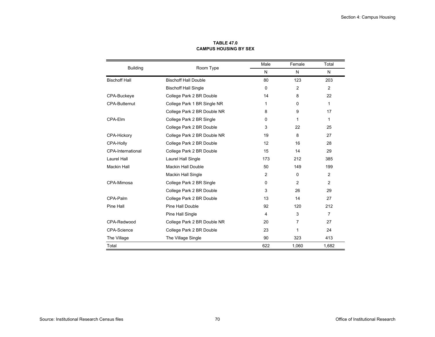|                          |                             | Male          | Female       | Total       |
|--------------------------|-----------------------------|---------------|--------------|-------------|
| <b>Building</b>          | Room Type                   | N             | N            | N           |
| <b>Bischoff Hall</b>     | <b>Bischoff Hall Double</b> | 80            | 123          | 203         |
|                          | <b>Bischoff Hall Single</b> | $\Omega$      | 2            | 2           |
| CPA-Buckeye              | College Park 2 BR Double    | 14            | 8            | 22          |
| <b>CPA-Butternut</b>     | College Park 1 BR Single NR | $\Omega$<br>1 |              | $\mathbf 1$ |
|                          | College Park 2 BR Double NR | 8             | 9            | 17          |
| CPA-Elm                  | College Park 2 BR Single    | $\Omega$      | $\mathbf{1}$ | $\mathbf 1$ |
|                          | College Park 2 BR Double    | 3             | 22           | 25          |
| CPA-Hickory              | College Park 2 BR Double NR | 19            | 8            | 27          |
| CPA-Holly                | College Park 2 BR Double    | 12            | 16           | 28          |
| <b>CPA-International</b> | College Park 2 BR Double    | 15            | 14           | 29          |
| <b>Laurel Hall</b>       | Laurel Hall Single          | 173           | 212          | 385         |
| <b>Mackin Hall</b>       | Mackin Hall Double          | 50            | 149          | 199         |
|                          | <b>Mackin Hall Single</b>   | 2             | $\Omega$     | 2           |
| CPA-Mimosa               | College Park 2 BR Single    | $\Omega$      | 2            | 2           |
|                          | College Park 2 BR Double    | 3             | 26           | 29          |
| CPA-Palm                 | College Park 2 BR Double    | 13            | 14           | 27          |
| Pine Hall                | Pine Hall Double            | 92            | 120          | 212         |
|                          | Pine Hall Single            | 4             | 3            | 7           |
| CPA-Redwood              | College Park 2 BR Double NR | 20            | 7            | 27          |
| <b>CPA-Science</b>       | College Park 2 BR Double    | 23            | 1            | 24          |
| The Village              | The Village Single          | 90            | 323          | 413         |
| Total                    |                             | 622           | 1,060        | 1,682       |

**TABLE 47.0CAMPUS HOUSING BY SEX**